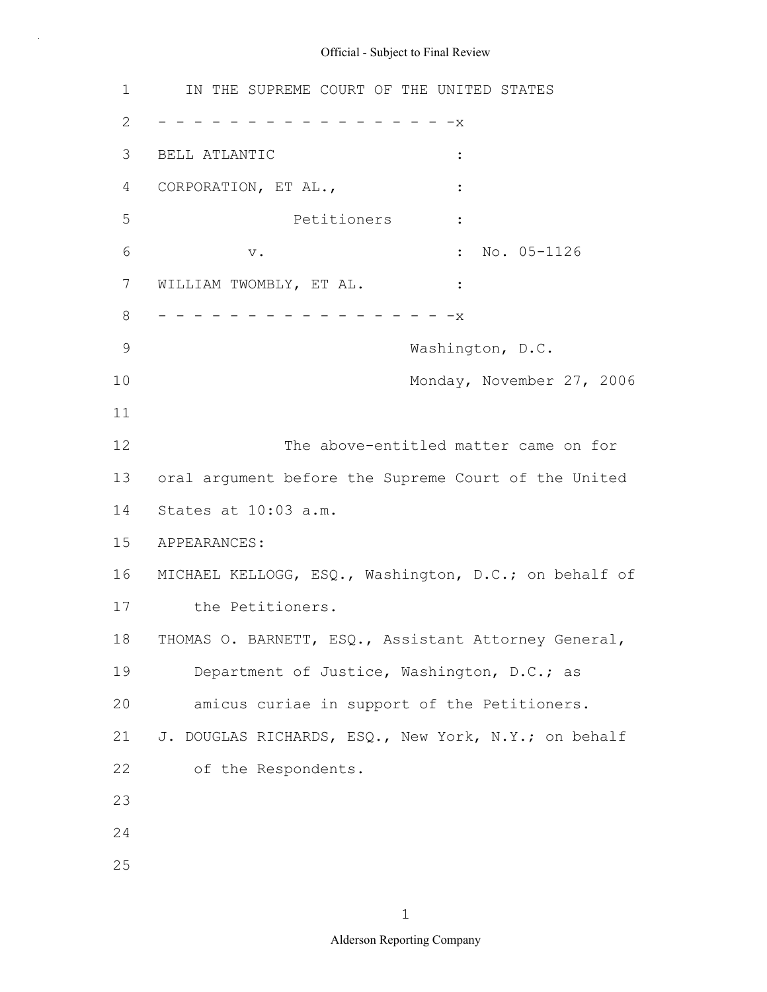1 IN THE SUPREME COURT OF THE UNITED STATES 2 - - - - - - - - - - - - - - - - X 3 BELL ATLANTIC : 4 CORPORATION, ET AL., 5 Petitioners : 6 v. v. 10. 05-1126 7 WILLIAM TWOMBLY, ET AL. : 8 - - - - - - - - - - - - - - - - X 9 Washington, D.C. 10 Monday, November 27, 2006 11 12 The above-entitled matter came on for 13 oral argument before the Supreme Court of the United 14 States at 10:03 a.m. 15 APPEARANCES: 16 MICHAEL KELLOGG, ESQ., Washington, D.C.; on behalf of 17 the Petitioners. 18 THOMAS O. BARNETT, ESQ., Assistant Attorney General, 19 Department of Justice, Washington, D.C.; as 20 amicus curiae in support of the Petitioners. 21 J. DOUGLAS RICHARDS, ESQ., New York, N.Y.; on behalf 22 of the Respondents. 23 24 25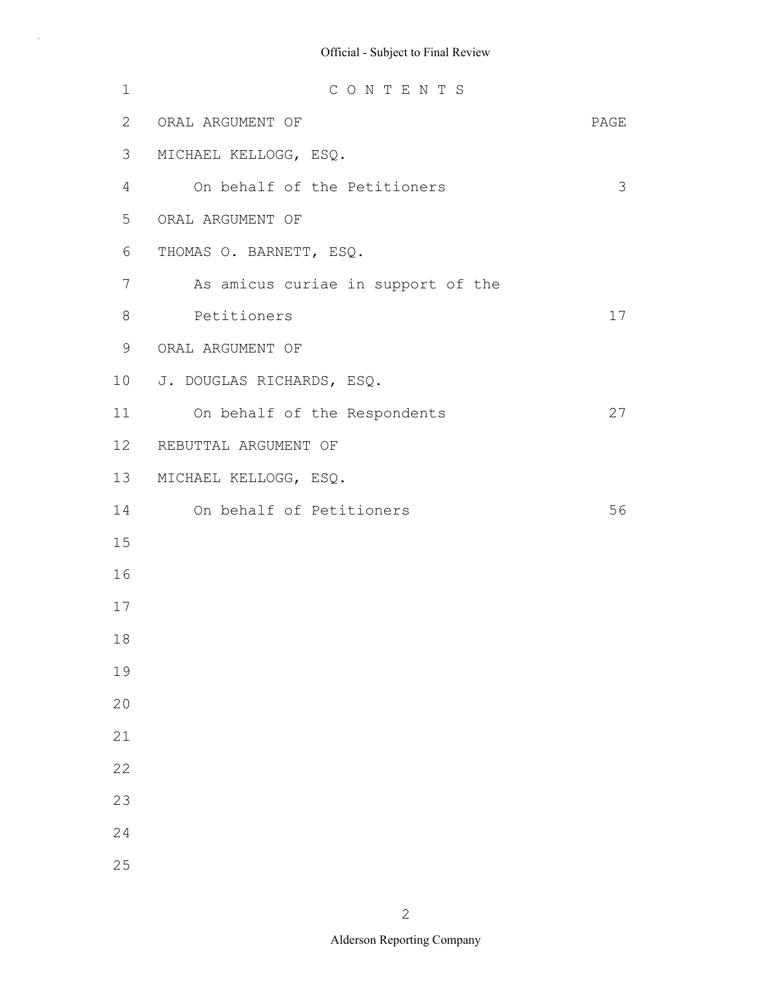| $\mathbf 1$ | CONTENTS                           |      |
|-------------|------------------------------------|------|
| 2           | ORAL ARGUMENT OF                   | PAGE |
| 3           | MICHAEL KELLOGG, ESQ.              |      |
| 4           | On behalf of the Petitioners       | 3    |
| 5           | ORAL ARGUMENT OF                   |      |
| 6           | THOMAS O. BARNETT, ESQ.            |      |
| 7           | As amicus curiae in support of the |      |
| 8           | Petitioners                        | 17   |
| $\mathsf 9$ | ORAL ARGUMENT OF                   |      |
| 10          | J. DOUGLAS RICHARDS, ESQ.          |      |
| 11          | On behalf of the Respondents       | 27   |
| 12          | REBUTTAL ARGUMENT OF               |      |
| 13          | MICHAEL KELLOGG, ESQ.              |      |
| 14          | On behalf of Petitioners           | 56   |
| 15          |                                    |      |
| 16          |                                    |      |
| 17          |                                    |      |
| 18          |                                    |      |
| 19          |                                    |      |
| 20          |                                    |      |
| 21          |                                    |      |
| 22          |                                    |      |
| 23          |                                    |      |
| 24          |                                    |      |
| 25          |                                    |      |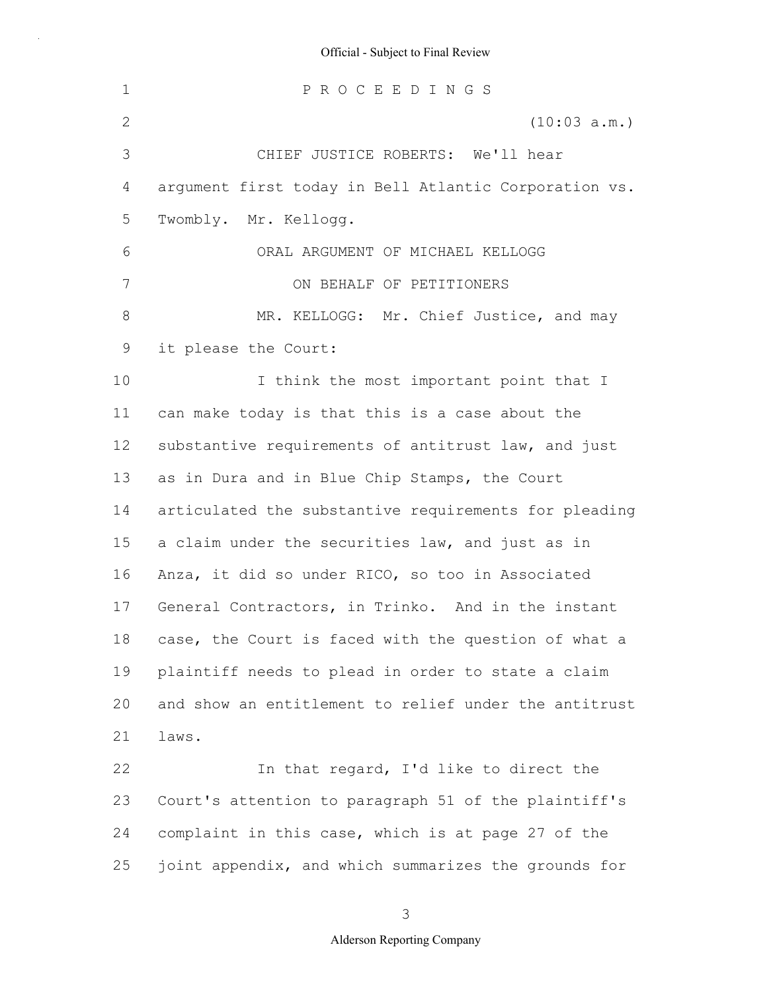1 2 3 4 5 6 7 8 9 10 11 12 13 14 15 16 17 18 19 20 21 22 23 24 25 P R O C E E D I N G S (10:03 a.m.) CHIEF JUSTICE ROBERTS: We'll hear argument first today in Bell Atlantic Corporation vs. Twombly. Mr. Kellogg. ORAL ARGUMENT OF MICHAEL KELLOGG ON BEHALF OF PETITIONERS MR. KELLOGG: Mr. Chief Justice, and may it please the Court: I think the most important point that I can make today is that this is a case about the substantive requirements of antitrust law, and just as in Dura and in Blue Chip Stamps, the Court articulated the substantive requirements for pleading a claim under the securities law, and just as in Anza, it did so under RICO, so too in Associated General Contractors, in Trinko. And in the instant case, the Court is faced with the question of what a plaintiff needs to plead in order to state a claim and show an entitlement to relief under the antitrust laws. In that regard, I'd like to direct the Court's attention to paragraph 51 of the plaintiff's complaint in this case, which is at page 27 of the joint appendix, and which summarizes the grounds for

3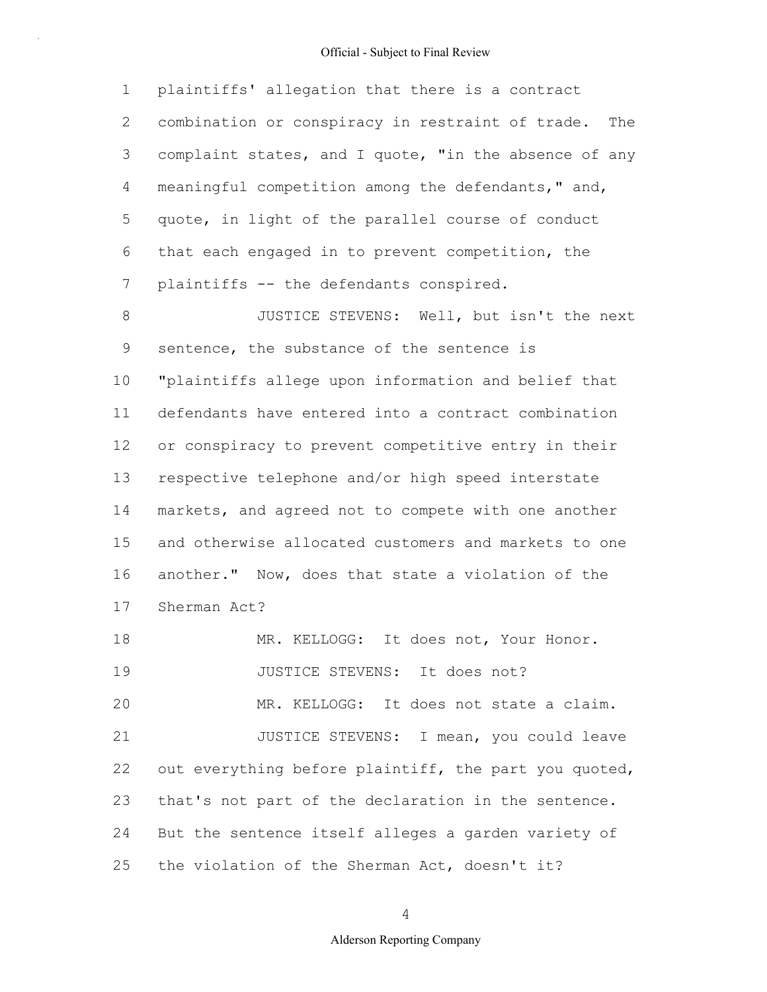1 2 3 4 5 6 7 plaintiffs' allegation that there is a contract combination or conspiracy in restraint of trade. The complaint states, and I quote, "in the absence of any meaningful competition among the defendants," and, quote, in light of the parallel course of conduct that each engaged in to prevent competition, the plaintiffs -- the defendants conspired.

8 9 10 11 12 13 14 15 16 17 18 19 20 JUSTICE STEVENS: Well, but isn't the next sentence, the substance of the sentence is "plaintiffs allege upon information and belief that defendants have entered into a contract combination or conspiracy to prevent competitive entry in their respective telephone and/or high speed interstate markets, and agreed not to compete with one another and otherwise allocated customers and markets to one another." Now, does that state a violation of the Sherman Act? MR. KELLOGG: It does not, Your Honor. JUSTICE STEVENS: It does not? MR. KELLOGG: It does not state a claim.

21 22 23 24 25 JUSTICE STEVENS: I mean, you could leave out everything before plaintiff, the part you quoted, that's not part of the declaration in the sentence. But the sentence itself alleges a garden variety of the violation of the Sherman Act, doesn't it?

4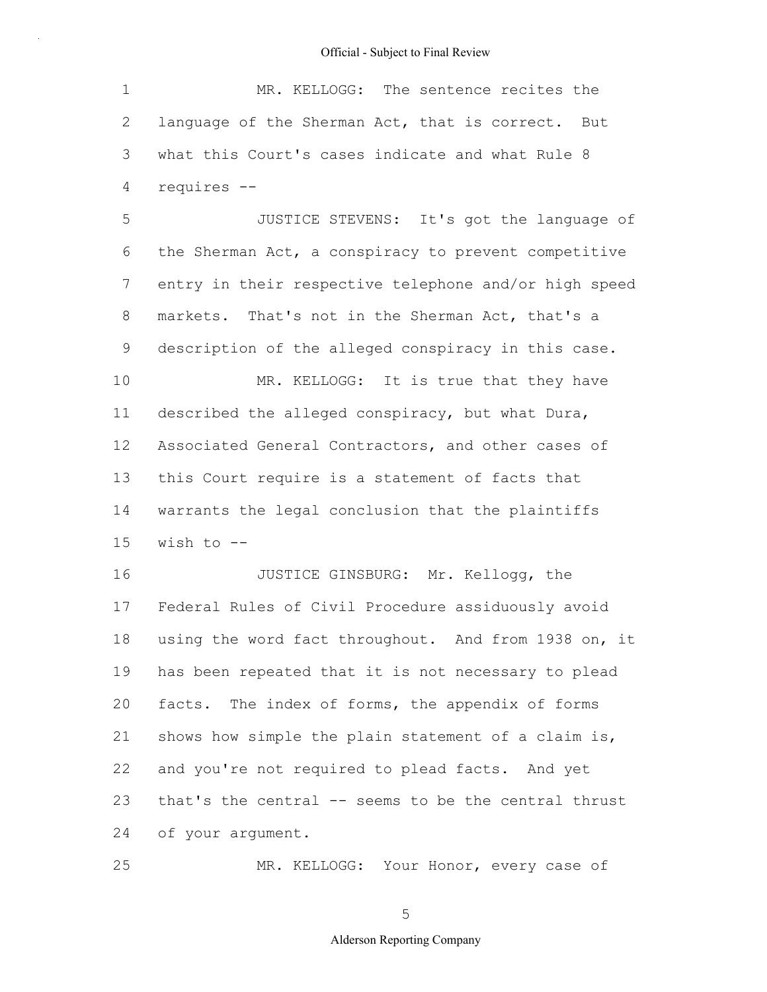| $\mathbf 1$  | MR. KELLOGG: The sentence recites the                 |
|--------------|-------------------------------------------------------|
| $\mathbf{2}$ | language of the Sherman Act, that is correct. But     |
| 3            | what this Court's cases indicate and what Rule 8      |
| 4            | requires --                                           |
| 5            | JUSTICE STEVENS: It's got the language of             |
| 6            | the Sherman Act, a conspiracy to prevent competitive  |
| 7            | entry in their respective telephone and/or high speed |
| 8            | markets. That's not in the Sherman Act, that's a      |
| 9            | description of the alleged conspiracy in this case.   |
| 10           | MR. KELLOGG: It is true that they have                |
| 11           | described the alleged conspiracy, but what Dura,      |
| 12           | Associated General Contractors, and other cases of    |
| 13           | this Court require is a statement of facts that       |
| 14           | warrants the legal conclusion that the plaintiffs     |
| 15           | wish to $--$                                          |
| 16           | JUSTICE GINSBURG: Mr. Kellogg, the                    |
| 17           | Federal Rules of Civil Procedure assiduously avoid    |
| 18           | using the word fact throughout. And from 1938 on, it  |
| 19           | has been repeated that it is not necessary to plead   |
| 20           | facts. The index of forms, the appendix of forms      |
| 21           | shows how simple the plain statement of a claim is,   |
| 22           | and you're not required to plead facts. And yet       |
| 23           | that's the central -- seems to be the central thrust  |
| 24           | of your argument.                                     |
| 25           | MR. KELLOGG: Your Honor, every case of                |

MR. KELLOGG: Your Honor, every case of

5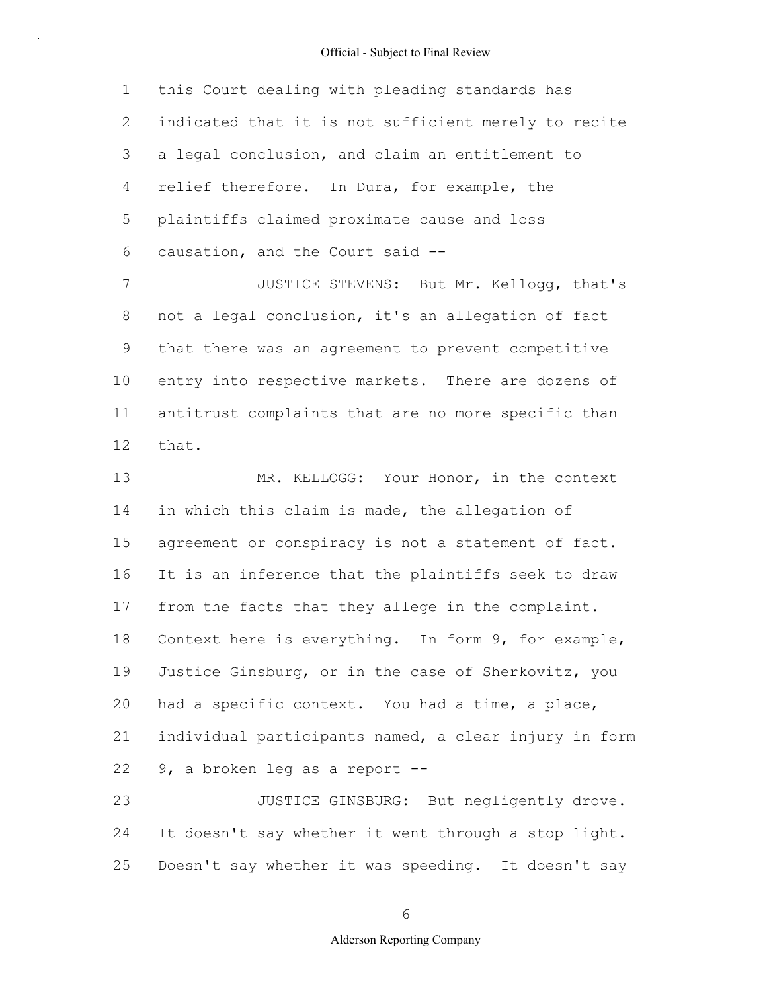1 2 3 4 5 6 this Court dealing with pleading standards has indicated that it is not sufficient merely to recite a legal conclusion, and claim an entitlement to relief therefore. In Dura, for example, the plaintiffs claimed proximate cause and loss causation, and the Court said --

7 8 9 10 11 12 JUSTICE STEVENS: But Mr. Kellogg, that's not a legal conclusion, it's an allegation of fact that there was an agreement to prevent competitive entry into respective markets. There are dozens of antitrust complaints that are no more specific than that.

13 14 15 16 17 18 19 20 21 22 MR. KELLOGG: Your Honor, in the context in which this claim is made, the allegation of agreement or conspiracy is not a statement of fact. It is an inference that the plaintiffs seek to draw from the facts that they allege in the complaint. Context here is everything. In form 9, for example, Justice Ginsburg, or in the case of Sherkovitz, you had a specific context. You had a time, a place, individual participants named, a clear injury in form 9, a broken leg as a report --

23 24 25 JUSTICE GINSBURG: But negligently drove. It doesn't say whether it went through a stop light. Doesn't say whether it was speeding. It doesn't say

6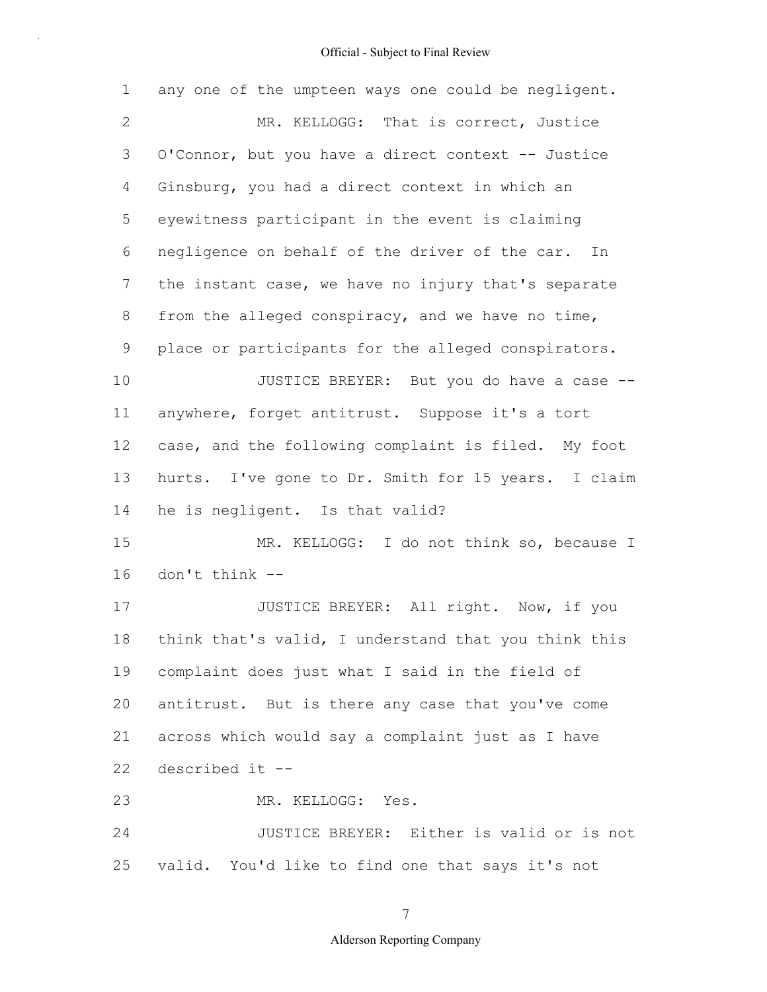| 1               | any one of the umpteen ways one could be negligent.  |
|-----------------|------------------------------------------------------|
| $\mathbf{2}$    | MR. KELLOGG: That is correct, Justice                |
| 3               | O'Connor, but you have a direct context -- Justice   |
| 4               | Ginsburg, you had a direct context in which an       |
| 5               | eyewitness participant in the event is claiming      |
| 6               | negligence on behalf of the driver of the car. In    |
| $7\phantom{.0}$ | the instant case, we have no injury that's separate  |
| 8               | from the alleged conspiracy, and we have no time,    |
| 9               | place or participants for the alleged conspirators.  |
| 10              | JUSTICE BREYER: But you do have a case --            |
| 11              | anywhere, forget antitrust. Suppose it's a tort      |
| 12              | case, and the following complaint is filed. My foot  |
| 13              | hurts. I've gone to Dr. Smith for 15 years. I claim  |
| 14              | he is negligent. Is that valid?                      |
| 15              | MR. KELLOGG: I do not think so, because I            |
| 16              | don't think --                                       |
| 17              | JUSTICE BREYER: All right. Now, if you               |
| $18\,$          | think that's valid, I understand that you think this |
| 19              | complaint does just what I said in the field of      |
| 20              | antitrust. But is there any case that you've come    |
| 21              | across which would say a complaint just as I have    |
| 22              | described it --                                      |
| 23              | MR. KELLOGG: Yes.                                    |
| 24              | JUSTICE BREYER: Either is valid or is not            |
| 25              | valid. You'd like to find one that says it's not     |

7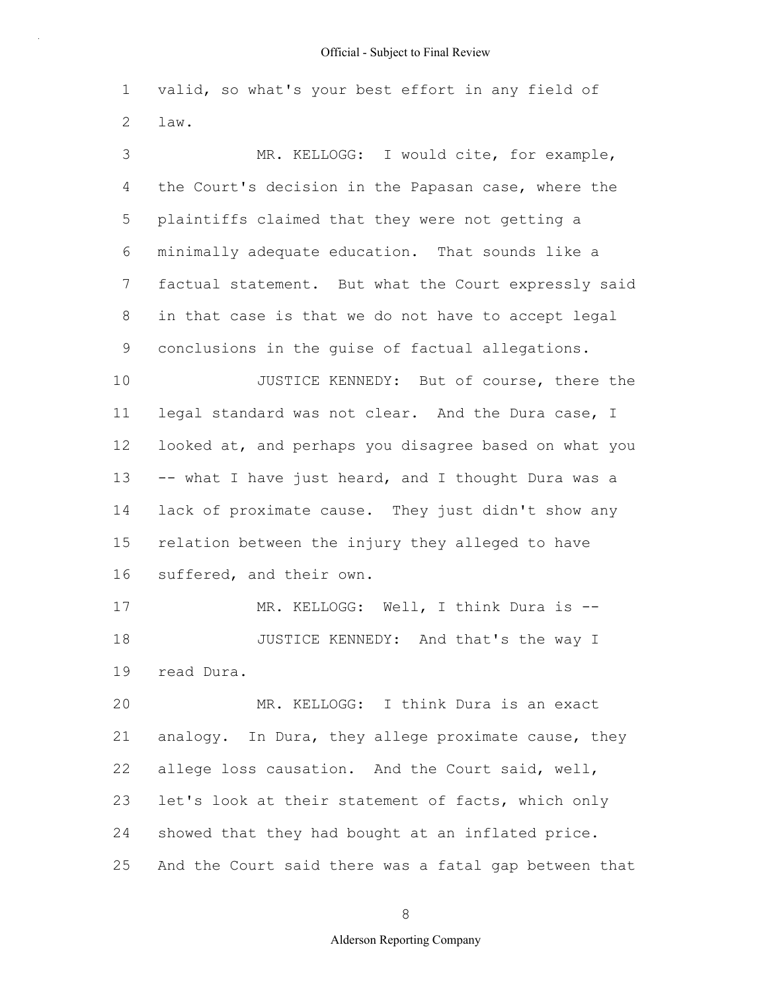1 2 valid, so what's your best effort in any field of law.

3 4 5 6 7 8 9 10 11 12 13 14 15 16 17 18 19 20 21 22 23 24 25 MR. KELLOGG: I would cite, for example, the Court's decision in the Papasan case, where the plaintiffs claimed that they were not getting a minimally adequate education. That sounds like a factual statement. But what the Court expressly said in that case is that we do not have to accept legal conclusions in the guise of factual allegations. JUSTICE KENNEDY: But of course, there the legal standard was not clear. And the Dura case, I looked at, and perhaps you disagree based on what you -- what I have just heard, and I thought Dura was a lack of proximate cause. They just didn't show any relation between the injury they alleged to have suffered, and their own. MR. KELLOGG: Well, I think Dura is --JUSTICE KENNEDY: And that's the way I read Dura. MR. KELLOGG: I think Dura is an exact analogy. In Dura, they allege proximate cause, they allege loss causation. And the Court said, well, let's look at their statement of facts, which only showed that they had bought at an inflated price. And the Court said there was a fatal gap between that

8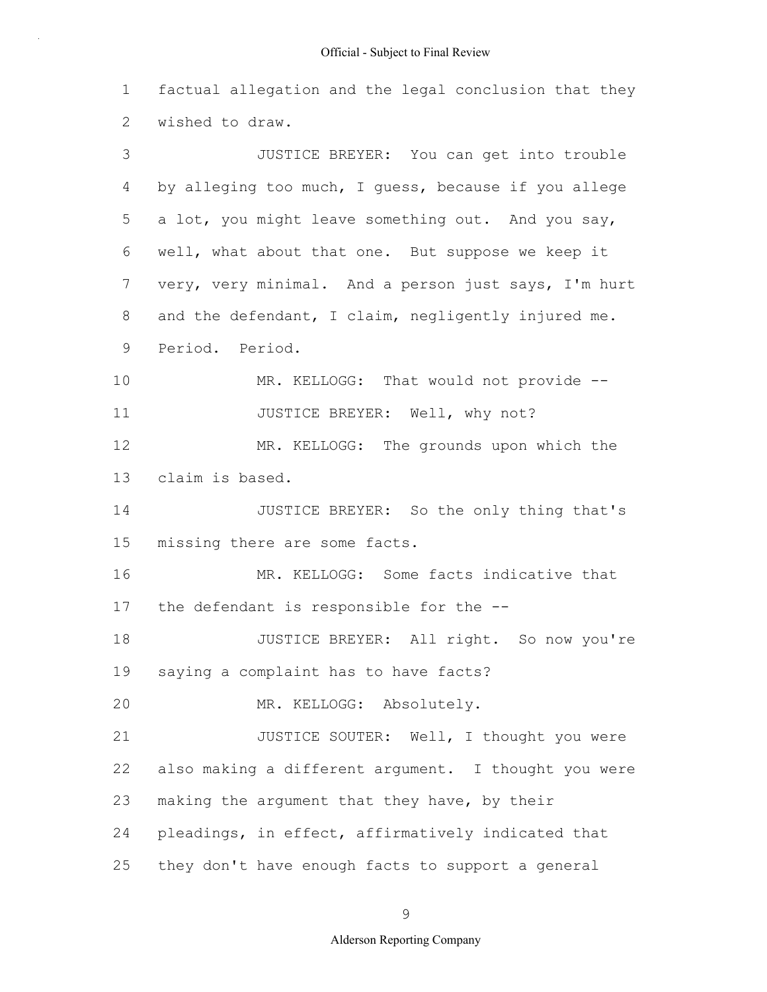1 2 3 4 5 6 7 factual allegation and the legal conclusion that they wished to draw. JUSTICE BREYER: You can get into trouble by alleging too much, I guess, because if you allege a lot, you might leave something out. And you say, well, what about that one. But suppose we keep it very, very minimal. And a person just says, I'm hurt

and the defendant, I claim, negligently injured me.

8

9 10 11 12 13 14 15 16 17 18 19 20 21 22 23 24 25 Period. Period. MR. KELLOGG: That would not provide --JUSTICE BREYER: Well, why not? MR. KELLOGG: The grounds upon which the claim is based. JUSTICE BREYER: So the only thing that's missing there are some facts. MR. KELLOGG: Some facts indicative that the defendant is responsible for the -- JUSTICE BREYER: All right. So now you're saying a complaint has to have facts? MR. KELLOGG: Absolutely. JUSTICE SOUTER: Well, I thought you were also making a different argument. I thought you were making the argument that they have, by their pleadings, in effect, affirmatively indicated that they don't have enough facts to support a general

9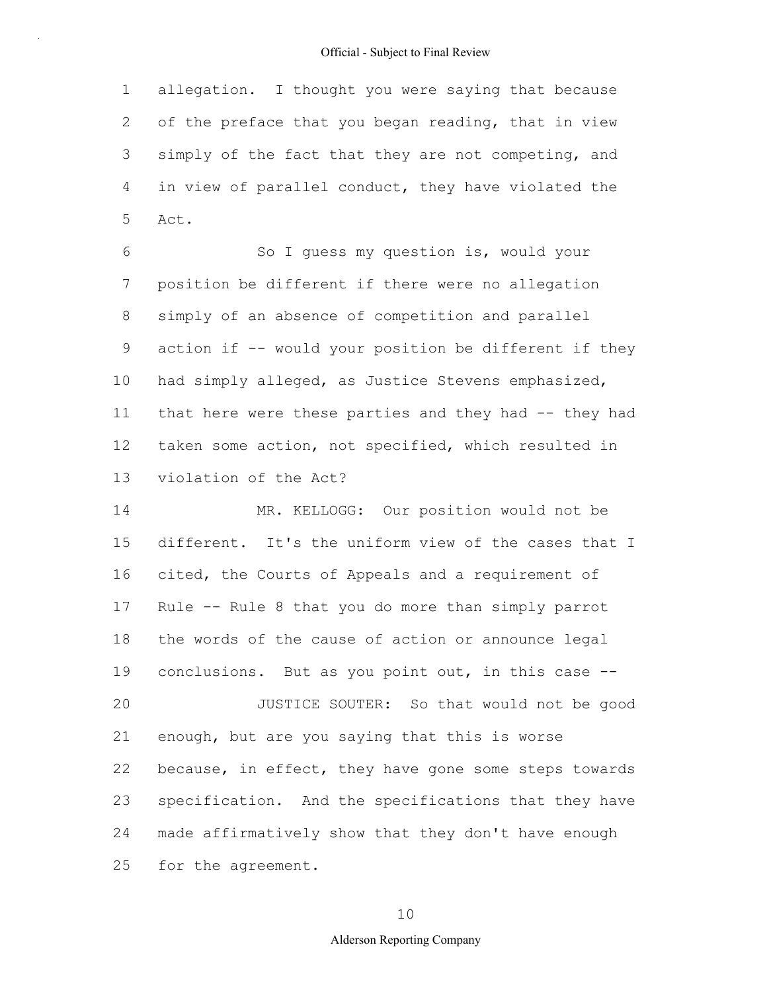1 2 3 4 5 allegation. I thought you were saying that because of the preface that you began reading, that in view simply of the fact that they are not competing, and in view of parallel conduct, they have violated the Act.

6 7 8 9 10 11 12 13 So I guess my question is, would your position be different if there were no allegation simply of an absence of competition and parallel action if -- would your position be different if they had simply alleged, as Justice Stevens emphasized, that here were these parties and they had -- they had taken some action, not specified, which resulted in violation of the Act?

14 15 16 17 18 19 20 21 22 23 24 25 MR. KELLOGG: Our position would not be different. It's the uniform view of the cases that I cited, the Courts of Appeals and a requirement of Rule -- Rule 8 that you do more than simply parrot the words of the cause of action or announce legal conclusions. But as you point out, in this case -- JUSTICE SOUTER: So that would not be good enough, but are you saying that this is worse because, in effect, they have gone some steps towards specification. And the specifications that they have made affirmatively show that they don't have enough for the agreement.

10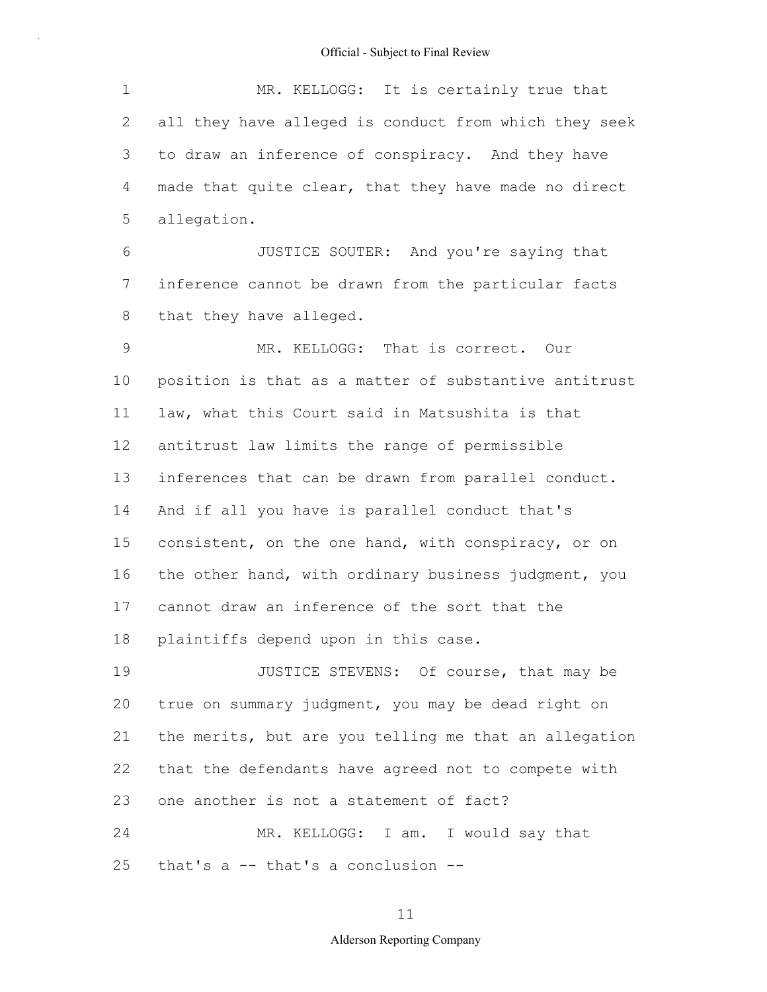| $\mathbf 1$ | MR. KELLOGG: It is certainly true that                |
|-------------|-------------------------------------------------------|
| 2           | all they have alleged is conduct from which they seek |
| 3           | to draw an inference of conspiracy. And they have     |
| 4           | made that quite clear, that they have made no direct  |
| 5           | allegation.                                           |
| 6           | JUSTICE SOUTER: And you're saying that                |
| 7           | inference cannot be drawn from the particular facts   |
| 8           | that they have alleged.                               |
| $\mathsf 9$ | MR. KELLOGG: That is correct. Our                     |
| 10          | position is that as a matter of substantive antitrust |
| 11          | law, what this Court said in Matsushita is that       |
| 12          | antitrust law limits the range of permissible         |
| 13          | inferences that can be drawn from parallel conduct.   |
| 14          | And if all you have is parallel conduct that's        |
| 15          | consistent, on the one hand, with conspiracy, or on   |
| 16          | the other hand, with ordinary business judgment, you  |
| 17          | cannot draw an inference of the sort that the         |
| 18          | plaintiffs depend upon in this case.                  |
| 19          | JUSTICE STEVENS: Of course, that may be               |
| 20          | true on summary judgment, you may be dead right on    |
| 21          | the merits, but are you telling me that an allegation |
| 22          | that the defendants have agreed not to compete with   |
| 23          | one another is not a statement of fact?               |
| 24          | MR. KELLOGG: I am. I would say that                   |
| 25          | that's $a$ -- that's a conclusion --                  |

11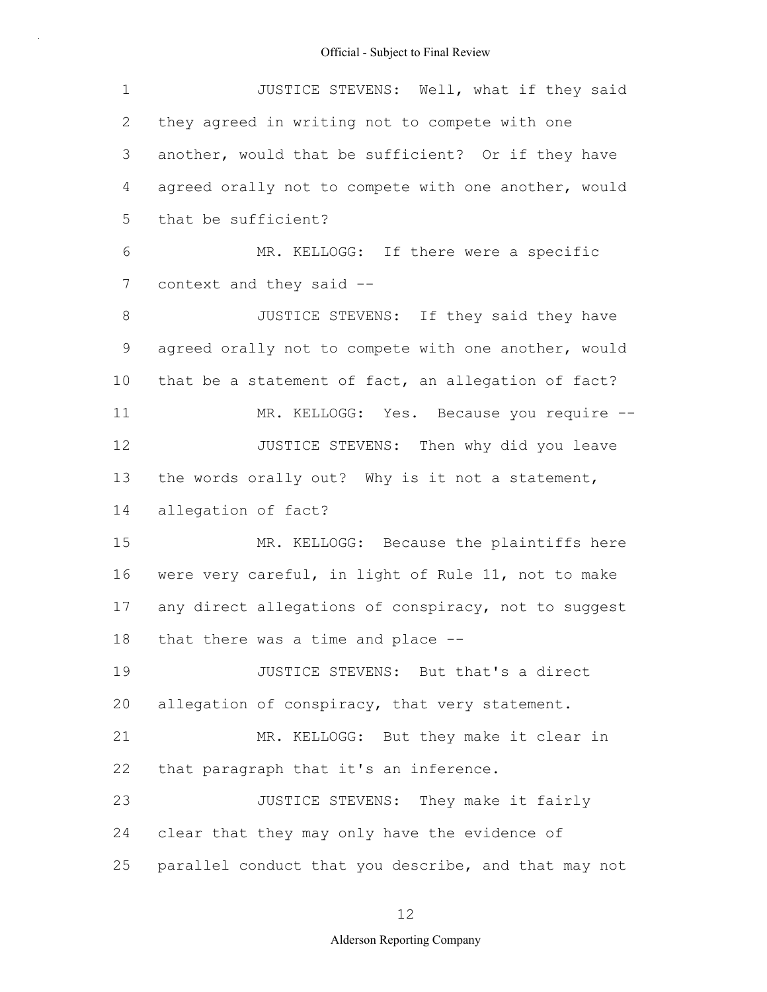| $\mathbf 1$ | JUSTICE STEVENS: Well, what if they said             |
|-------------|------------------------------------------------------|
| 2           | they agreed in writing not to compete with one       |
| 3           | another, would that be sufficient? Or if they have   |
| 4           | agreed orally not to compete with one another, would |
| 5           | that be sufficient?                                  |
| 6           | MR. KELLOGG: If there were a specific                |
| 7           | context and they said --                             |
| $8\,$       | JUSTICE STEVENS: If they said they have              |
| $\mathsf 9$ | agreed orally not to compete with one another, would |
| 10          | that be a statement of fact, an allegation of fact?  |
| 11          | MR. KELLOGG: Yes. Because you require --             |
| 12          | JUSTICE STEVENS: Then why did you leave              |
| 13          | the words orally out? Why is it not a statement,     |
| 14          | allegation of fact?                                  |
| 15          | MR. KELLOGG: Because the plaintiffs here             |
| 16          | were very careful, in light of Rule 11, not to make  |
| 17          | any direct allegations of conspiracy, not to suggest |
| 18          | that there was a time and place --                   |
| 19          | JUSTICE STEVENS: But that's a direct                 |
| 20          | allegation of conspiracy, that very statement.       |
| 21          | MR. KELLOGG: But they make it clear in               |
| 22          | that paragraph that it's an inference.               |
| 23          | JUSTICE STEVENS: They make it fairly                 |
| 24          | clear that they may only have the evidence of        |
| 25          | parallel conduct that you describe, and that may not |

# 12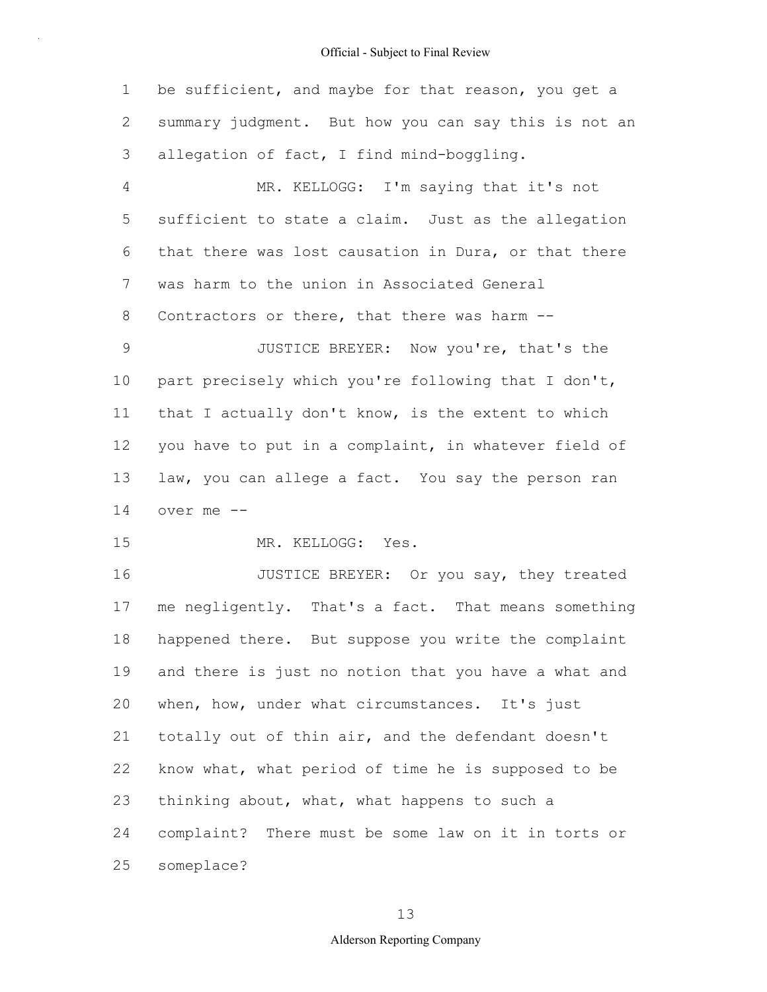1 2 3 4 5 6 7 8 9 10 11 12 13 14 15 16 17 18 19 20 21 22 23 be sufficient, and maybe for that reason, you get a summary judgment. But how you can say this is not an allegation of fact, I find mind-boggling. MR. KELLOGG: I'm saying that it's not sufficient to state a claim. Just as the allegation that there was lost causation in Dura, or that there was harm to the union in Associated General Contractors or there, that there was harm -- JUSTICE BREYER: Now you're, that's the part precisely which you're following that I don't, that I actually don't know, is the extent to which you have to put in a complaint, in whatever field of law, you can allege a fact. You say the person ran over me -- MR. KELLOGG: Yes. JUSTICE BREYER: Or you say, they treated me negligently. That's a fact. That means something happened there. But suppose you write the complaint and there is just no notion that you have a what and when, how, under what circumstances. It's just totally out of thin air, and the defendant doesn't know what, what period of time he is supposed to be thinking about, what, what happens to such a

24 25 complaint? There must be some law on it in torts or someplace?

13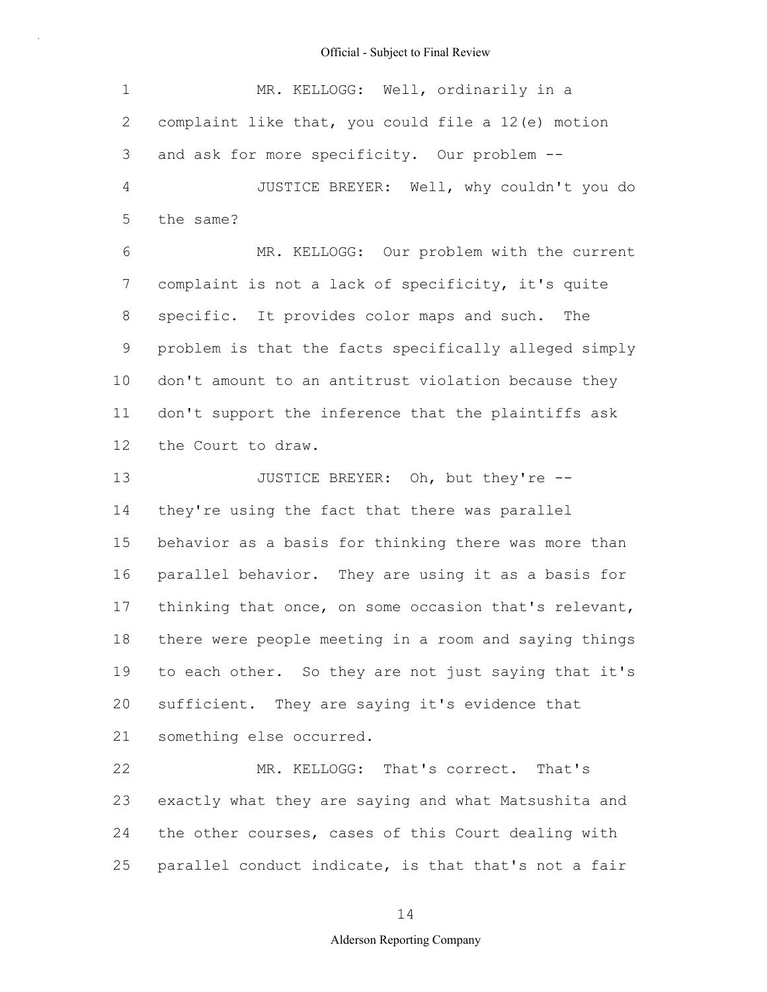| 1              | MR. KELLOGG: Well, ordinarily in a                    |
|----------------|-------------------------------------------------------|
| $\mathbf{2}$   | complaint like that, you could file a 12(e) motion    |
| $\mathfrak{Z}$ | and ask for more specificity. Our problem --          |
| $\overline{4}$ | JUSTICE BREYER: Well, why couldn't you do             |
| 5              | the same?                                             |
| 6              | MR. KELLOGG: Our problem with the current             |
| 7              | complaint is not a lack of specificity, it's quite    |
| $8\,$          | specific. It provides color maps and such.<br>The     |
| $\mathsf 9$    | problem is that the facts specifically alleged simply |
| 10             | don't amount to an antitrust violation because they   |
| 11             | don't support the inference that the plaintiffs ask   |
| 12             | the Court to draw.                                    |
| 13             | JUSTICE BREYER: Oh, but they're --                    |
| 14             | they're using the fact that there was parallel        |
| 15             | behavior as a basis for thinking there was more than  |
| 16             | parallel behavior. They are using it as a basis for   |
| 17             | thinking that once, on some occasion that's relevant, |
| 18             | there were people meeting in a room and saying things |
| 19             | to each other. So they are not just saying that it's  |
| 20             | sufficient. They are saying it's evidence that        |
| 21             | something else occurred.                              |
| 22             | MR. KELLOGG: That's correct. That's                   |
| 23             | exactly what they are saying and what Matsushita and  |
| 24             | the other courses, cases of this Court dealing with   |
| 25             | parallel conduct indicate, is that that's not a fair  |

14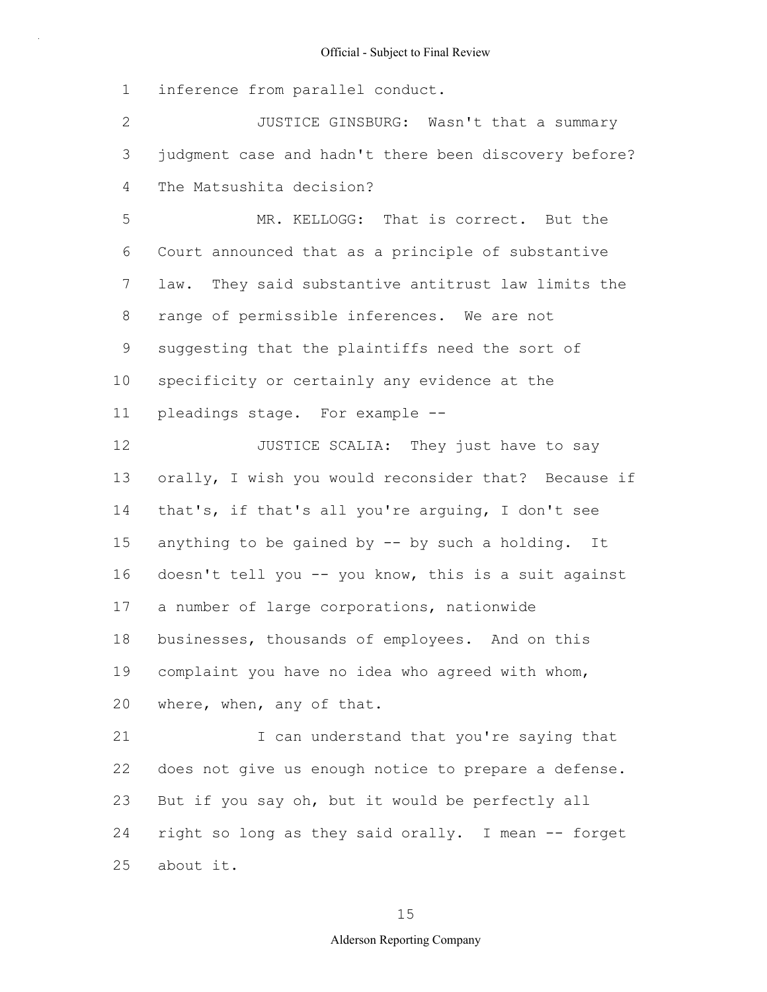1 inference from parallel conduct.

2 3 4 5 6 7 8 9 JUSTICE GINSBURG: Wasn't that a summary judgment case and hadn't there been discovery before? The Matsushita decision? MR. KELLOGG: That is correct. But the Court announced that as a principle of substantive law. They said substantive antitrust law limits the range of permissible inferences. We are not suggesting that the plaintiffs need the sort of

10 specificity or certainly any evidence at the

11 pleadings stage. For example --

12 13 14 15 16 17 18 19 20 JUSTICE SCALIA: They just have to say orally, I wish you would reconsider that? Because if that's, if that's all you're arguing, I don't see anything to be gained by -- by such a holding. It doesn't tell you -- you know, this is a suit against a number of large corporations, nationwide businesses, thousands of employees. And on this complaint you have no idea who agreed with whom, where, when, any of that.

21 22 23 24 25 I can understand that you're saying that does not give us enough notice to prepare a defense. But if you say oh, but it would be perfectly all right so long as they said orally. I mean -- forget about it.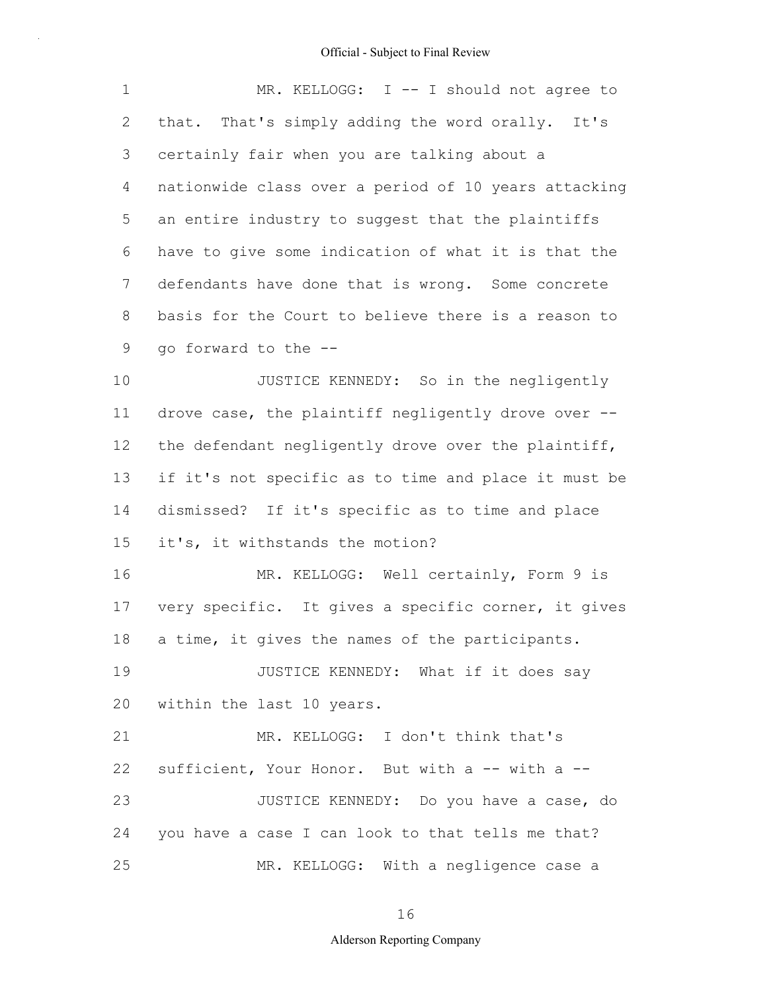| $\mathbf 1$    | MR. KELLOGG: I -- I should not agree to              |
|----------------|------------------------------------------------------|
| $\overline{2}$ | that. That's simply adding the word orally. It's     |
| 3              | certainly fair when you are talking about a          |
| 4              | nationwide class over a period of 10 years attacking |
| 5              | an entire industry to suggest that the plaintiffs    |
| 6              | have to give some indication of what it is that the  |
| $\overline{7}$ | defendants have done that is wrong. Some concrete    |
| 8              | basis for the Court to believe there is a reason to  |
| 9              | go forward to the --                                 |
| 10             | JUSTICE KENNEDY: So in the negligently               |
| 11             | drove case, the plaintiff negligently drove over --  |
| 12             | the defendant negligently drove over the plaintiff,  |
| 13             | if it's not specific as to time and place it must be |
| 14             | dismissed? If it's specific as to time and place     |
| 15             | it's, it withstands the motion?                      |
| 16             | MR. KELLOGG: Well certainly, Form 9 is               |
| 17             | very specific. It gives a specific corner, it gives  |
| 18             | a time, it gives the names of the participants.      |
| 19             | JUSTICE KENNEDY: What if it does say                 |
| 20             | within the last 10 years.                            |
| 21             | MR. KELLOGG: I don't think that's                    |
| 22             | sufficient, Your Honor. But with a -- with a --      |
| 23             | JUSTICE KENNEDY: Do you have a case, do              |
| 24             | you have a case I can look to that tells me that?    |
| 25             | MR. KELLOGG: With a negligence case a                |

16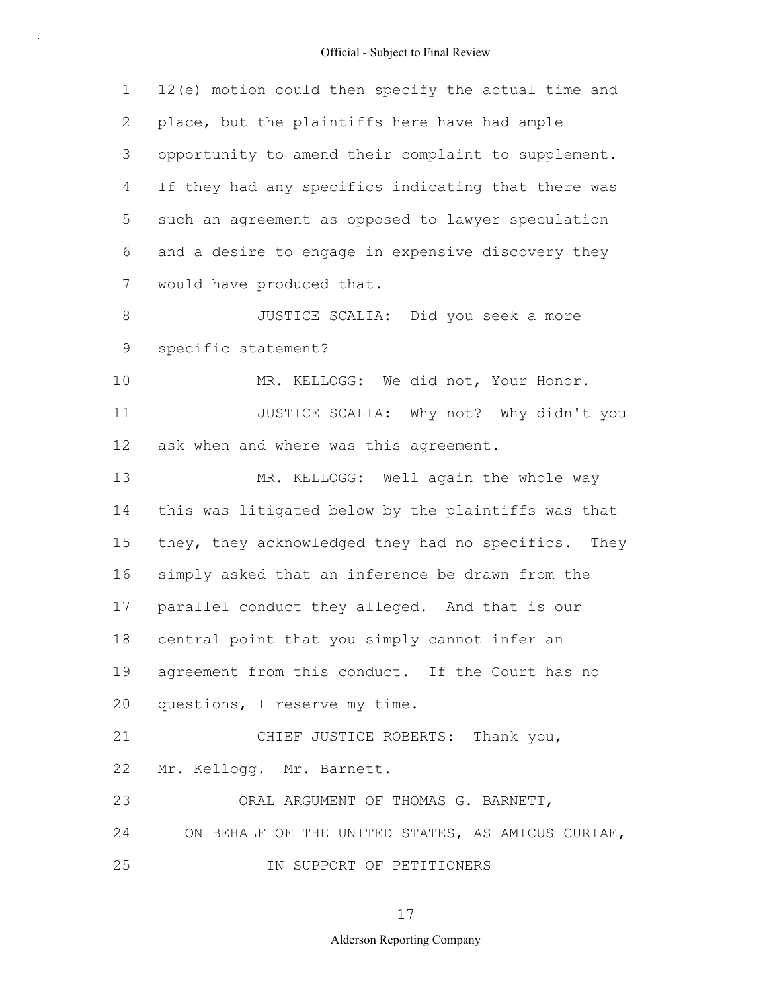| $\mathbf 1$    | 12(e) motion could then specify the actual time and |
|----------------|-----------------------------------------------------|
| $\overline{2}$ | place, but the plaintiffs here have had ample       |
| 3              | opportunity to amend their complaint to supplement. |
| 4              | If they had any specifics indicating that there was |
| 5              | such an agreement as opposed to lawyer speculation  |
| 6              | and a desire to engage in expensive discovery they  |
| 7              | would have produced that.                           |
| 8              | JUSTICE SCALIA: Did you seek a more                 |
| $\mathsf 9$    | specific statement?                                 |
| 10             | MR. KELLOGG: We did not, Your Honor.                |
| 11             | JUSTICE SCALIA: Why not? Why didn't you             |
| 12             | ask when and where was this agreement.              |
| 13             | MR. KELLOGG: Well again the whole way               |
| 14             | this was litigated below by the plaintiffs was that |
| 15             | they, they acknowledged they had no specifics. They |
| 16             | simply asked that an inference be drawn from the    |
| 17             | parallel conduct they alleged. And that is our      |
| 18             | central point that you simply cannot infer an       |
|                | 19 agreement from this conduct. If the Court has no |
| 20             | questions, I reserve my time.                       |
| 21             | CHIEF JUSTICE ROBERTS: Thank you,                   |
| 22             | Mr. Kellogg. Mr. Barnett.                           |
| 23             | ORAL ARGUMENT OF THOMAS G. BARNETT,                 |
| 24             | ON BEHALF OF THE UNITED STATES, AS AMICUS CURIAE,   |
| 25             | IN SUPPORT OF PETITIONERS                           |

17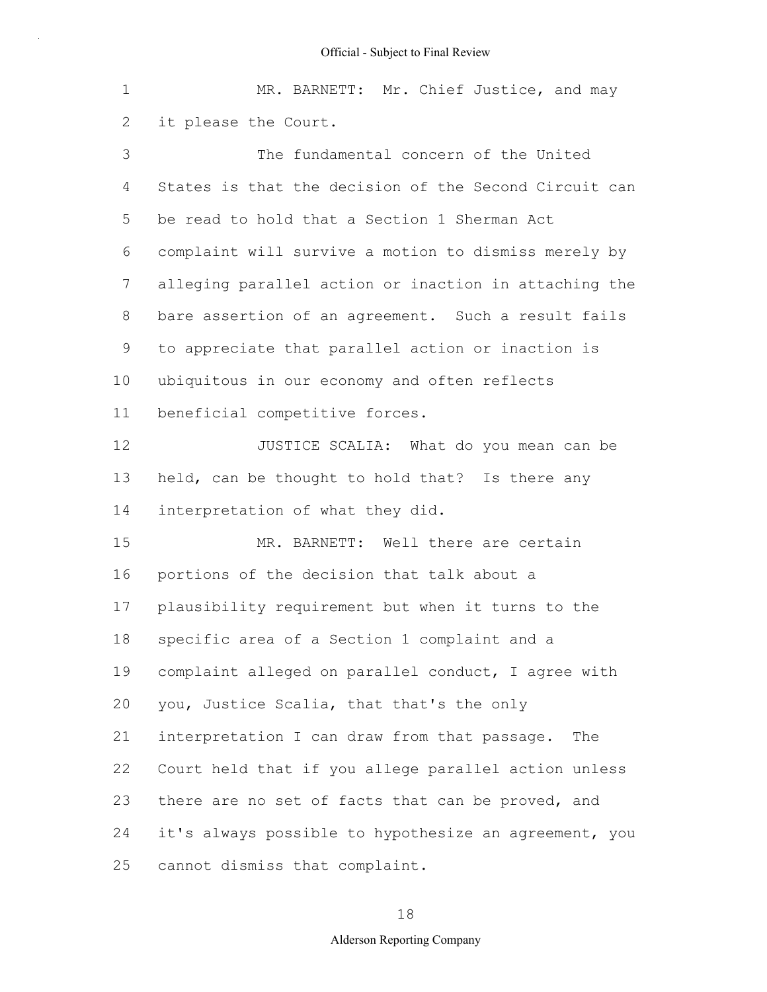| $\mathbf 1$    | MR. BARNETT: Mr. Chief Justice, and may               |
|----------------|-------------------------------------------------------|
| 2              | it please the Court.                                  |
| 3              | The fundamental concern of the United                 |
| 4              | States is that the decision of the Second Circuit can |
| 5              | be read to hold that a Section 1 Sherman Act          |
| 6              | complaint will survive a motion to dismiss merely by  |
| $\overline{7}$ | alleging parallel action or inaction in attaching the |
| 8              | bare assertion of an agreement. Such a result fails   |
| 9              | to appreciate that parallel action or inaction is     |
| 10             | ubiquitous in our economy and often reflects          |
| 11             | beneficial competitive forces.                        |
| 12             | JUSTICE SCALIA: What do you mean can be               |
| 13             | held, can be thought to hold that? Is there any       |
| 14             | interpretation of what they did.                      |
| 15             | MR. BARNETT: Well there are certain                   |
| 16             | portions of the decision that talk about a            |
| 17             | plausibility requirement but when it turns to the     |
| 18             | specific area of a Section 1 complaint and a          |
| 19             | complaint alleged on parallel conduct, I agree with   |
| 20             | you, Justice Scalia, that that's the only             |
| 21             | interpretation I can draw from that passage.<br>The   |
| 22             | Court held that if you allege parallel action unless  |
| 23             | there are no set of facts that can be proved, and     |
| 24             | it's always possible to hypothesize an agreement, you |
| 25             | cannot dismiss that complaint.                        |

# 18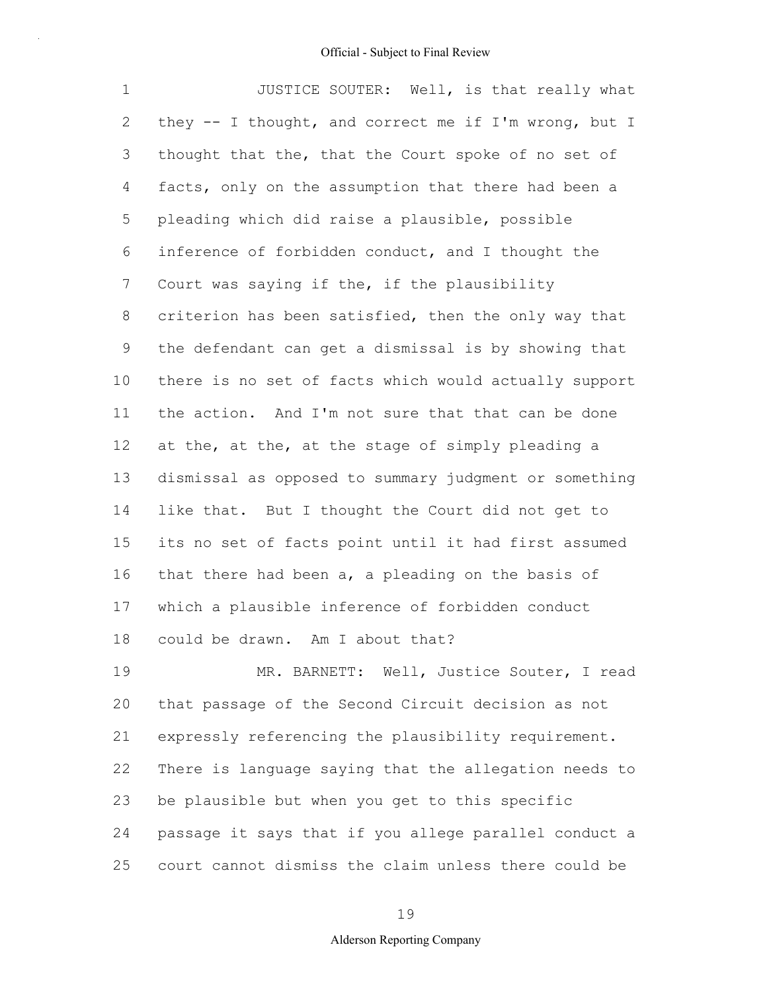| 1               | JUSTICE SOUTER: Well, is that really what               |
|-----------------|---------------------------------------------------------|
| 2               | they $--$ I thought, and correct me if I'm wrong, but I |
| 3               | thought that the, that the Court spoke of no set of     |
| 4               | facts, only on the assumption that there had been a     |
| 5               | pleading which did raise a plausible, possible          |
| 6               | inference of forbidden conduct, and I thought the       |
| $7\phantom{.0}$ | Court was saying if the, if the plausibility            |
| 8               | criterion has been satisfied, then the only way that    |
| 9               | the defendant can get a dismissal is by showing that    |
| 10              | there is no set of facts which would actually support   |
| 11              | the action. And I'm not sure that that can be done      |
| 12              | at the, at the, at the stage of simply pleading a       |
| 13              | dismissal as opposed to summary judgment or something   |
| 14              | like that. But I thought the Court did not get to       |
| 15              | its no set of facts point until it had first assumed    |
| 16              | that there had been a, a pleading on the basis of       |
| 17              | which a plausible inference of forbidden conduct        |
| 18              | could be drawn. Am I about that?                        |
| 19              | MR. BARNETT: Well, Justice Souter, I read               |
| 20              | that passage of the Second Circuit decision as not      |
| 21              | expressly referencing the plausibility requirement.     |
| 22              | There is language saying that the allegation needs to   |
| 23              | be plausible but when you get to this specific          |
| 24              | passage it says that if you allege parallel conduct a   |

25 court cannot dismiss the claim unless there could be

19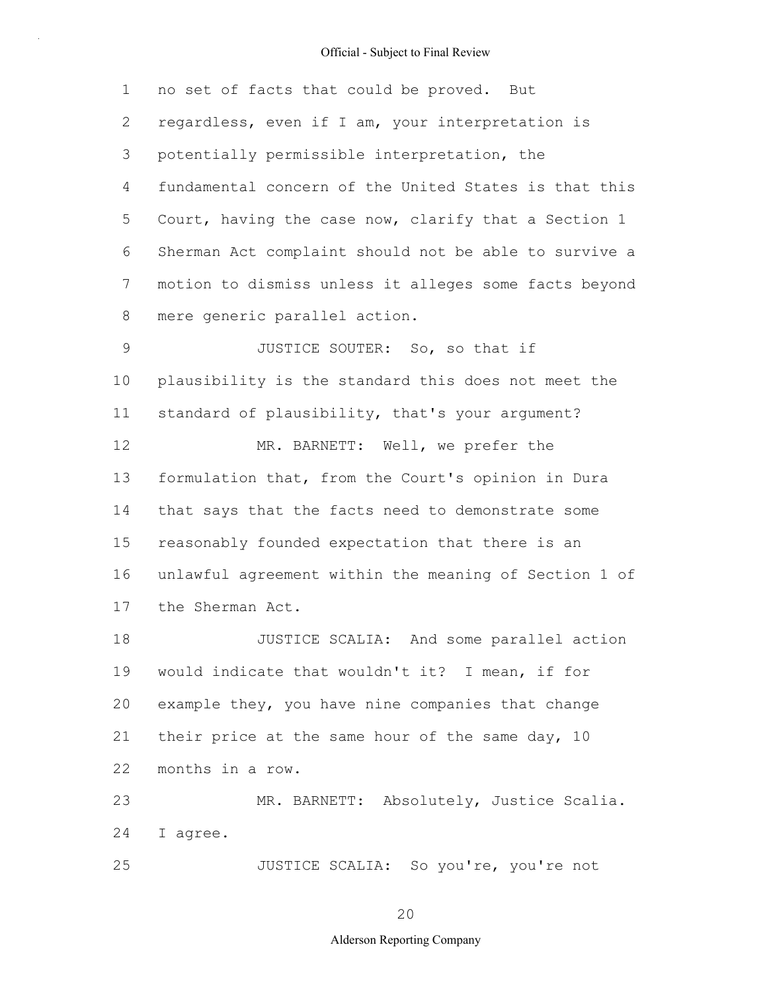1 2 3 4 5 6 7 8 9 10 11 12 13 14 15 16 17 18 19 20 21 22 23 24 25 no set of facts that could be proved. But regardless, even if I am, your interpretation is potentially permissible interpretation, the fundamental concern of the United States is that this Court, having the case now, clarify that a Section 1 Sherman Act complaint should not be able to survive a motion to dismiss unless it alleges some facts beyond mere generic parallel action. JUSTICE SOUTER: So, so that if plausibility is the standard this does not meet the standard of plausibility, that's your argument? MR. BARNETT: Well, we prefer the formulation that, from the Court's opinion in Dura that says that the facts need to demonstrate some reasonably founded expectation that there is an unlawful agreement within the meaning of Section 1 of the Sherman Act. JUSTICE SCALIA: And some parallel action would indicate that wouldn't it? I mean, if for example they, you have nine companies that change their price at the same hour of the same day, 10 months in a row. MR. BARNETT: Absolutely, Justice Scalia. I agree. JUSTICE SCALIA: So you're, you're not

20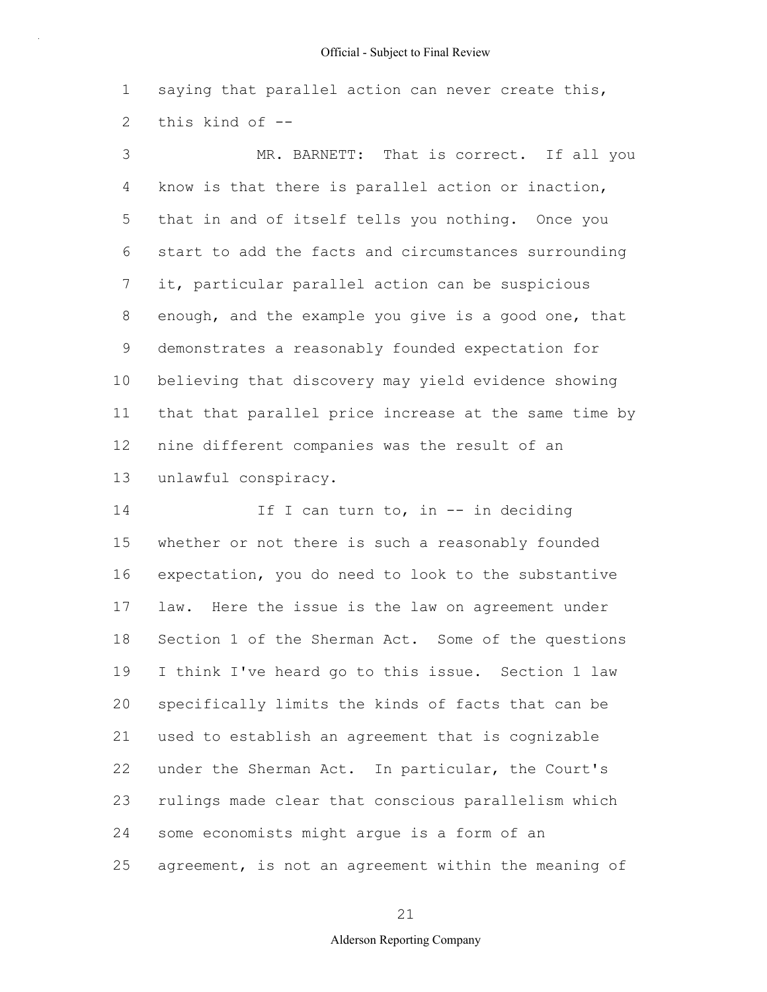1 2 saying that parallel action can never create this, this kind of --

3 4 5 6 7 8 9 10 11 12 13 MR. BARNETT: That is correct. If all you know is that there is parallel action or inaction, that in and of itself tells you nothing. Once you start to add the facts and circumstances surrounding it, particular parallel action can be suspicious enough, and the example you give is a good one, that demonstrates a reasonably founded expectation for believing that discovery may yield evidence showing that that parallel price increase at the same time by nine different companies was the result of an unlawful conspiracy.

14 15 16 17 18 19 20 21 22 23 24 25 If I can turn to, in -- in deciding whether or not there is such a reasonably founded expectation, you do need to look to the substantive law. Here the issue is the law on agreement under Section 1 of the Sherman Act. Some of the questions I think I've heard go to this issue. Section 1 law specifically limits the kinds of facts that can be used to establish an agreement that is cognizable under the Sherman Act. In particular, the Court's rulings made clear that conscious parallelism which some economists might argue is a form of an agreement, is not an agreement within the meaning of

21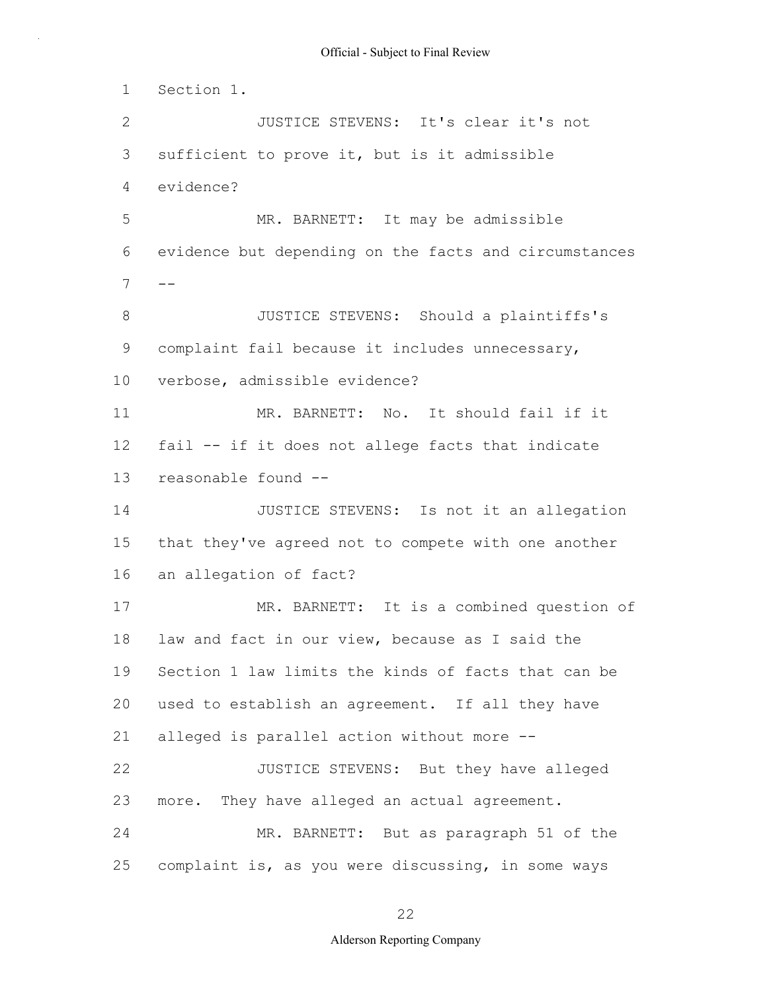1 2 3 4 5 6  $7 - -$ 8 9 10 11 12 13 14 15 16 17 18 19 20 21 22 23 24 25 Section 1. JUSTICE STEVENS: It's clear it's not sufficient to prove it, but is it admissible evidence? MR. BARNETT: It may be admissible evidence but depending on the facts and circumstances JUSTICE STEVENS: Should a plaintiffs's complaint fail because it includes unnecessary, verbose, admissible evidence? MR. BARNETT: No. It should fail if it fail -- if it does not allege facts that indicate reasonable found -- JUSTICE STEVENS: Is not it an allegation that they've agreed not to compete with one another an allegation of fact? MR. BARNETT: It is a combined question of law and fact in our view, because as I said the Section 1 law limits the kinds of facts that can be used to establish an agreement. If all they have alleged is parallel action without more -- JUSTICE STEVENS: But they have alleged more. They have alleged an actual agreement. MR. BARNETT: But as paragraph 51 of the complaint is, as you were discussing, in some ways

22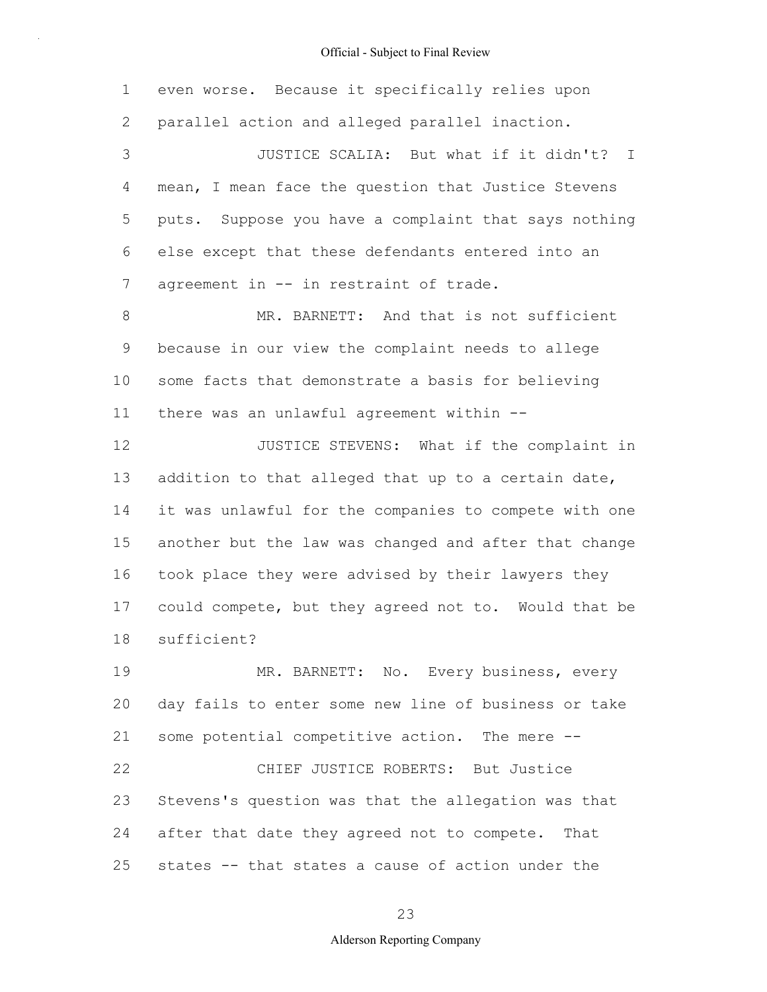| $\mathbf 1$ | even worse. Because it specifically relies upon       |
|-------------|-------------------------------------------------------|
| 2           | parallel action and alleged parallel inaction.        |
| 3           | JUSTICE SCALIA: But what if it didn't? I              |
| 4           | mean, I mean face the question that Justice Stevens   |
| 5           | puts. Suppose you have a complaint that says nothing  |
| 6           | else except that these defendants entered into an     |
| 7           | agreement in -- in restraint of trade.                |
| 8           | MR. BARNETT: And that is not sufficient               |
| 9           | because in our view the complaint needs to allege     |
| 10          | some facts that demonstrate a basis for believing     |
| 11          | there was an unlawful agreement within --             |
| 12          | JUSTICE STEVENS: What if the complaint in             |
| 13          | addition to that alleged that up to a certain date,   |
| 14          | it was unlawful for the companies to compete with one |
| 15          | another but the law was changed and after that change |
| 16          | took place they were advised by their lawyers they    |
| 17          | could compete, but they agreed not to. Would that be  |
| 18          | sufficient?                                           |
| 19          | MR. BARNETT: No. Every business, every                |
| 20          | day fails to enter some new line of business or take  |
| 21          | some potential competitive action. The mere --        |
| 22          | CHIEF JUSTICE ROBERTS: But Justice                    |
| 23          | Stevens's question was that the allegation was that   |
| 24          | after that date they agreed not to compete. That      |
| 25          | states -- that states a cause of action under the     |

23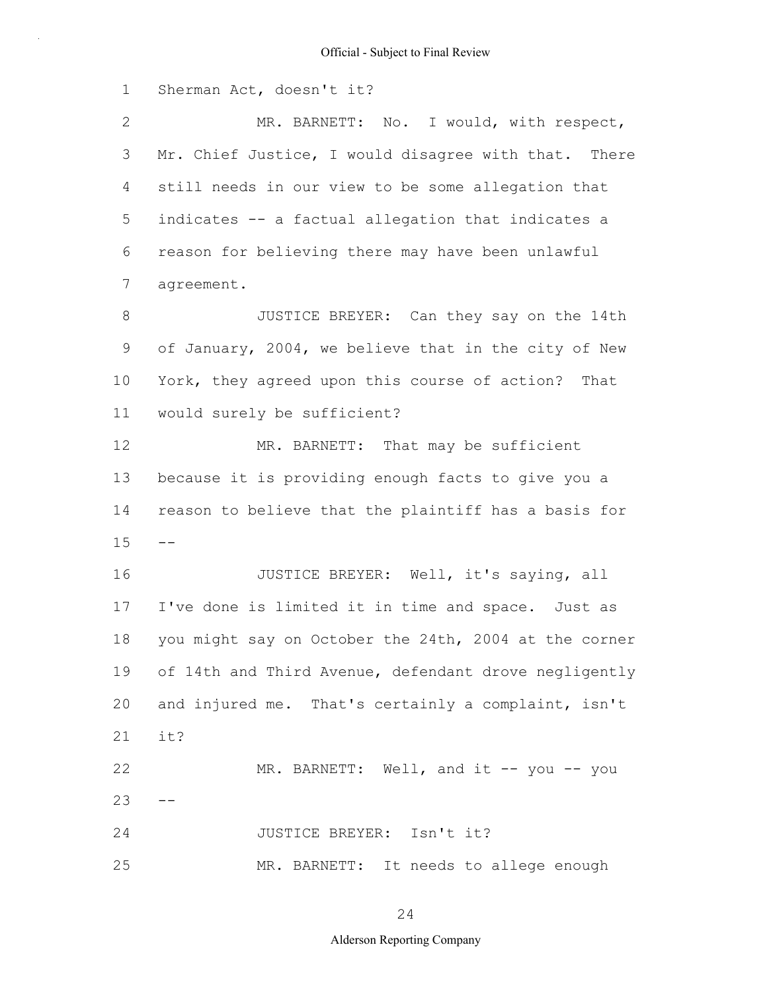1 2 3 4 5 6 7 8 9 10 11 12 13 14  $15 - -$ 16 17 18 19 20 21 22  $23 - -$ 24 25 Sherman Act, doesn't it? MR. BARNETT: No. I would, with respect, Mr. Chief Justice, I would disagree with that. There still needs in our view to be some allegation that indicates -- a factual allegation that indicates a reason for believing there may have been unlawful agreement. JUSTICE BREYER: Can they say on the 14th of January, 2004, we believe that in the city of New York, they agreed upon this course of action? That would surely be sufficient? MR. BARNETT: That may be sufficient because it is providing enough facts to give you a reason to believe that the plaintiff has a basis for JUSTICE BREYER: Well, it's saying, all I've done is limited it in time and space. Just as you might say on October the 24th, 2004 at the corner of 14th and Third Avenue, defendant drove negligently and injured me. That's certainly a complaint, isn't it? MR. BARNETT: Well, and it -- you -- you JUSTICE BREYER: Isn't it? MR. BARNETT: It needs to allege enough

24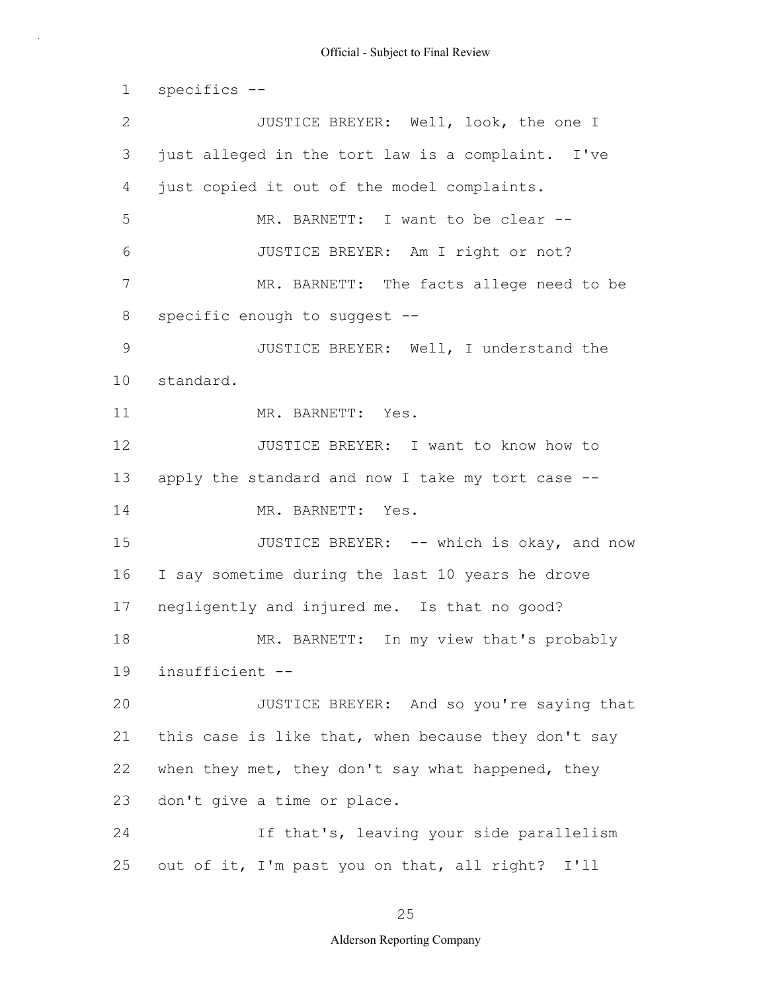1 2 3 4 5 6 7 8 9 10 11 12 13 14 15 16 17 18 19 20 21 22 23 24 25 specifics -- JUSTICE BREYER: Well, look, the one I just alleged in the tort law is a complaint. I've just copied it out of the model complaints. MR. BARNETT: I want to be clear --JUSTICE BREYER: Am I right or not? MR. BARNETT: The facts allege need to be specific enough to suggest -- JUSTICE BREYER: Well, I understand the standard. MR. BARNETT: Yes. JUSTICE BREYER: I want to know how to apply the standard and now I take my tort case -- MR. BARNETT: Yes. JUSTICE BREYER: -- which is okay, and now I say sometime during the last 10 years he drove negligently and injured me. Is that no good? MR. BARNETT: In my view that's probably insufficient -- JUSTICE BREYER: And so you're saying that this case is like that, when because they don't say when they met, they don't say what happened, they don't give a time or place. If that's, leaving your side parallelism out of it, I'm past you on that, all right? I'll

25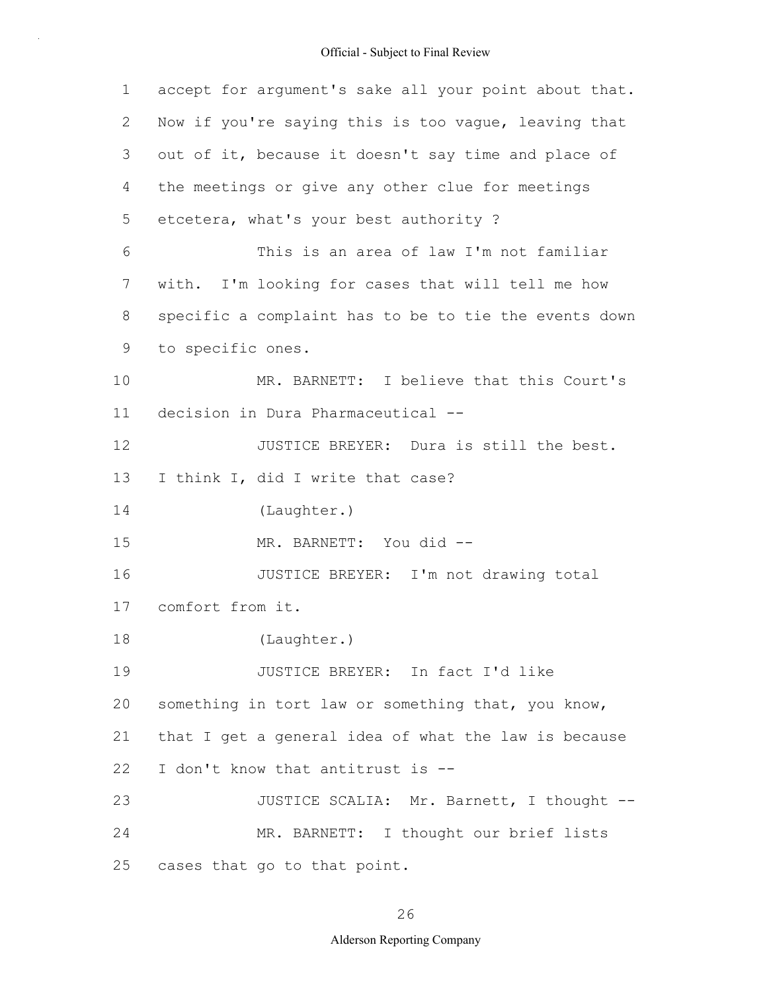| $\mathbf 1$ | accept for argument's sake all your point about that. |
|-------------|-------------------------------------------------------|
| 2           | Now if you're saying this is too vague, leaving that  |
| 3           | out of it, because it doesn't say time and place of   |
| 4           | the meetings or give any other clue for meetings      |
| 5           | etcetera, what's your best authority ?                |
| 6           | This is an area of law I'm not familiar               |
| 7           | with. I'm looking for cases that will tell me how     |
| 8           | specific a complaint has to be to tie the events down |
| 9           | to specific ones.                                     |
| 10          | MR. BARNETT: I believe that this Court's              |
| 11          | decision in Dura Pharmaceutical --                    |
| 12          | JUSTICE BREYER: Dura is still the best.               |
| 13          | I think I, did I write that case?                     |
| 14          | (Laughter.)                                           |
| 15          | MR. BARNETT: You did --                               |
| 16          | JUSTICE BREYER: I'm not drawing total                 |
| 17          | comfort from it.                                      |
| 18          | (Laughter.)                                           |
| 19          | JUSTICE BREYER: In fact I'd like                      |
| 20          | something in tort law or something that, you know,    |
| 21          | that I get a general idea of what the law is because  |
| 22          | I don't know that antitrust is --                     |
| 23          | JUSTICE SCALIA: Mr. Barnett, I thought --             |
| 24          | MR. BARNETT: I thought our brief lists                |
| 25          | cases that go to that point.                          |

26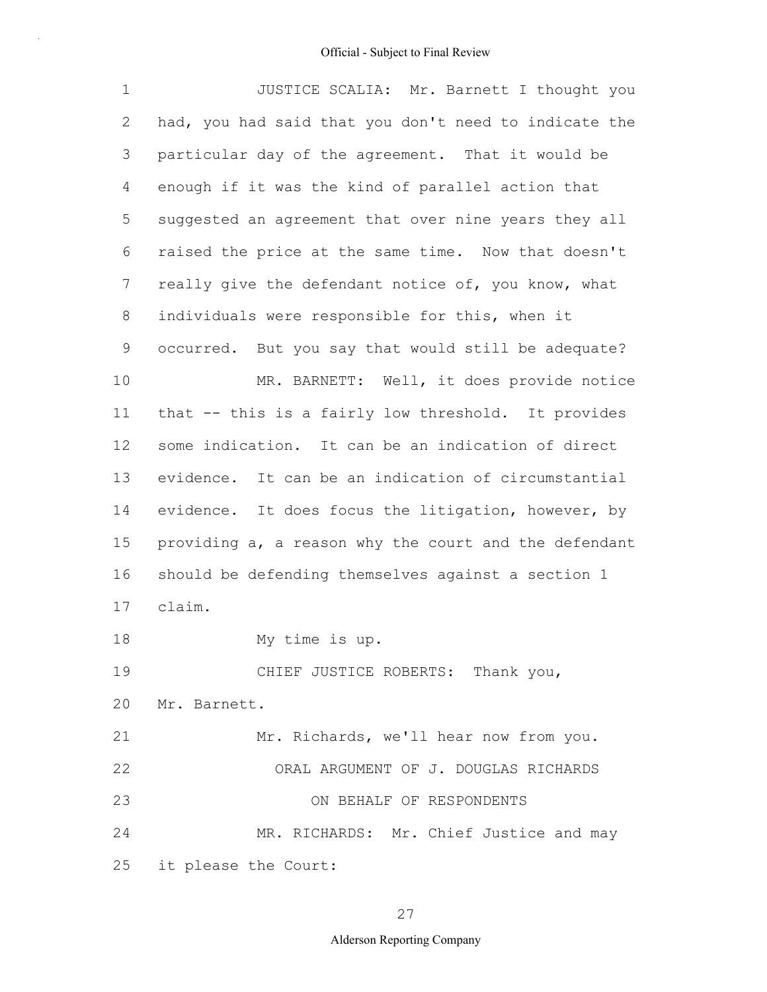| $\mathbf 1$     | JUSTICE SCALIA: Mr. Barnett I thought you             |  |  |  |  |  |
|-----------------|-------------------------------------------------------|--|--|--|--|--|
| $\mathbf{2}$    | had, you had said that you don't need to indicate the |  |  |  |  |  |
| 3               | particular day of the agreement. That it would be     |  |  |  |  |  |
| 4               | enough if it was the kind of parallel action that     |  |  |  |  |  |
| 5               | suggested an agreement that over nine years they all  |  |  |  |  |  |
| 6               | raised the price at the same time. Now that doesn't   |  |  |  |  |  |
| $7\phantom{.0}$ | really give the defendant notice of, you know, what   |  |  |  |  |  |
| 8               | individuals were responsible for this, when it        |  |  |  |  |  |
| 9               | occurred. But you say that would still be adequate?   |  |  |  |  |  |
| 10              | MR. BARNETT: Well, it does provide notice             |  |  |  |  |  |
| 11              | that -- this is a fairly low threshold. It provides   |  |  |  |  |  |
| 12              | some indication. It can be an indication of direct    |  |  |  |  |  |
| 13              | evidence. It can be an indication of circumstantial   |  |  |  |  |  |
| 14              | evidence. It does focus the litigation, however, by   |  |  |  |  |  |
| 15              | providing a, a reason why the court and the defendant |  |  |  |  |  |
| 16              | should be defending themselves against a section 1    |  |  |  |  |  |
| 17              | claim.                                                |  |  |  |  |  |
| 18              | My time is up.                                        |  |  |  |  |  |
| 19              | CHIEF JUSTICE ROBERTS: Thank you,                     |  |  |  |  |  |
| 20              | Mr. Barnett.                                          |  |  |  |  |  |
| 21              | Mr. Richards, we'll hear now from you.                |  |  |  |  |  |
| 22              | ORAL ARGUMENT OF J. DOUGLAS RICHARDS                  |  |  |  |  |  |
| 23              | ON BEHALF OF RESPONDENTS                              |  |  |  |  |  |
| 24              | MR. RICHARDS: Mr. Chief Justice and may               |  |  |  |  |  |
| 25              | it please the Court:                                  |  |  |  |  |  |

## 27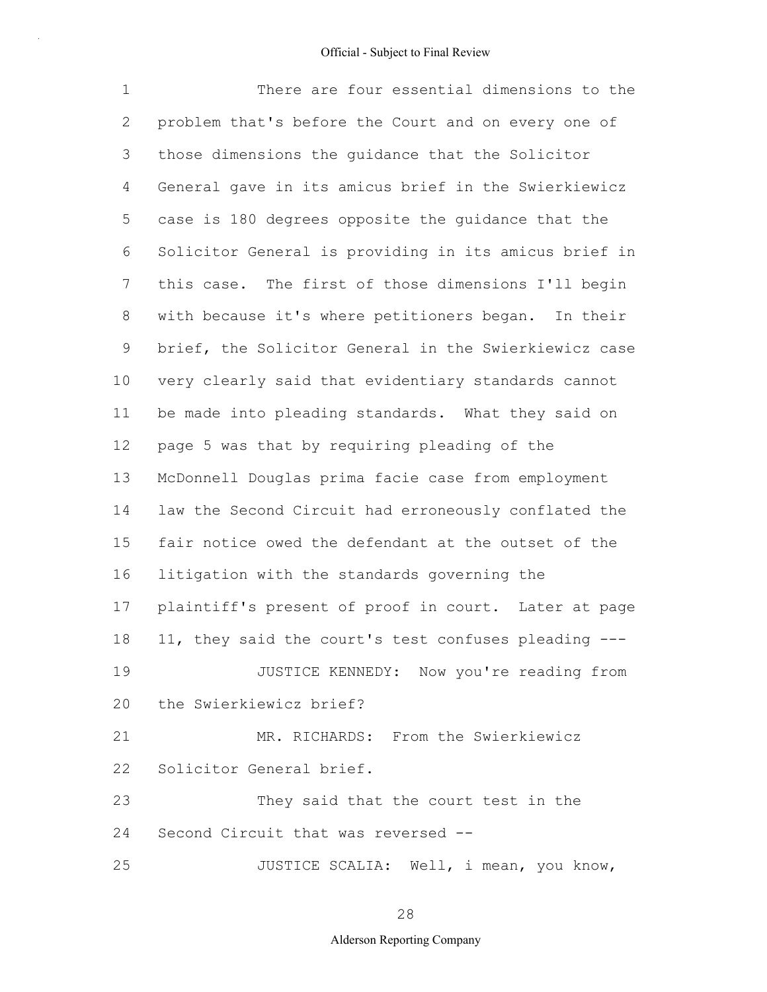1 2 3 4 5 6 7 8 9 10 11 12 13 14 15 16 17 18 19 20 21 22 23 24 25 There are four essential dimensions to the problem that's before the Court and on every one of those dimensions the guidance that the Solicitor General gave in its amicus brief in the Swierkiewicz case is 180 degrees opposite the guidance that the Solicitor General is providing in its amicus brief in this case. The first of those dimensions I'll begin with because it's where petitioners began. In their brief, the Solicitor General in the Swierkiewicz case very clearly said that evidentiary standards cannot be made into pleading standards. What they said on page 5 was that by requiring pleading of the McDonnell Douglas prima facie case from employment law the Second Circuit had erroneously conflated the fair notice owed the defendant at the outset of the litigation with the standards governing the plaintiff's present of proof in court. Later at page 11, they said the court's test confuses pleading --- JUSTICE KENNEDY: Now you're reading from the Swierkiewicz brief? MR. RICHARDS: From the Swierkiewicz Solicitor General brief. They said that the court test in the Second Circuit that was reversed -- JUSTICE SCALIA: Well, i mean, you know,

28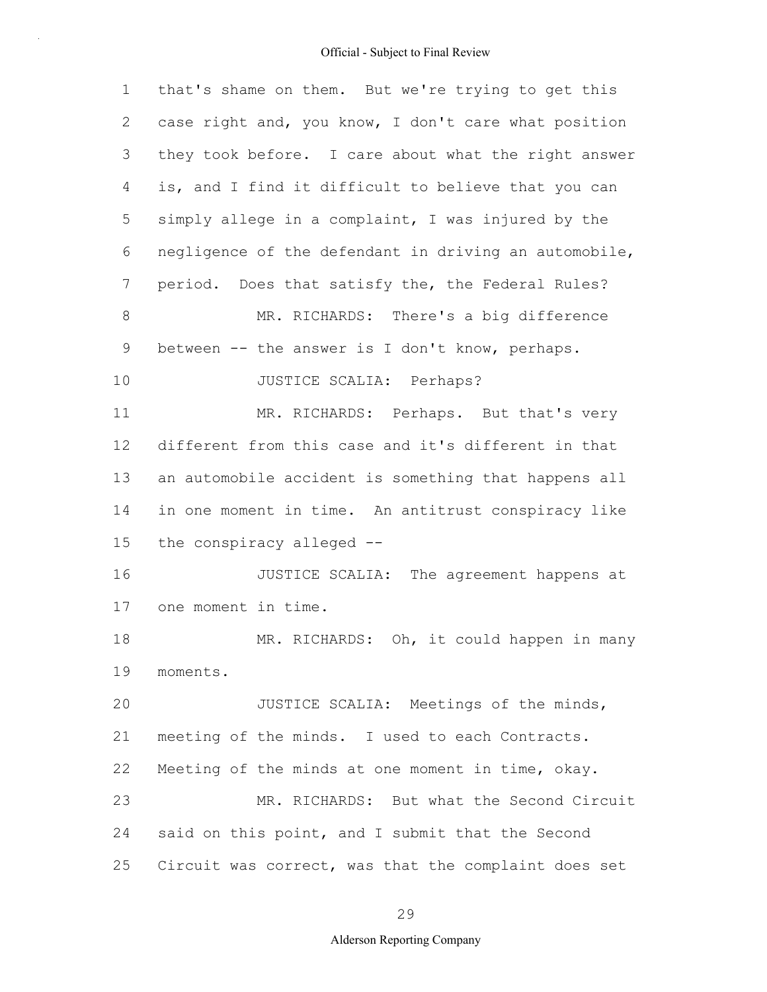| 1  | that's shame on them. But we're trying to get this    |
|----|-------------------------------------------------------|
| 2  | case right and, you know, I don't care what position  |
| 3  | they took before. I care about what the right answer  |
| 4  | is, and I find it difficult to believe that you can   |
| 5  | simply allege in a complaint, I was injured by the    |
| 6  | negligence of the defendant in driving an automobile, |
| 7  | period. Does that satisfy the, the Federal Rules?     |
| 8  | MR. RICHARDS: There's a big difference                |
| 9  | between -- the answer is I don't know, perhaps.       |
| 10 | JUSTICE SCALIA: Perhaps?                              |
| 11 | MR. RICHARDS: Perhaps. But that's very                |
| 12 | different from this case and it's different in that   |
| 13 | an automobile accident is something that happens all  |
| 14 | in one moment in time. An antitrust conspiracy like   |
| 15 | the conspiracy alleged --                             |
| 16 | JUSTICE SCALIA: The agreement happens at              |
| 17 | one moment in time.                                   |
| 18 | MR. RICHARDS: Oh, it could happen in many             |
| 19 | moments.                                              |
| 20 | JUSTICE SCALIA: Meetings of the minds,                |
| 21 | meeting of the minds. I used to each Contracts.       |
| 22 | Meeting of the minds at one moment in time, okay.     |
| 23 | MR. RICHARDS: But what the Second Circuit             |
| 24 | said on this point, and I submit that the Second      |
| 25 | Circuit was correct, was that the complaint does set  |

29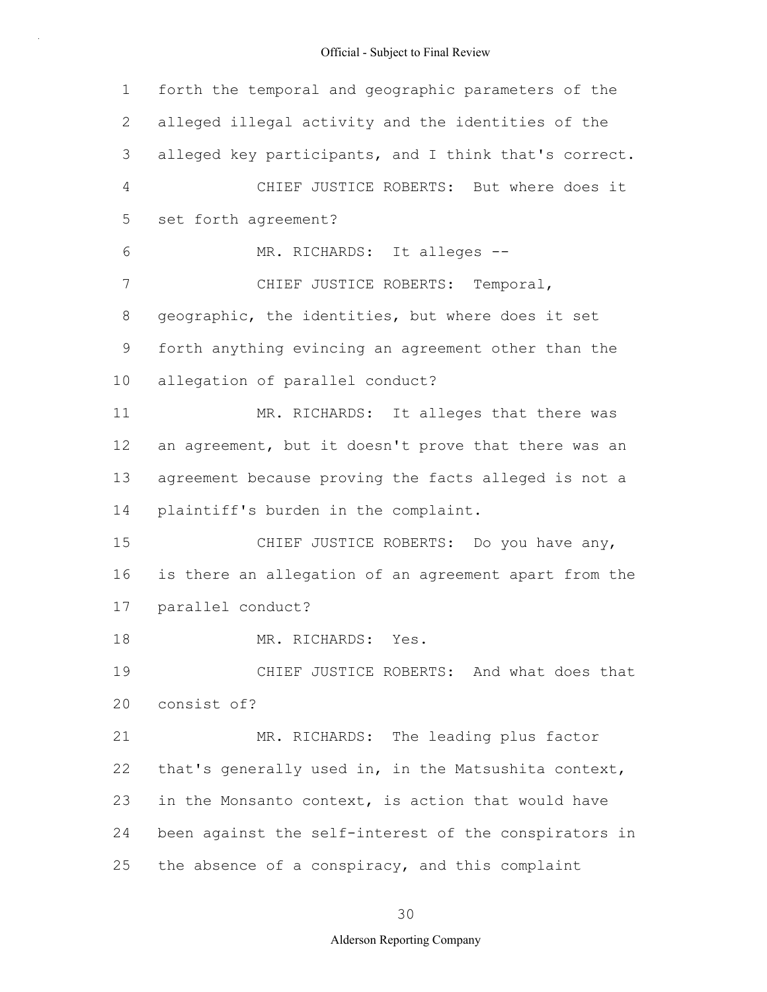| 1              | forth the temporal and geographic parameters of the   |
|----------------|-------------------------------------------------------|
| 2              | alleged illegal activity and the identities of the    |
| 3              | alleged key participants, and I think that's correct. |
| $\overline{4}$ | CHIEF JUSTICE ROBERTS: But where does it              |
| 5              | set forth agreement?                                  |
| 6              | MR. RICHARDS: It alleges --                           |
| 7              | CHIEF JUSTICE ROBERTS: Temporal,                      |
| 8              | geographic, the identities, but where does it set     |
| 9              | forth anything evincing an agreement other than the   |
| 10             | allegation of parallel conduct?                       |
| 11             | MR. RICHARDS: It alleges that there was               |
| 12             | an agreement, but it doesn't prove that there was an  |
| 13             | agreement because proving the facts alleged is not a  |
| 14             | plaintiff's burden in the complaint.                  |
| 15             | CHIEF JUSTICE ROBERTS: Do you have any,               |
| 16             | is there an allegation of an agreement apart from the |
| 17             | parallel conduct?                                     |
| 18             | MR. RICHARDS: Yes.                                    |
| 19             | CHIEF JUSTICE ROBERTS: And what does that             |
| 20             | consist of?                                           |
| 21             | MR. RICHARDS: The leading plus factor                 |
| 22             | that's generally used in, in the Matsushita context,  |
| 23             | in the Monsanto context, is action that would have    |
| 24             | been against the self-interest of the conspirators in |
| 25             | the absence of a conspiracy, and this complaint       |

30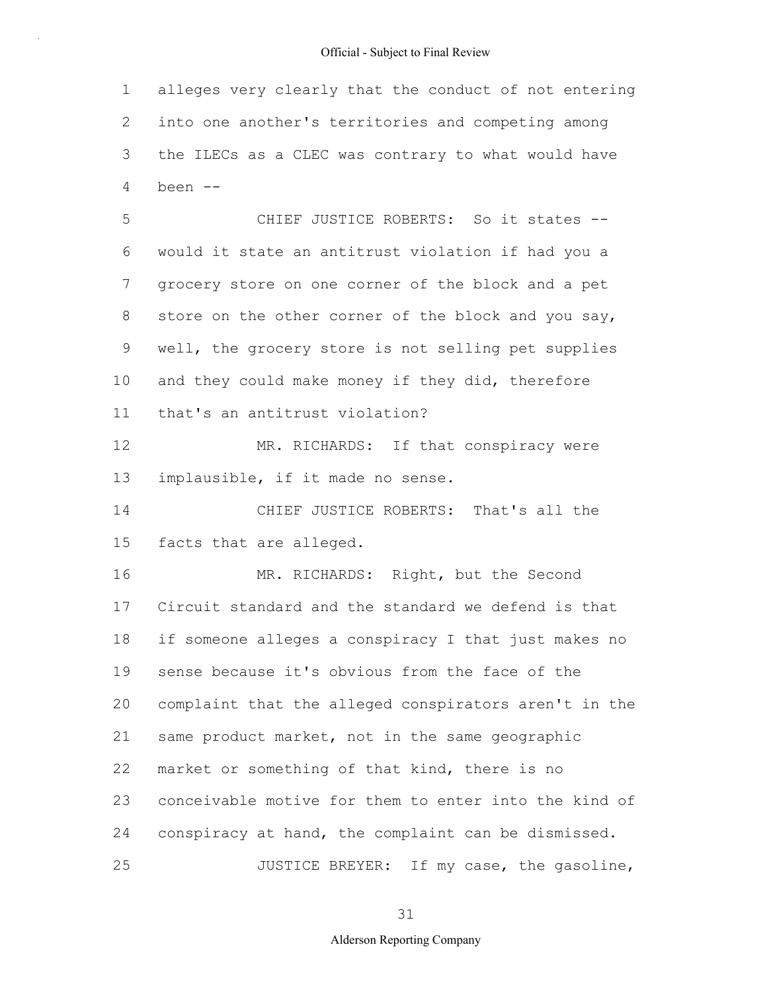1 2 3 4 alleges very clearly that the conduct of not entering into one another's territories and competing among the ILECs as a CLEC was contrary to what would have been --

5 6 7 8 9 10 11 CHIEF JUSTICE ROBERTS: So it states - would it state an antitrust violation if had you a grocery store on one corner of the block and a pet store on the other corner of the block and you say, well, the grocery store is not selling pet supplies and they could make money if they did, therefore that's an antitrust violation?

12 13 MR. RICHARDS: If that conspiracy were implausible, if it made no sense.

14 15 CHIEF JUSTICE ROBERTS: That's all the facts that are alleged.

16 17 18 19 20 21 22 23 24 25 MR. RICHARDS: Right, but the Second Circuit standard and the standard we defend is that if someone alleges a conspiracy I that just makes no sense because it's obvious from the face of the complaint that the alleged conspirators aren't in the same product market, not in the same geographic market or something of that kind, there is no conceivable motive for them to enter into the kind of conspiracy at hand, the complaint can be dismissed. JUSTICE BREYER: If my case, the gasoline,

31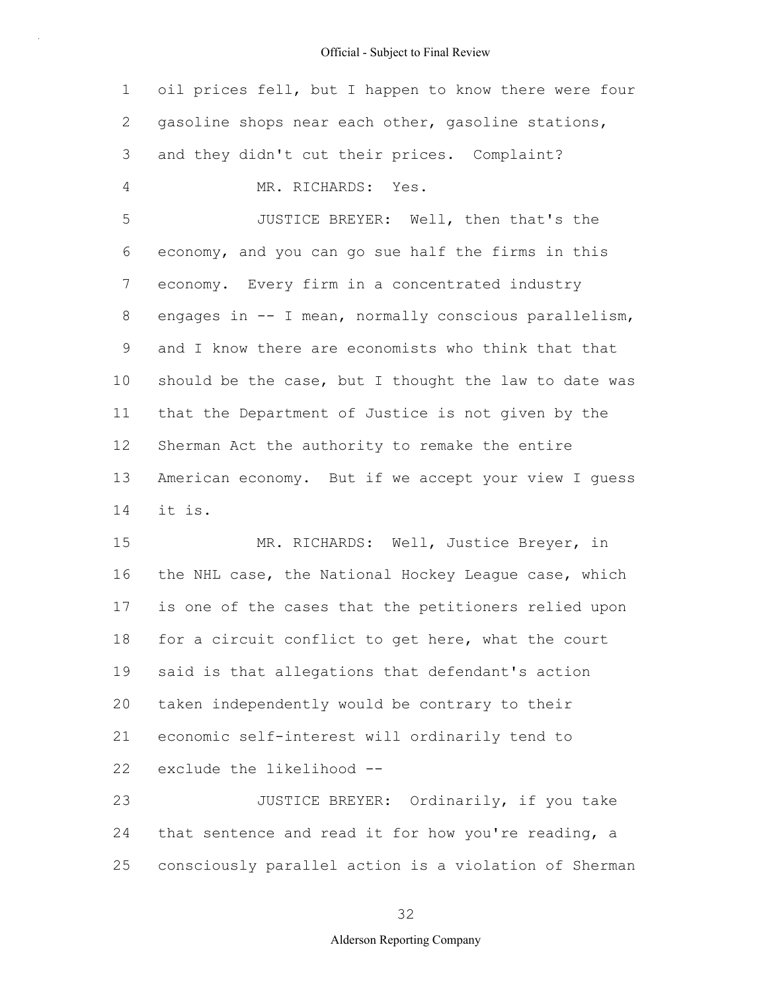1 2 3 4 5 6 7 8 9 10 11 12 13 14 15 16 17 18 19 oil prices fell, but I happen to know there were four gasoline shops near each other, gasoline stations, and they didn't cut their prices. Complaint? MR. RICHARDS: Yes. JUSTICE BREYER: Well, then that's the economy, and you can go sue half the firms in this economy. Every firm in a concentrated industry engages in -- I mean, normally conscious parallelism, and I know there are economists who think that that should be the case, but I thought the law to date was that the Department of Justice is not given by the Sherman Act the authority to remake the entire American economy. But if we accept your view I guess it is. MR. RICHARDS: Well, Justice Breyer, in the NHL case, the National Hockey League case, which is one of the cases that the petitioners relied upon for a circuit conflict to get here, what the court said is that allegations that defendant's action

20 21 taken independently would be contrary to their economic self-interest will ordinarily tend to

22 exclude the likelihood --

23 24 25 JUSTICE BREYER: Ordinarily, if you take that sentence and read it for how you're reading, a consciously parallel action is a violation of Sherman

32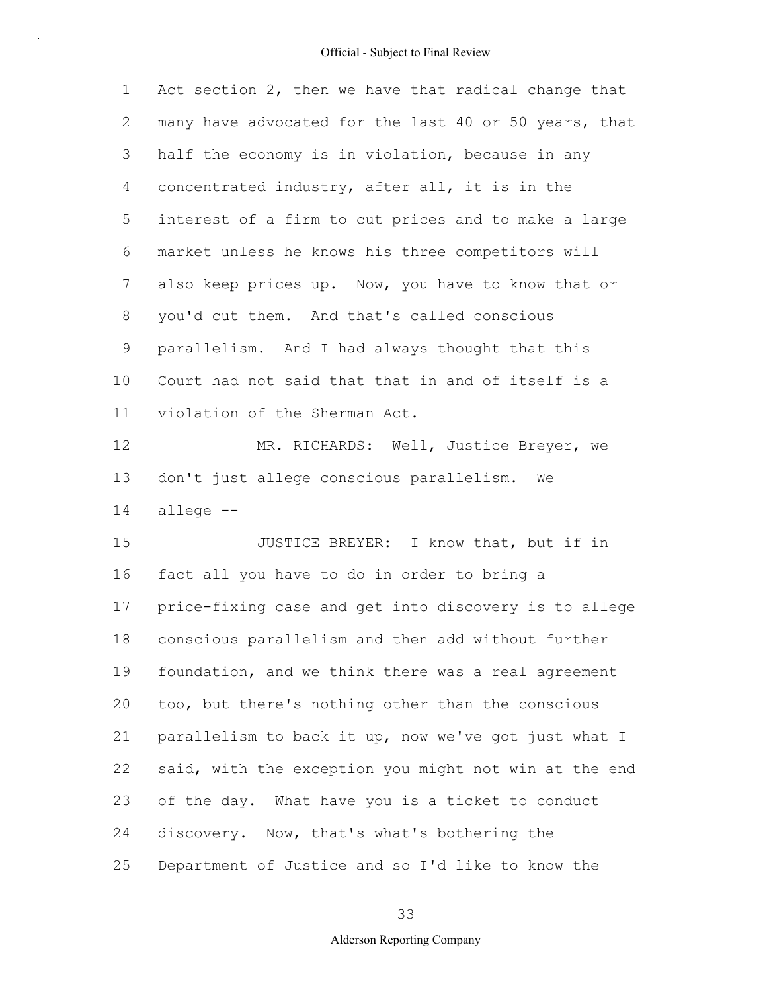| $\mathbf 1$ | Act section 2, then we have that radical change that  |
|-------------|-------------------------------------------------------|
| 2           | many have advocated for the last 40 or 50 years, that |
| 3           | half the economy is in violation, because in any      |
| 4           | concentrated industry, after all, it is in the        |
| 5           | interest of a firm to cut prices and to make a large  |
| 6           | market unless he knows his three competitors will     |
| 7           | also keep prices up. Now, you have to know that or    |
| 8           | you'd cut them. And that's called conscious           |
| 9           | parallelism. And I had always thought that this       |
| 10          | Court had not said that that in and of itself is a    |
| 11          | violation of the Sherman Act.                         |
| 12          | MR. RICHARDS: Well, Justice Breyer, we                |
| 13          | don't just allege conscious parallelism. We           |
| 14          | allege --                                             |
| 15          | JUSTICE BREYER: I know that, but if in                |
| 16          | fact all you have to do in order to bring a           |
| 17          | price-fixing case and get into discovery is to allege |
| 18          | conscious parallelism and then add without further    |
| 19          | foundation, and we think there was a real agreement   |
| 20          | too, but there's nothing other than the conscious     |
| 21          | parallelism to back it up, now we've got just what I  |
| 22          | said, with the exception you might not win at the end |
| 23          | of the day. What have you is a ticket to conduct      |
| 24          | discovery. Now, that's what's bothering the           |
|             |                                                       |

25 Department of Justice and so I'd like to know the

33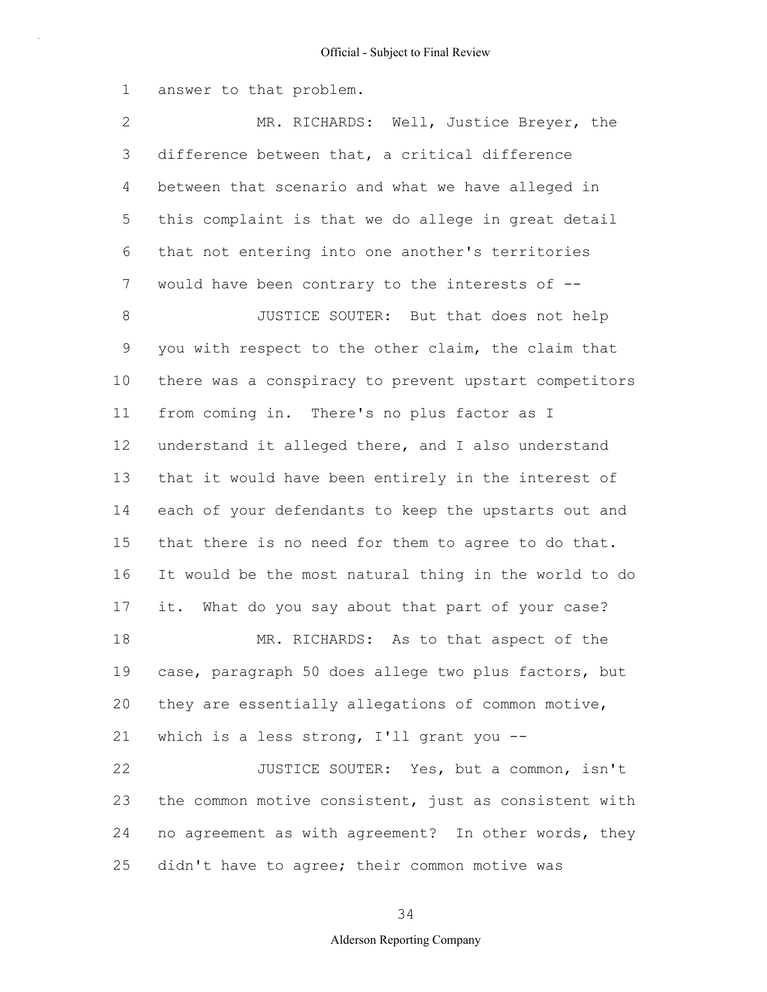1 answer to that problem.

2 3 4 5 6 7 8 9 10 11 12 13 14 15 16 17 18 19 20 21 22 23 24 25 MR. RICHARDS: Well, Justice Breyer, the difference between that, a critical difference between that scenario and what we have alleged in this complaint is that we do allege in great detail that not entering into one another's territories would have been contrary to the interests of -- JUSTICE SOUTER: But that does not help you with respect to the other claim, the claim that there was a conspiracy to prevent upstart competitors from coming in. There's no plus factor as I understand it alleged there, and I also understand that it would have been entirely in the interest of each of your defendants to keep the upstarts out and that there is no need for them to agree to do that. It would be the most natural thing in the world to do it. What do you say about that part of your case? MR. RICHARDS: As to that aspect of the case, paragraph 50 does allege two plus factors, but they are essentially allegations of common motive, which is a less strong, I'll grant you --JUSTICE SOUTER: Yes, but a common, isn't the common motive consistent, just as consistent with no agreement as with agreement? In other words, they didn't have to agree; their common motive was

34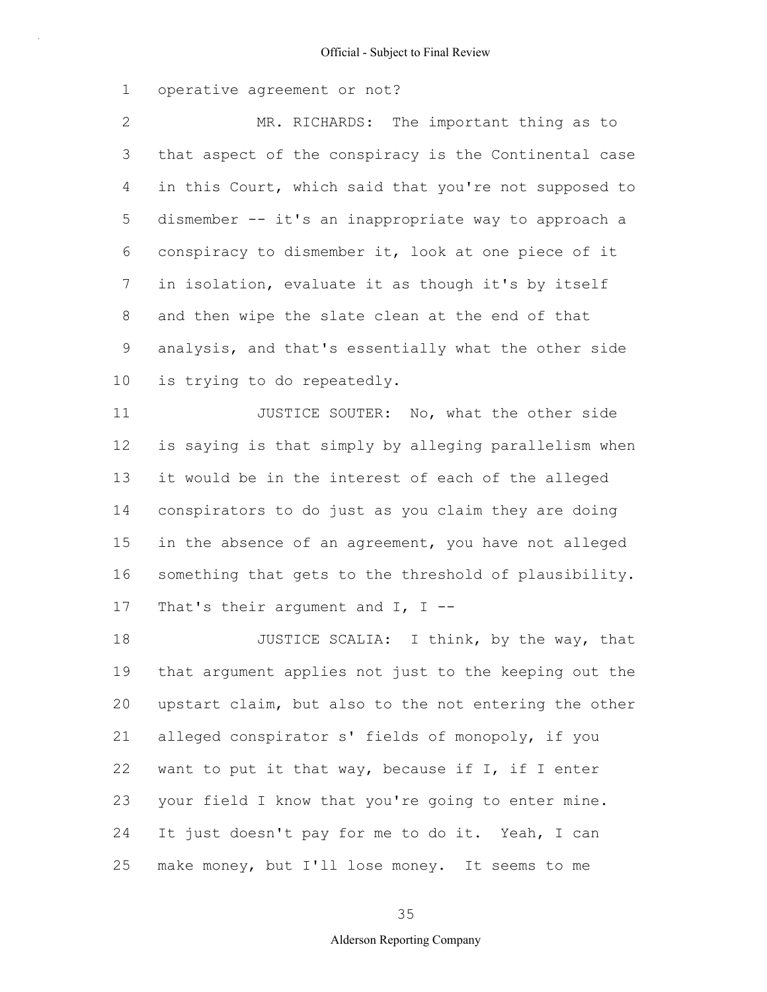1 operative agreement or not?

2 3 4 5 6 7 8 9 10 MR. RICHARDS: The important thing as to that aspect of the conspiracy is the Continental case in this Court, which said that you're not supposed to dismember -- it's an inappropriate way to approach a conspiracy to dismember it, look at one piece of it in isolation, evaluate it as though it's by itself and then wipe the slate clean at the end of that analysis, and that's essentially what the other side is trying to do repeatedly.

11 12 13 14 15 16 17 JUSTICE SOUTER: No, what the other side is saying is that simply by alleging parallelism when it would be in the interest of each of the alleged conspirators to do just as you claim they are doing in the absence of an agreement, you have not alleged something that gets to the threshold of plausibility. That's their argument and  $I$ ,  $I$  --

18 19 20 21 22 23 24 25 JUSTICE SCALIA: I think, by the way, that that argument applies not just to the keeping out the upstart claim, but also to the not entering the other alleged conspirator s' fields of monopoly, if you want to put it that way, because if I, if I enter your field I know that you're going to enter mine. It just doesn't pay for me to do it. Yeah, I can make money, but I'll lose money. It seems to me

#### 35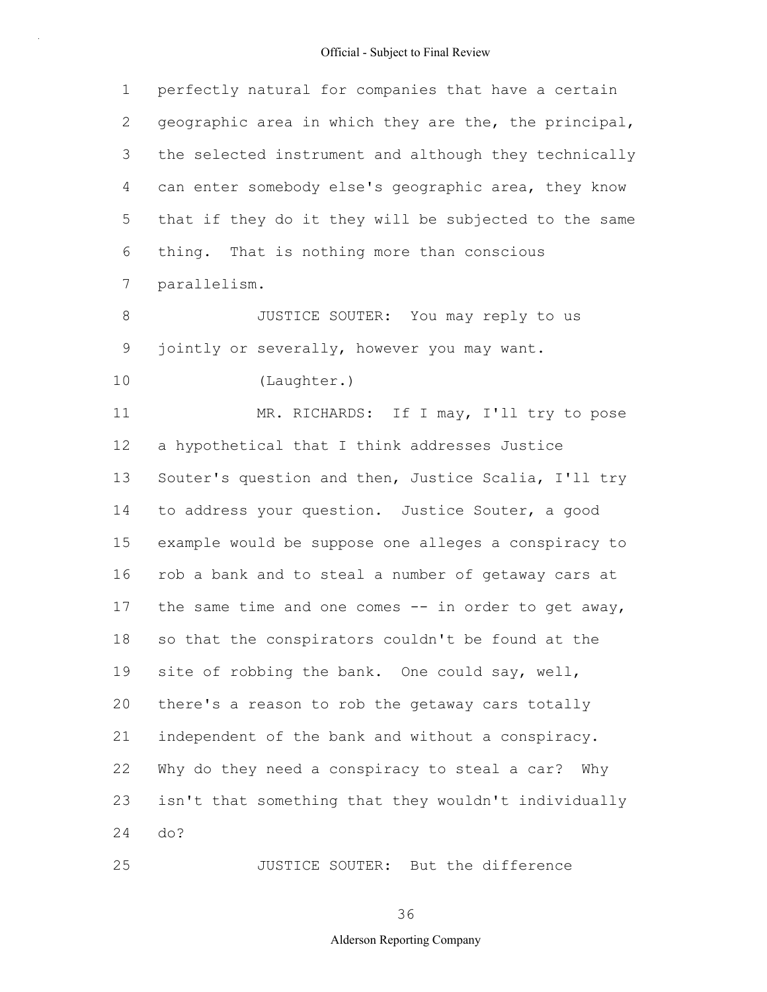| 1               | perfectly natural for companies that have a certain    |
|-----------------|--------------------------------------------------------|
| 2               | geographic area in which they are the, the principal,  |
| 3               | the selected instrument and although they technically  |
| 4               | can enter somebody else's geographic area, they know   |
| 5               | that if they do it they will be subjected to the same  |
| 6               | thing. That is nothing more than conscious             |
| $7\phantom{.0}$ | parallelism.                                           |
| 8               | JUSTICE SOUTER: You may reply to us                    |
| $\mathsf 9$     | jointly or severally, however you may want.            |
| 10              | (Laughter.)                                            |
| 11              | MR. RICHARDS: If I may, I'll try to pose               |
| 12              | a hypothetical that I think addresses Justice          |
| 13              | Souter's question and then, Justice Scalia, I'll try   |
| 14              | to address your question. Justice Souter, a good       |
| 15              | example would be suppose one alleges a conspiracy to   |
| 16              | rob a bank and to steal a number of getaway cars at    |
| 17              | the same time and one comes $--$ in order to get away, |
| 18              | so that the conspirators couldn't be found at the      |
| 19              | site of robbing the bank. One could say, well,         |
| 20              | there's a reason to rob the getaway cars totally       |
| 21              | independent of the bank and without a conspiracy.      |
| 22              | Why do they need a conspiracy to steal a car? Why      |
| 23              | isn't that something that they wouldn't individually   |
| 24              | do?                                                    |
| 25              | JUSTICE SOUTER: But the difference                     |

36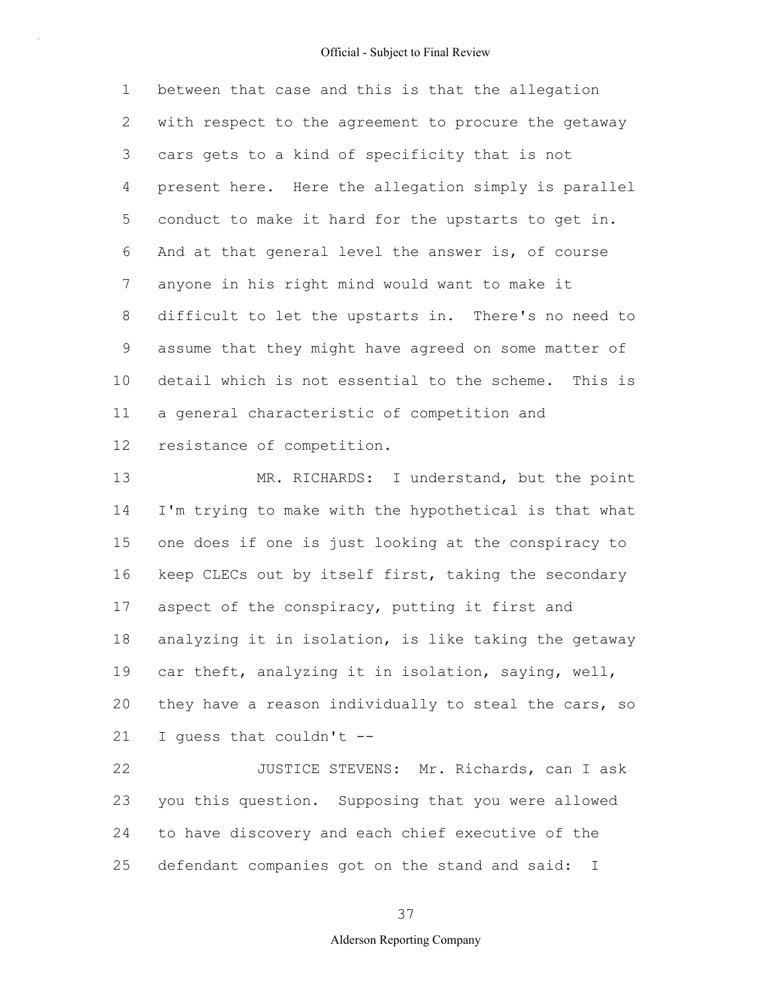1 2 3 4 5 6 7 8 9 10 11 12 between that case and this is that the allegation with respect to the agreement to procure the getaway cars gets to a kind of specificity that is not present here. Here the allegation simply is parallel conduct to make it hard for the upstarts to get in. And at that general level the answer is, of course anyone in his right mind would want to make it difficult to let the upstarts in. There's no need to assume that they might have agreed on some matter of detail which is not essential to the scheme. This is a general characteristic of competition and resistance of competition.

13 14 15 16 17 18 19 20 21 MR. RICHARDS: I understand, but the point I'm trying to make with the hypothetical is that what one does if one is just looking at the conspiracy to keep CLECs out by itself first, taking the secondary aspect of the conspiracy, putting it first and analyzing it in isolation, is like taking the getaway car theft, analyzing it in isolation, saying, well, they have a reason individually to steal the cars, so I guess that couldn't --

22 23 24 25 JUSTICE STEVENS: Mr. Richards, can I ask you this question. Supposing that you were allowed to have discovery and each chief executive of the defendant companies got on the stand and said: I

37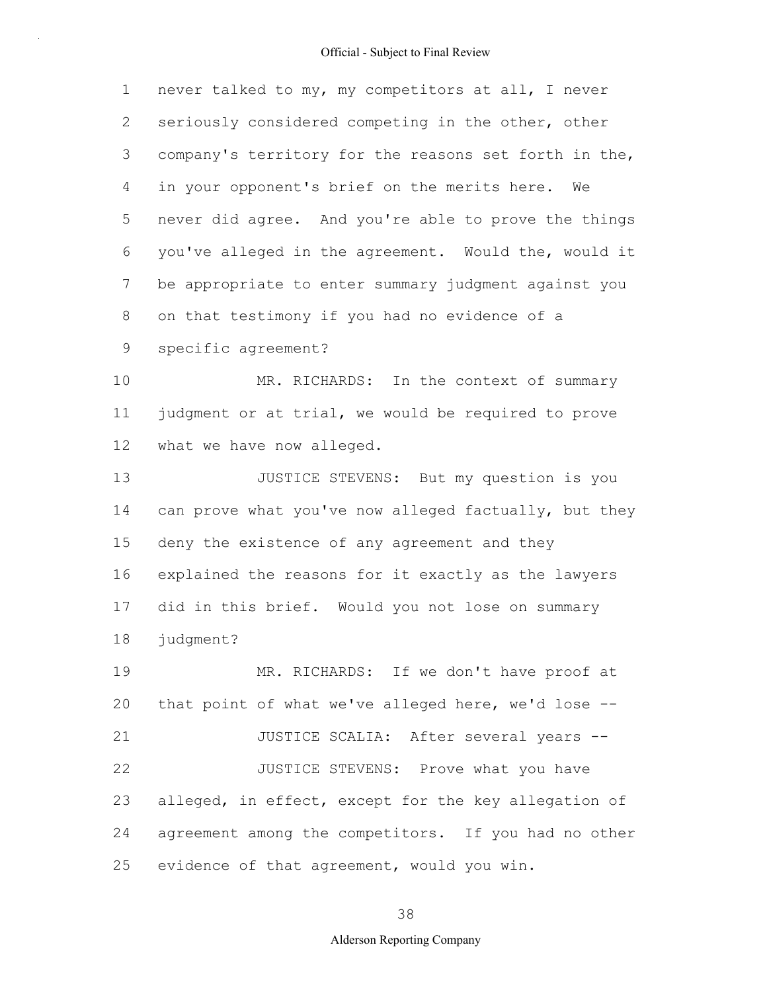1 2 3 4 5 6 7 8 9 never talked to my, my competitors at all, I never seriously considered competing in the other, other company's territory for the reasons set forth in the, in your opponent's brief on the merits here. We never did agree. And you're able to prove the things you've alleged in the agreement. Would the, would it be appropriate to enter summary judgment against you on that testimony if you had no evidence of a specific agreement?

10 11 12 MR. RICHARDS: In the context of summary judgment or at trial, we would be required to prove what we have now alleged.

13 14 15 16 17 18 JUSTICE STEVENS: But my question is you can prove what you've now alleged factually, but they deny the existence of any agreement and they explained the reasons for it exactly as the lawyers did in this brief. Would you not lose on summary judgment?

19 20 21 22 23 24 25 MR. RICHARDS: If we don't have proof at that point of what we've alleged here, we'd lose -- JUSTICE SCALIA: After several years -- JUSTICE STEVENS: Prove what you have alleged, in effect, except for the key allegation of agreement among the competitors. If you had no other evidence of that agreement, would you win.

38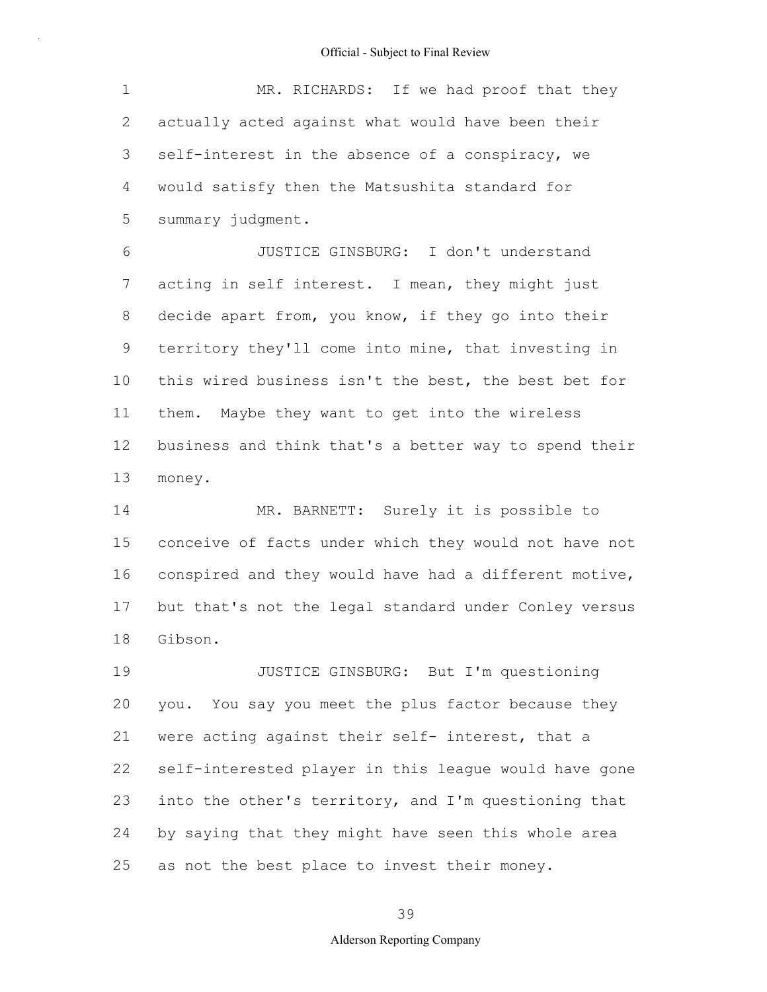1 2 3 4 5 MR. RICHARDS: If we had proof that they actually acted against what would have been their self-interest in the absence of a conspiracy, we would satisfy then the Matsushita standard for summary judgment.

6 7 8 9 10 11 12 13 JUSTICE GINSBURG: I don't understand acting in self interest. I mean, they might just decide apart from, you know, if they go into their territory they'll come into mine, that investing in this wired business isn't the best, the best bet for them. Maybe they want to get into the wireless business and think that's a better way to spend their money.

14 15 16 17 18 MR. BARNETT: Surely it is possible to conceive of facts under which they would not have not conspired and they would have had a different motive, but that's not the legal standard under Conley versus Gibson.

19 20 21 22 23 24 25 JUSTICE GINSBURG: But I'm questioning you. You say you meet the plus factor because they were acting against their self- interest, that a self-interested player in this league would have gone into the other's territory, and I'm questioning that by saying that they might have seen this whole area as not the best place to invest their money.

#### 39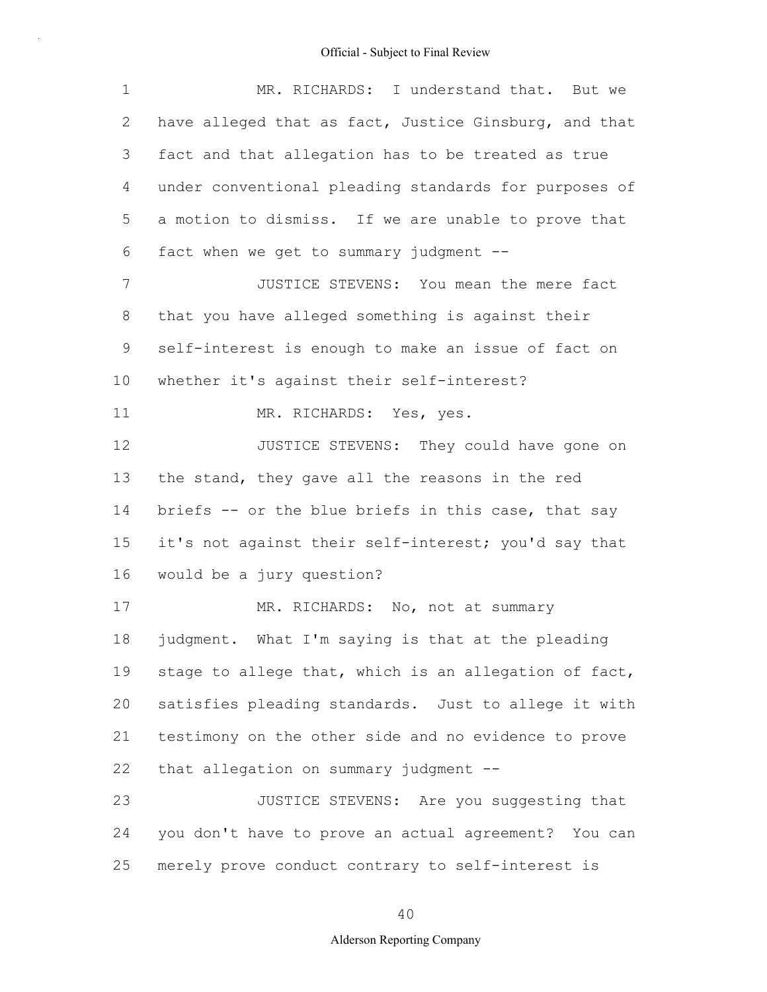| 1               | MR. RICHARDS: I understand that. But we               |
|-----------------|-------------------------------------------------------|
| 2               | have alleged that as fact, Justice Ginsburg, and that |
| 3               | fact and that allegation has to be treated as true    |
| 4               | under conventional pleading standards for purposes of |
| 5               | a motion to dismiss. If we are unable to prove that   |
| 6               | fact when we get to summary judgment --               |
| $7\phantom{.0}$ | JUSTICE STEVENS: You mean the mere fact               |
| 8               | that you have alleged something is against their      |
| 9               | self-interest is enough to make an issue of fact on   |
| 10              | whether it's against their self-interest?             |
| 11              | MR. RICHARDS: Yes, yes.                               |
| 12              | JUSTICE STEVENS: They could have gone on              |
| 13              | the stand, they gave all the reasons in the red       |
| 14              | briefs -- or the blue briefs in this case, that say   |
| 15              | it's not against their self-interest; you'd say that  |
| 16              | would be a jury question?                             |
| 17              | MR. RICHARDS: No, not at summary                      |
| 18              | judgment. What I'm saying is that at the pleading     |
| 19              | stage to allege that, which is an allegation of fact, |
| 20              | satisfies pleading standards. Just to allege it with  |
| 21              | testimony on the other side and no evidence to prove  |
| 22              | that allegation on summary judgment --                |
| 23              | JUSTICE STEVENS: Are you suggesting that              |
| 24              | you don't have to prove an actual agreement? You can  |
| 25              | merely prove conduct contrary to self-interest is     |

40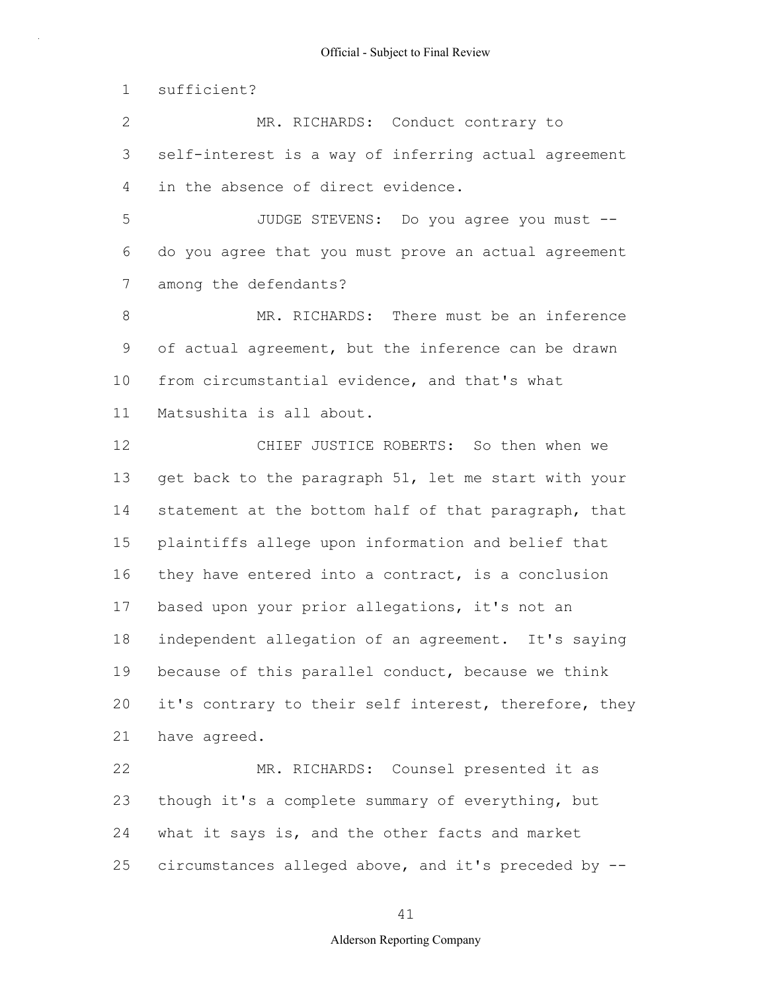1 sufficient?

2 3 4 MR. RICHARDS: Conduct contrary to self-interest is a way of inferring actual agreement in the absence of direct evidence.

5 6 7 JUDGE STEVENS: Do you agree you must - do you agree that you must prove an actual agreement among the defendants?

8 9 10 11 MR. RICHARDS: There must be an inference of actual agreement, but the inference can be drawn from circumstantial evidence, and that's what Matsushita is all about.

12 13 14 15 16 17 18 19 20 21 CHIEF JUSTICE ROBERTS: So then when we get back to the paragraph 51, let me start with your statement at the bottom half of that paragraph, that plaintiffs allege upon information and belief that they have entered into a contract, is a conclusion based upon your prior allegations, it's not an independent allegation of an agreement. It's saying because of this parallel conduct, because we think it's contrary to their self interest, therefore, they have agreed.

22 23 24 25 MR. RICHARDS: Counsel presented it as though it's a complete summary of everything, but what it says is, and the other facts and market circumstances alleged above, and it's preceded by --

#### 41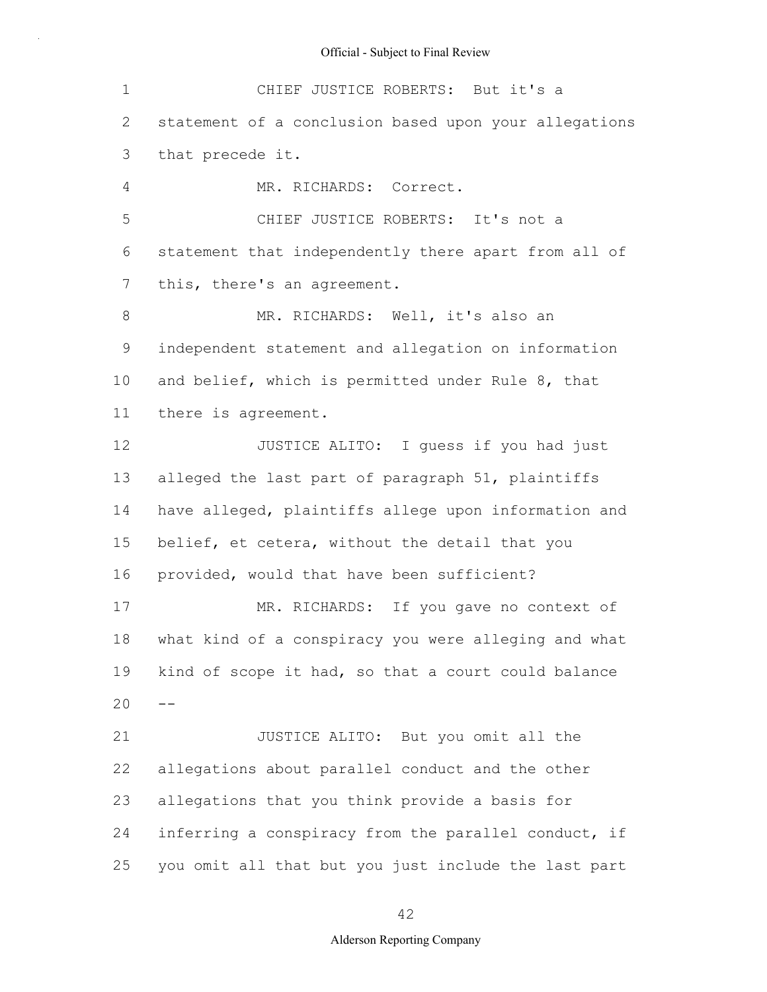| $\mathbf 1$ | CHIEF JUSTICE ROBERTS: But it's a                     |
|-------------|-------------------------------------------------------|
| 2           | statement of a conclusion based upon your allegations |
| 3           | that precede it.                                      |
| 4           | MR. RICHARDS: Correct.                                |
| 5           | CHIEF JUSTICE ROBERTS: It's not a                     |
| 6           | statement that independently there apart from all of  |
| 7           | this, there's an agreement.                           |
| $8\,$       | MR. RICHARDS: Well, it's also an                      |
| 9           | independent statement and allegation on information   |
| 10          | and belief, which is permitted under Rule 8, that     |
| 11          | there is agreement.                                   |
| 12          | JUSTICE ALITO: I quess if you had just                |
| 13          | alleged the last part of paragraph 51, plaintiffs     |
| 14          | have alleged, plaintiffs allege upon information and  |
| 15          | belief, et cetera, without the detail that you        |
| 16          | provided, would that have been sufficient?            |
| 17          | MR. RICHARDS: If you gave no context of               |
| 18          | what kind of a conspiracy you were alleging and what  |
| 19          | kind of scope it had, so that a court could balance   |
| 20          |                                                       |
| 21          | JUSTICE ALITO: But you omit all the                   |
| 22          | allegations about parallel conduct and the other      |
| 23          | allegations that you think provide a basis for        |
| 24          | inferring a conspiracy from the parallel conduct, if  |
| 25          | you omit all that but you just include the last part  |

42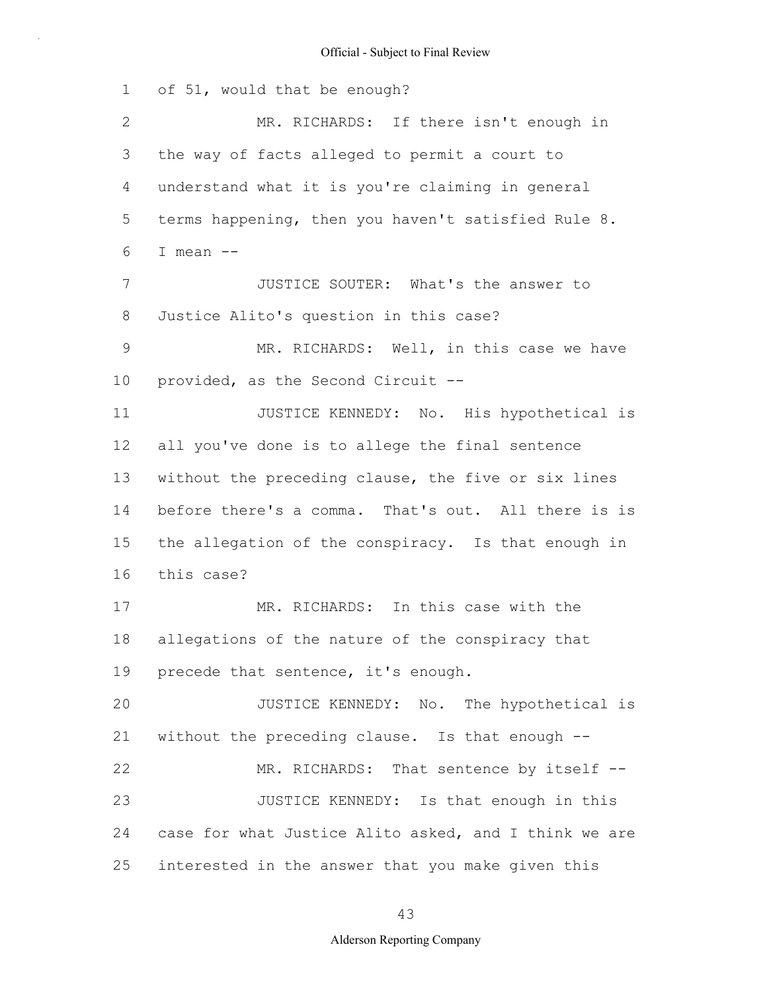1 2 3 4 5 6 7 8 9 10 11 12 13 14 15 16 17 18 19 20 21 22 23 24 25 of 51, would that be enough? MR. RICHARDS: If there isn't enough in the way of facts alleged to permit a court to understand what it is you're claiming in general terms happening, then you haven't satisfied Rule 8. I mean -- JUSTICE SOUTER: What's the answer to Justice Alito's question in this case? MR. RICHARDS: Well, in this case we have provided, as the Second Circuit -- JUSTICE KENNEDY: No. His hypothetical is all you've done is to allege the final sentence without the preceding clause, the five or six lines before there's a comma. That's out. All there is is the allegation of the conspiracy. Is that enough in this case? MR. RICHARDS: In this case with the allegations of the nature of the conspiracy that precede that sentence, it's enough. JUSTICE KENNEDY: No. The hypothetical is without the preceding clause. Is that enough -- MR. RICHARDS: That sentence by itself --JUSTICE KENNEDY: Is that enough in this case for what Justice Alito asked, and I think we are interested in the answer that you make given this

43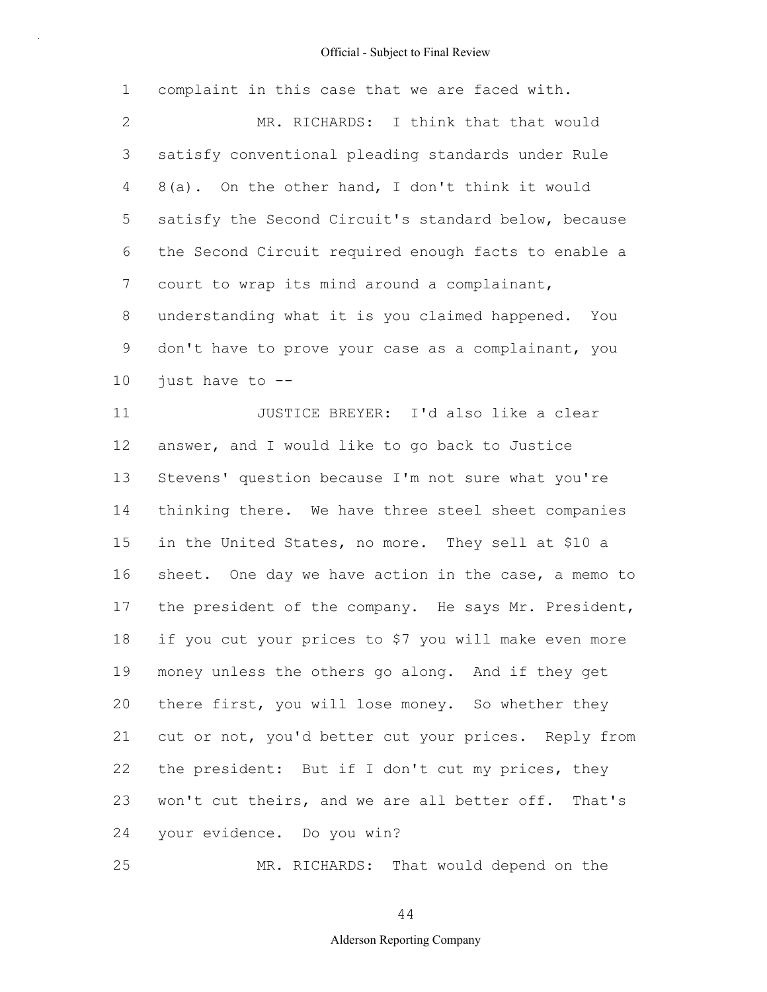| 1            | complaint in this case that we are faced with.        |
|--------------|-------------------------------------------------------|
| $\mathbf{2}$ | MR. RICHARDS: I think that that would                 |
| 3            | satisfy conventional pleading standards under Rule    |
| 4            | 8(a). On the other hand, I don't think it would       |
| 5            | satisfy the Second Circuit's standard below, because  |
| 6            | the Second Circuit required enough facts to enable a  |
| 7            | court to wrap its mind around a complainant,          |
| 8            | understanding what it is you claimed happened. You    |
| 9            | don't have to prove your case as a complainant, you   |
| 10           | just have to --                                       |
| 11           | JUSTICE BREYER: I'd also like a clear                 |
| 12           | answer, and I would like to go back to Justice        |
| 13           | Stevens' question because I'm not sure what you're    |
| 14           | thinking there. We have three steel sheet companies   |
| 15           | in the United States, no more. They sell at \$10 a    |
| 16           | sheet. One day we have action in the case, a memo to  |
| 17           | the president of the company. He says Mr. President,  |
| 18           | if you cut your prices to \$7 you will make even more |
| 19           | money unless the others go along. And if they get     |
| 20           | there first, you will lose money. So whether they     |
| 21           | cut or not, you'd better cut your prices. Reply from  |
| 22           | the president: But if I don't cut my prices, they     |
| 23           | won't cut theirs, and we are all better off. That's   |
| 24           | your evidence. Do you win?                            |
| 25           | MR. RICHARDS: That would depend on the                |

MR. RICHARDS: That would depend on the

44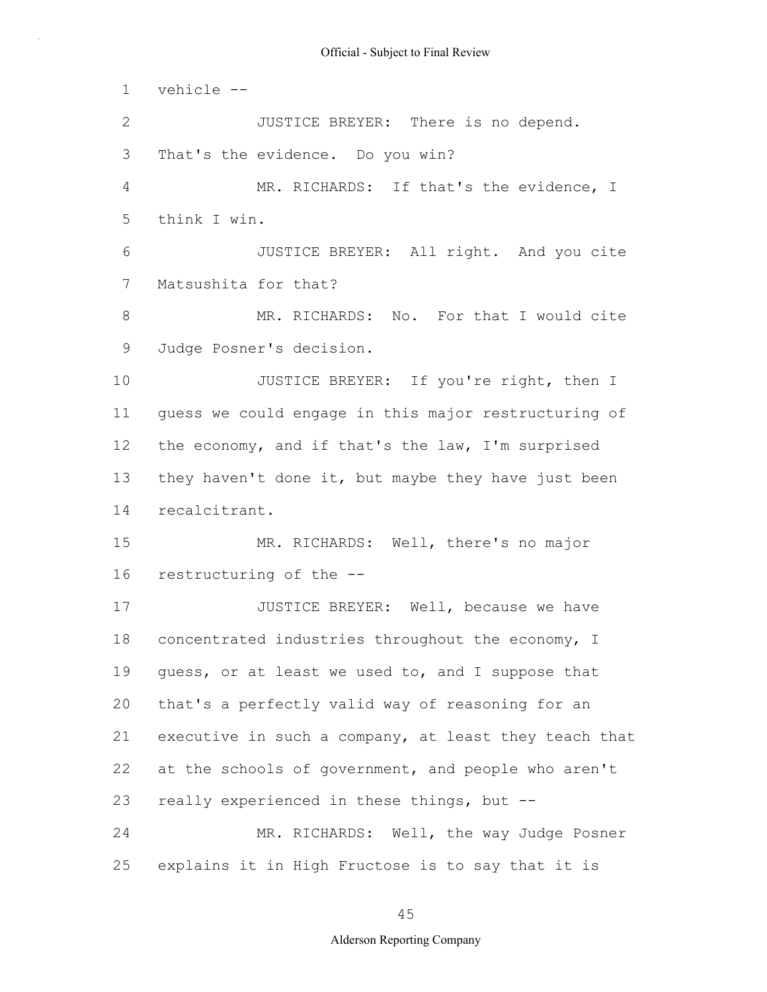1 2 3 4 5 6 7 8 9 10 11 12 13 14 15 16 17 18 19 20 21 22 23 24 25 vehicle -- JUSTICE BREYER: There is no depend. That's the evidence. Do you win? MR. RICHARDS: If that's the evidence, I think I win. JUSTICE BREYER: All right. And you cite Matsushita for that? MR. RICHARDS: No. For that I would cite Judge Posner's decision. JUSTICE BREYER: If you're right, then I guess we could engage in this major restructuring of the economy, and if that's the law, I'm surprised they haven't done it, but maybe they have just been recalcitrant. MR. RICHARDS: Well, there's no major restructuring of the -- JUSTICE BREYER: Well, because we have concentrated industries throughout the economy, I guess, or at least we used to, and I suppose that that's a perfectly valid way of reasoning for an executive in such a company, at least they teach that at the schools of government, and people who aren't really experienced in these things, but -- MR. RICHARDS: Well, the way Judge Posner explains it in High Fructose is to say that it is

45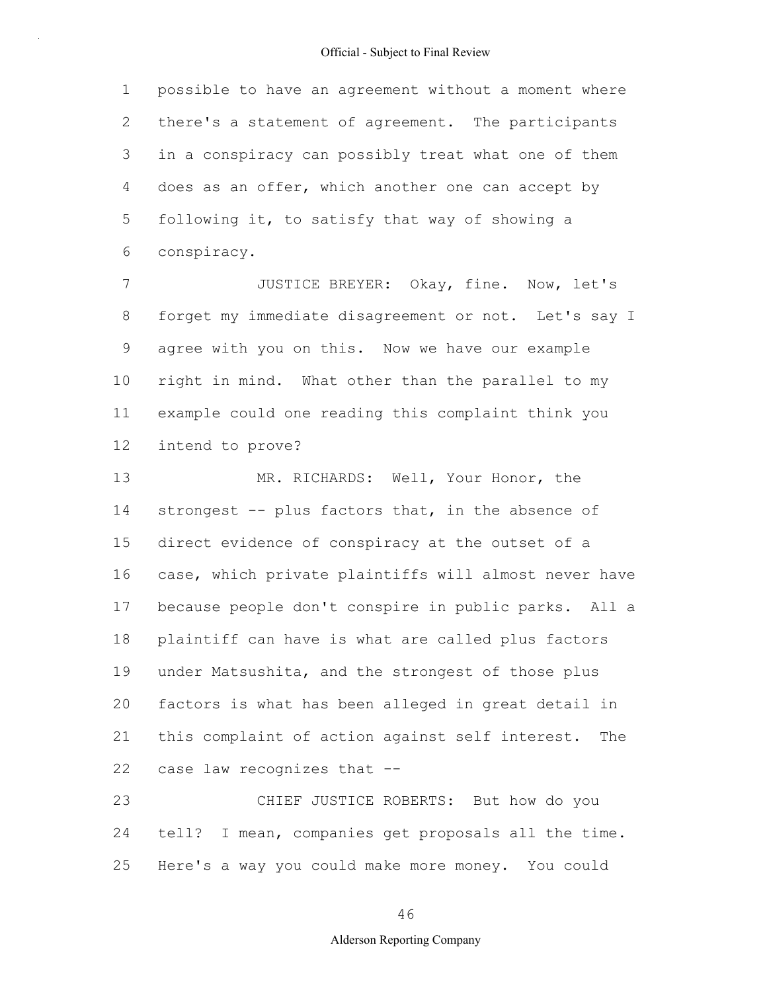1 2 3 4 5 6 possible to have an agreement without a moment where there's a statement of agreement. The participants in a conspiracy can possibly treat what one of them does as an offer, which another one can accept by following it, to satisfy that way of showing a conspiracy.

7 8 9 10 11 12 JUSTICE BREYER: Okay, fine. Now, let's forget my immediate disagreement or not. Let's say I agree with you on this. Now we have our example right in mind. What other than the parallel to my example could one reading this complaint think you intend to prove?

13 14 15 16 17 18 19 20 21 22 MR. RICHARDS: Well, Your Honor, the strongest -- plus factors that, in the absence of direct evidence of conspiracy at the outset of a case, which private plaintiffs will almost never have because people don't conspire in public parks. All a plaintiff can have is what are called plus factors under Matsushita, and the strongest of those plus factors is what has been alleged in great detail in this complaint of action against self interest. The case law recognizes that --

23 24 25 CHIEF JUSTICE ROBERTS: But how do you tell? I mean, companies get proposals all the time. Here's a way you could make more money. You could

46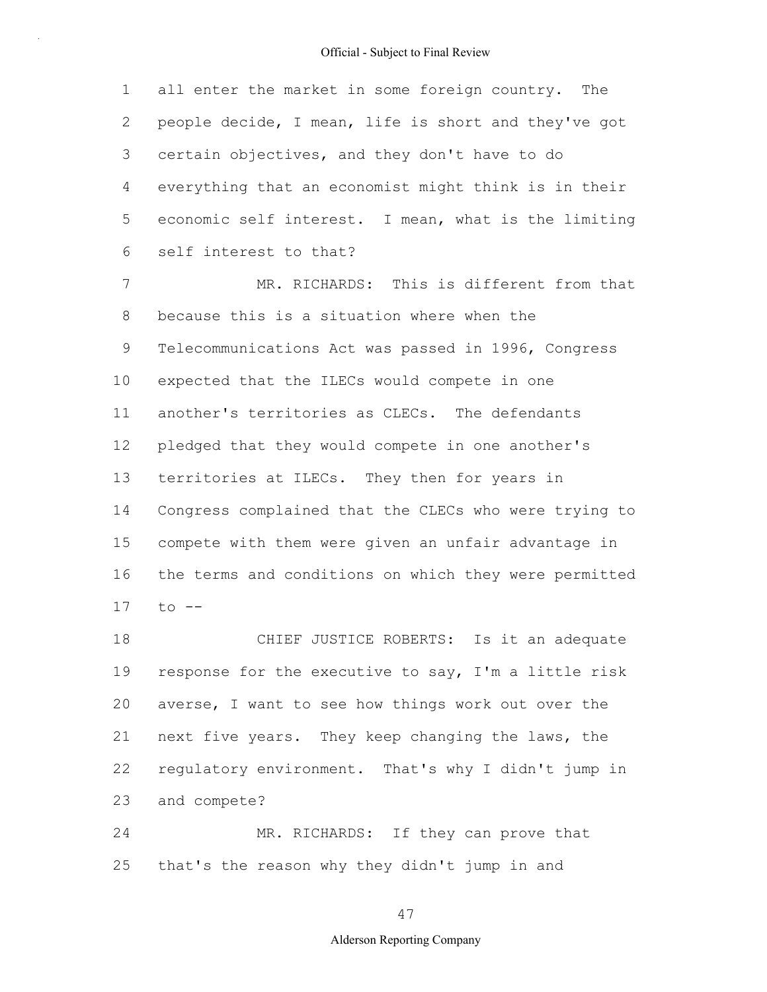1 2 3 4 5 6 all enter the market in some foreign country. The people decide, I mean, life is short and they've got certain objectives, and they don't have to do everything that an economist might think is in their economic self interest. I mean, what is the limiting self interest to that?

7 8 9 10 11 12 13 14 15 16 17 MR. RICHARDS: This is different from that because this is a situation where when the Telecommunications Act was passed in 1996, Congress expected that the ILECs would compete in one another's territories as CLECs. The defendants pledged that they would compete in one another's territories at ILECs. They then for years in Congress complained that the CLECs who were trying to compete with them were given an unfair advantage in the terms and conditions on which they were permitted to --

18 19 20 21 22 23 CHIEF JUSTICE ROBERTS: Is it an adequate response for the executive to say, I'm a little risk averse, I want to see how things work out over the next five years. They keep changing the laws, the regulatory environment. That's why I didn't jump in and compete?

24 25 MR. RICHARDS: If they can prove that that's the reason why they didn't jump in and

## 47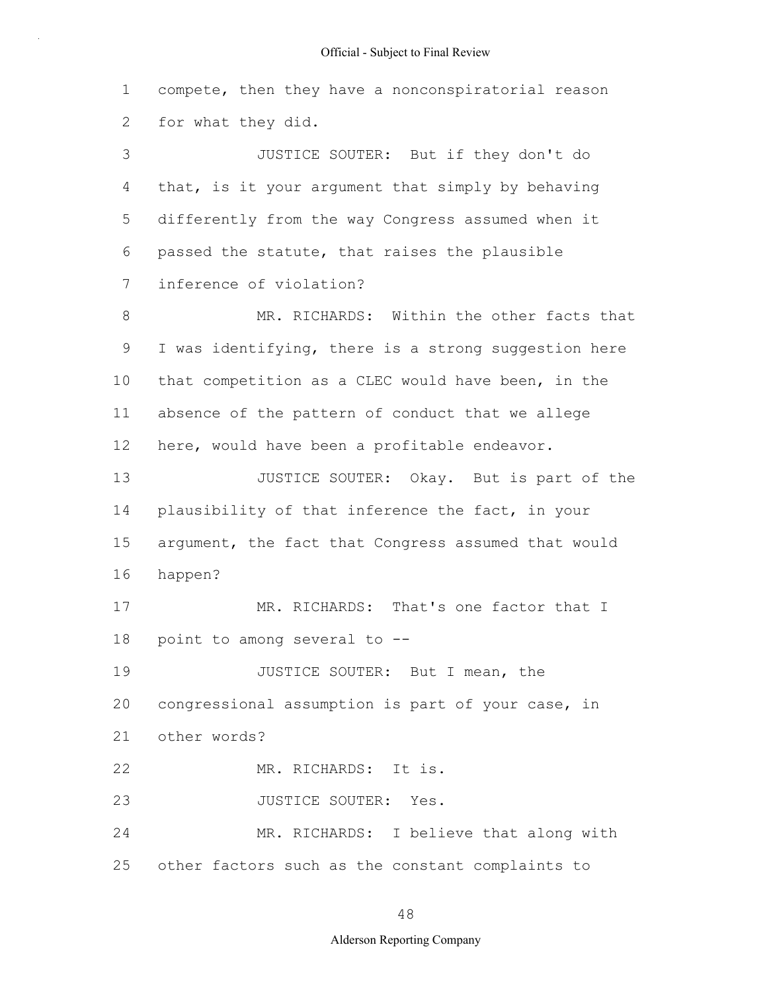1 2 3 4 5 6 7 8 9 10 11 12 13 14 15 16 17 18 19 20 21 22 23 24 25 compete, then they have a nonconspiratorial reason for what they did. JUSTICE SOUTER: But if they don't do that, is it your argument that simply by behaving differently from the way Congress assumed when it passed the statute, that raises the plausible inference of violation? MR. RICHARDS: Within the other facts that I was identifying, there is a strong suggestion here that competition as a CLEC would have been, in the absence of the pattern of conduct that we allege here, would have been a profitable endeavor. JUSTICE SOUTER: Okay. But is part of the plausibility of that inference the fact, in your argument, the fact that Congress assumed that would happen? MR. RICHARDS: That's one factor that I point to among several to -- JUSTICE SOUTER: But I mean, the congressional assumption is part of your case, in other words? MR. RICHARDS: It is. JUSTICE SOUTER: Yes. MR. RICHARDS: I believe that along with other factors such as the constant complaints to

#### 48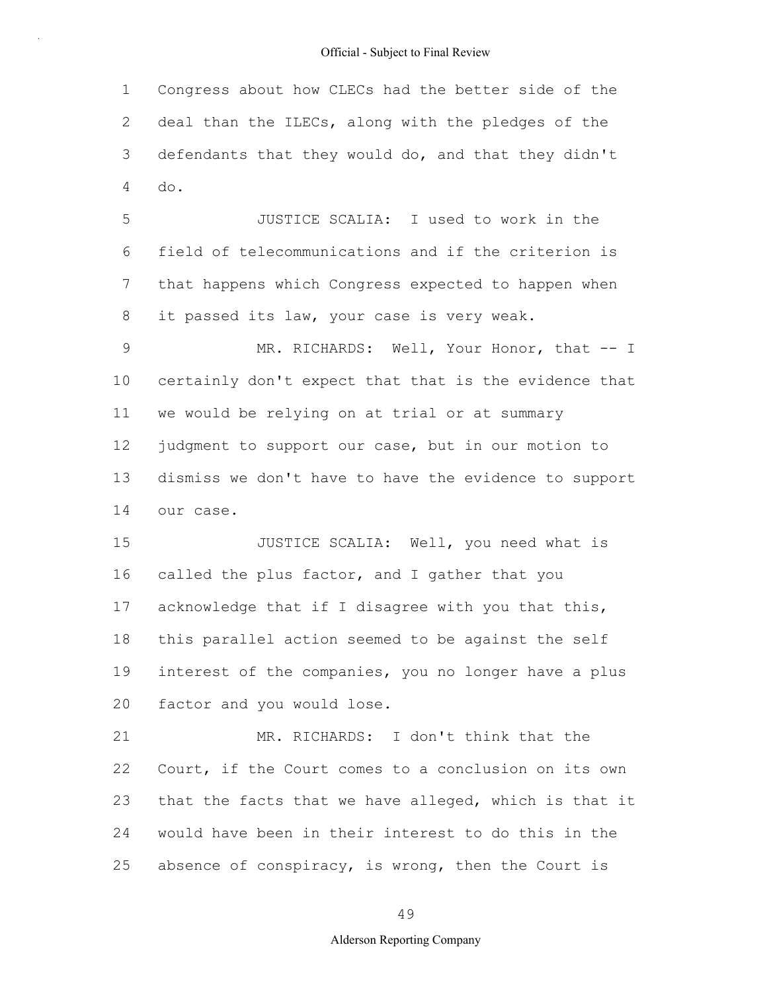1 2 3 4 Congress about how CLECs had the better side of the deal than the ILECs, along with the pledges of the defendants that they would do, and that they didn't do.

5 6 7 8 JUSTICE SCALIA: I used to work in the field of telecommunications and if the criterion is that happens which Congress expected to happen when it passed its law, your case is very weak.

9 10 11 12 13 14 MR. RICHARDS: Well, Your Honor, that -- I certainly don't expect that that is the evidence that we would be relying on at trial or at summary judgment to support our case, but in our motion to dismiss we don't have to have the evidence to support our case.

15 16 17 18 19 20 JUSTICE SCALIA: Well, you need what is called the plus factor, and I gather that you acknowledge that if I disagree with you that this, this parallel action seemed to be against the self interest of the companies, you no longer have a plus factor and you would lose.

21 22 23 24 25 MR. RICHARDS: I don't think that the Court, if the Court comes to a conclusion on its own that the facts that we have alleged, which is that it would have been in their interest to do this in the absence of conspiracy, is wrong, then the Court is

49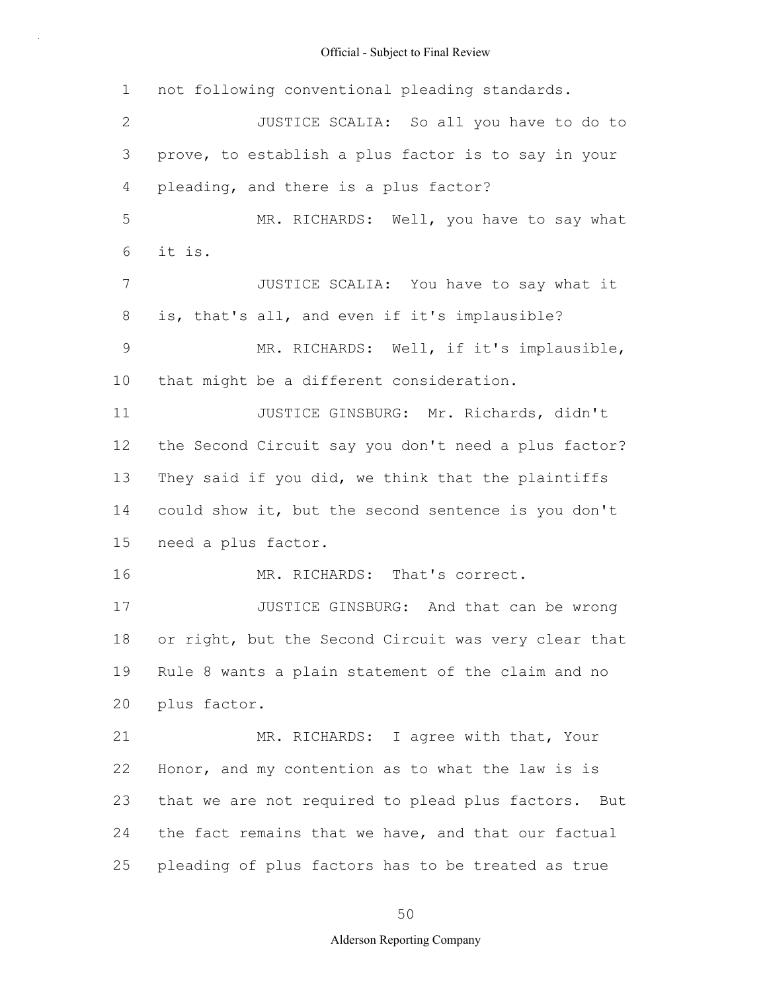1 2 3 4 5 6 7 8 9 10 11 12 13 14 15 16 17 18 19 20 21 22 23 24 25 not following conventional pleading standards. JUSTICE SCALIA: So all you have to do to prove, to establish a plus factor is to say in your pleading, and there is a plus factor? MR. RICHARDS: Well, you have to say what it is. JUSTICE SCALIA: You have to say what it is, that's all, and even if it's implausible? MR. RICHARDS: Well, if it's implausible, that might be a different consideration. JUSTICE GINSBURG: Mr. Richards, didn't the Second Circuit say you don't need a plus factor? They said if you did, we think that the plaintiffs could show it, but the second sentence is you don't need a plus factor. MR. RICHARDS: That's correct. JUSTICE GINSBURG: And that can be wrong or right, but the Second Circuit was very clear that Rule 8 wants a plain statement of the claim and no plus factor. MR. RICHARDS: I agree with that, Your Honor, and my contention as to what the law is is that we are not required to plead plus factors. But the fact remains that we have, and that our factual pleading of plus factors has to be treated as true

50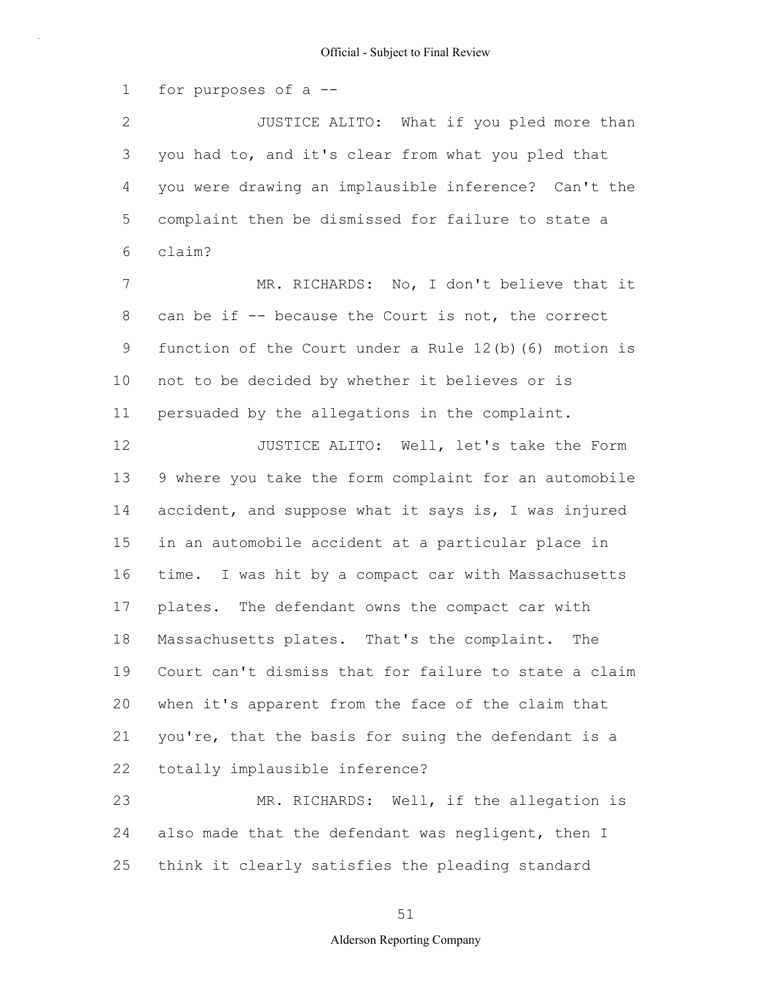1 for purposes of a --

2 3 4 5 6 7 8 9 10 11 12 13 14 15 16 17 18 19 20 21 22 23 JUSTICE ALITO: What if you pled more than you had to, and it's clear from what you pled that you were drawing an implausible inference? Can't the complaint then be dismissed for failure to state a claim? MR. RICHARDS: No, I don't believe that it can be if -- because the Court is not, the correct function of the Court under a Rule 12(b)(6) motion is not to be decided by whether it believes or is persuaded by the allegations in the complaint. JUSTICE ALITO: Well, let's take the Form 9 where you take the form complaint for an automobile accident, and suppose what it says is, I was injured in an automobile accident at a particular place in time. I was hit by a compact car with Massachusetts plates. The defendant owns the compact car with Massachusetts plates. That's the complaint. The Court can't dismiss that for failure to state a claim when it's apparent from the face of the claim that you're, that the basis for suing the defendant is a totally implausible inference? MR. RICHARDS: Well, if the allegation is

24 25 also made that the defendant was negligent, then I think it clearly satisfies the pleading standard

### 51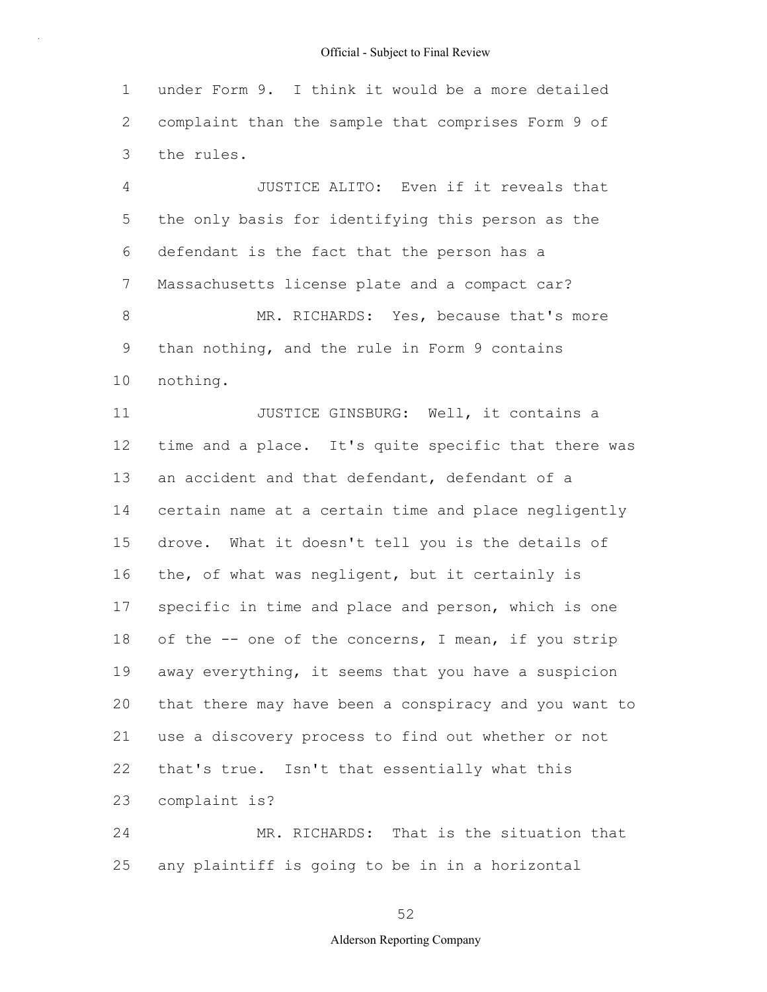1 2 3 under Form 9. I think it would be a more detailed complaint than the sample that comprises Form 9 of the rules.

4 5 6 7 8 9 10 JUSTICE ALITO: Even if it reveals that the only basis for identifying this person as the defendant is the fact that the person has a Massachusetts license plate and a compact car? MR. RICHARDS: Yes, because that's more than nothing, and the rule in Form 9 contains nothing.

11 12 13 14 15 16 17 18 19 20 21 22 23 JUSTICE GINSBURG: Well, it contains a time and a place. It's quite specific that there was an accident and that defendant, defendant of a certain name at a certain time and place negligently drove. What it doesn't tell you is the details of the, of what was negligent, but it certainly is specific in time and place and person, which is one of the -- one of the concerns, I mean, if you strip away everything, it seems that you have a suspicion that there may have been a conspiracy and you want to use a discovery process to find out whether or not that's true. Isn't that essentially what this complaint is?

24 25 MR. RICHARDS: That is the situation that any plaintiff is going to be in in a horizontal

52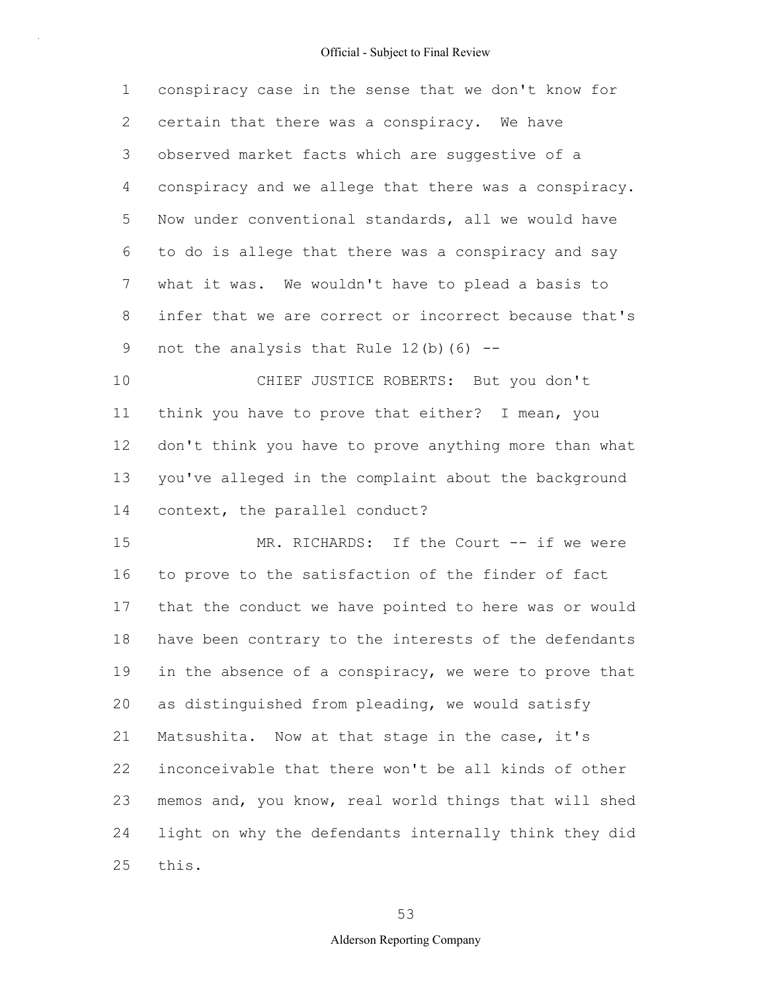1 2 3 4 5 6 7 8 9 conspiracy case in the sense that we don't know for certain that there was a conspiracy. We have observed market facts which are suggestive of a conspiracy and we allege that there was a conspiracy. Now under conventional standards, all we would have to do is allege that there was a conspiracy and say what it was. We wouldn't have to plead a basis to infer that we are correct or incorrect because that's not the analysis that Rule  $12(b)$  (6) --

10 11 12 13 14 CHIEF JUSTICE ROBERTS: But you don't think you have to prove that either? I mean, you don't think you have to prove anything more than what you've alleged in the complaint about the background context, the parallel conduct?

15 16 17 18 19 20 21 22 23 24 25 MR. RICHARDS: If the Court -- if we were to prove to the satisfaction of the finder of fact that the conduct we have pointed to here was or would have been contrary to the interests of the defendants in the absence of a conspiracy, we were to prove that as distinguished from pleading, we would satisfy Matsushita. Now at that stage in the case, it's inconceivable that there won't be all kinds of other memos and, you know, real world things that will shed light on why the defendants internally think they did this.

53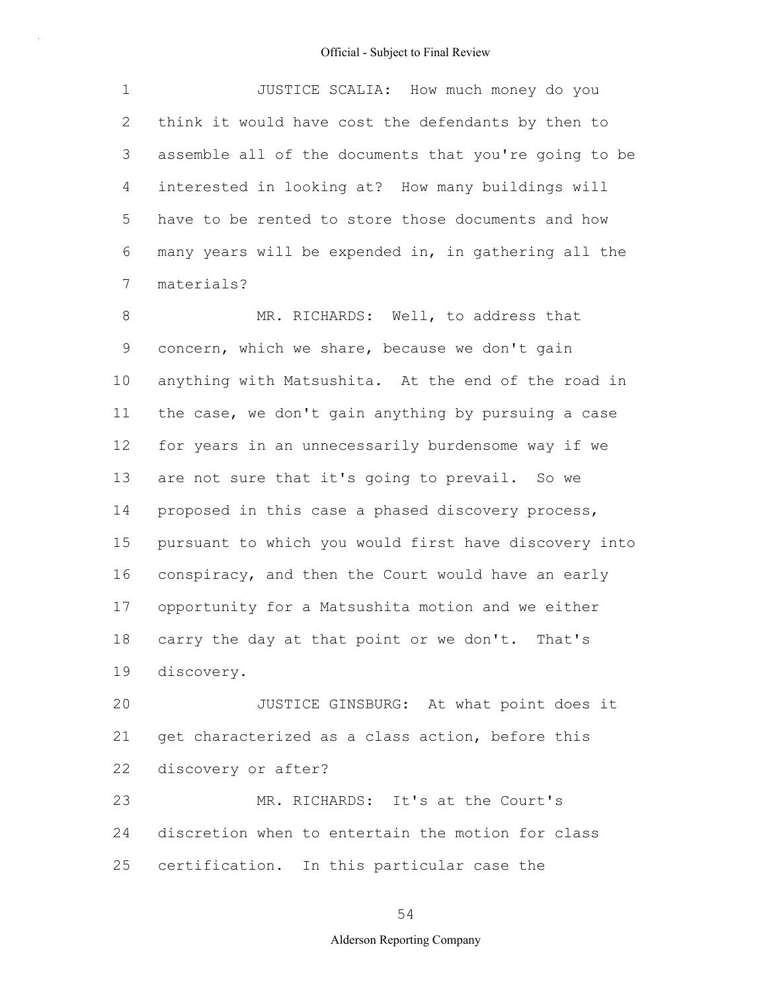1 2 3 4 5 6 7 JUSTICE SCALIA: How much money do you think it would have cost the defendants by then to assemble all of the documents that you're going to be interested in looking at? How many buildings will have to be rented to store those documents and how many years will be expended in, in gathering all the materials?

8 9 10 11 12 13 14 15 16 17 18 19 MR. RICHARDS: Well, to address that concern, which we share, because we don't gain anything with Matsushita. At the end of the road in the case, we don't gain anything by pursuing a case for years in an unnecessarily burdensome way if we are not sure that it's going to prevail. So we proposed in this case a phased discovery process, pursuant to which you would first have discovery into conspiracy, and then the Court would have an early opportunity for a Matsushita motion and we either carry the day at that point or we don't. That's discovery.

20 21 22 23 JUSTICE GINSBURG: At what point does it get characterized as a class action, before this discovery or after? MR. RICHARDS: It's at the Court's

24 25 discretion when to entertain the motion for class certification. In this particular case the

54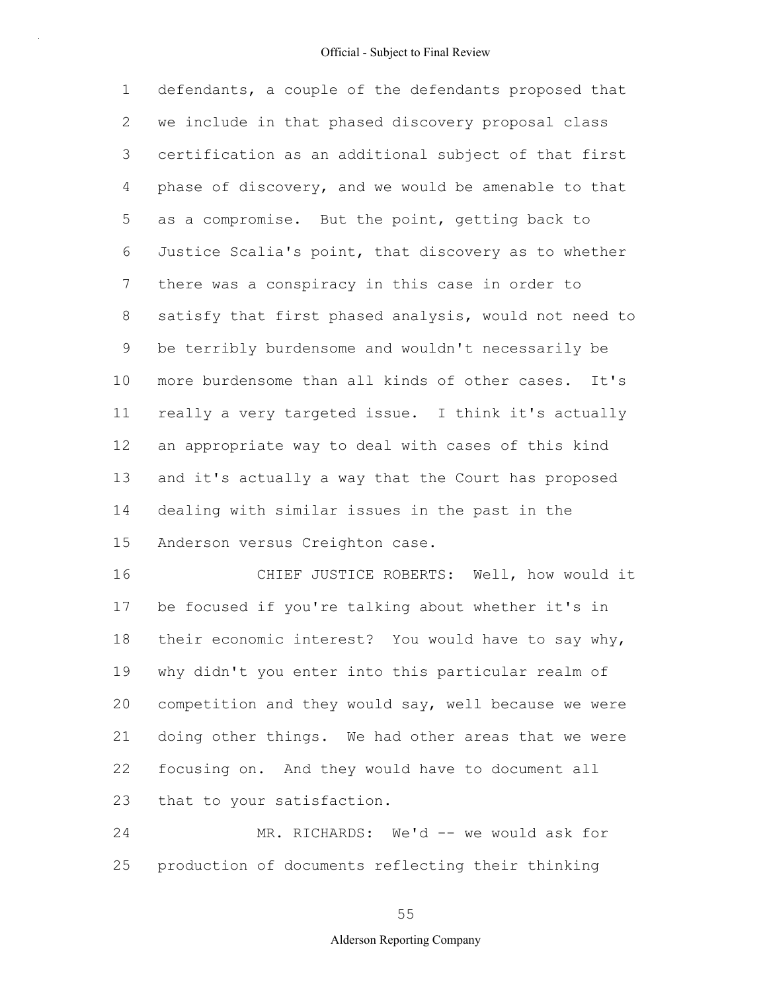1 2 3 4 5 6 7 8 9 10 11 12 13 14 15 defendants, a couple of the defendants proposed that we include in that phased discovery proposal class certification as an additional subject of that first phase of discovery, and we would be amenable to that as a compromise. But the point, getting back to Justice Scalia's point, that discovery as to whether there was a conspiracy in this case in order to satisfy that first phased analysis, would not need to be terribly burdensome and wouldn't necessarily be more burdensome than all kinds of other cases. It's really a very targeted issue. I think it's actually an appropriate way to deal with cases of this kind and it's actually a way that the Court has proposed dealing with similar issues in the past in the Anderson versus Creighton case.

16 17 18 19 20 21 22 23 CHIEF JUSTICE ROBERTS: Well, how would it be focused if you're talking about whether it's in their economic interest? You would have to say why, why didn't you enter into this particular realm of competition and they would say, well because we were doing other things. We had other areas that we were focusing on. And they would have to document all that to your satisfaction.

24 25 MR. RICHARDS: We'd -- we would ask for production of documents reflecting their thinking

#### 55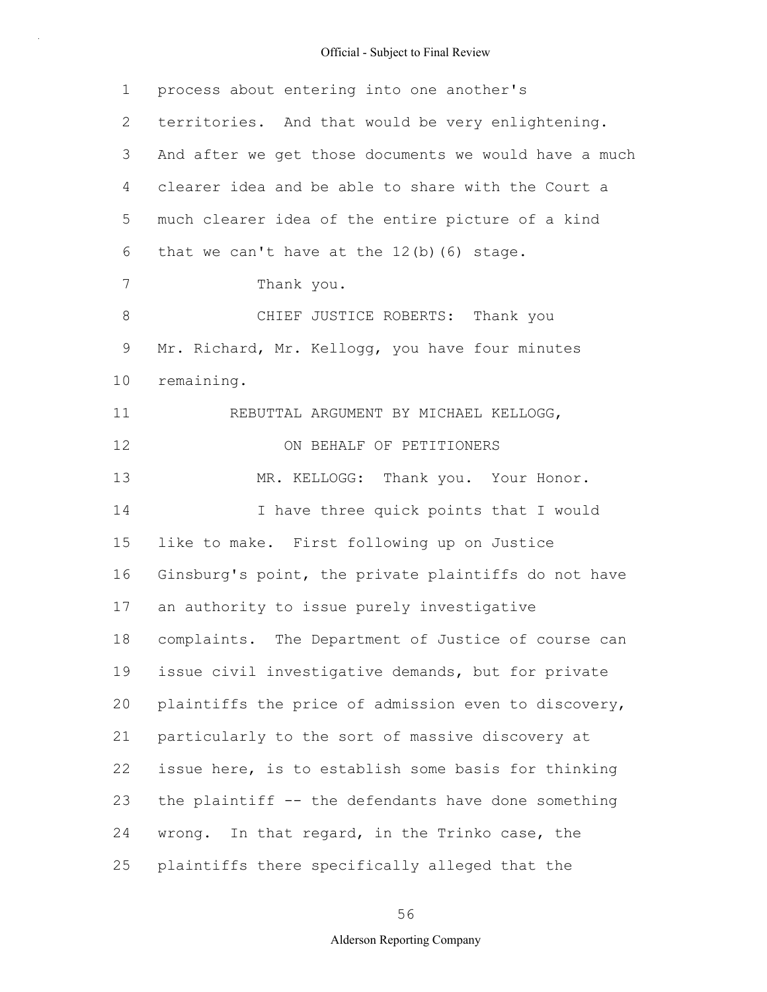1 2 3 4 5 6 7 8 9 10 11 12 13 14 15 16 17 18 19 20 21 22 23 24 25 process about entering into one another's territories. And that would be very enlightening. And after we get those documents we would have a much clearer idea and be able to share with the Court a much clearer idea of the entire picture of a kind that we can't have at the  $12(b)$  (6) stage. Thank you. CHIEF JUSTICE ROBERTS: Thank you Mr. Richard, Mr. Kellogg, you have four minutes remaining. REBUTTAL ARGUMENT BY MICHAEL KELLOGG, ON BEHALF OF PETITIONERS MR. KELLOGG: Thank you. Your Honor. I have three quick points that I would like to make. First following up on Justice Ginsburg's point, the private plaintiffs do not have an authority to issue purely investigative complaints. The Department of Justice of course can issue civil investigative demands, but for private plaintiffs the price of admission even to discovery, particularly to the sort of massive discovery at issue here, is to establish some basis for thinking the plaintiff -- the defendants have done something wrong. In that regard, in the Trinko case, the plaintiffs there specifically alleged that the

56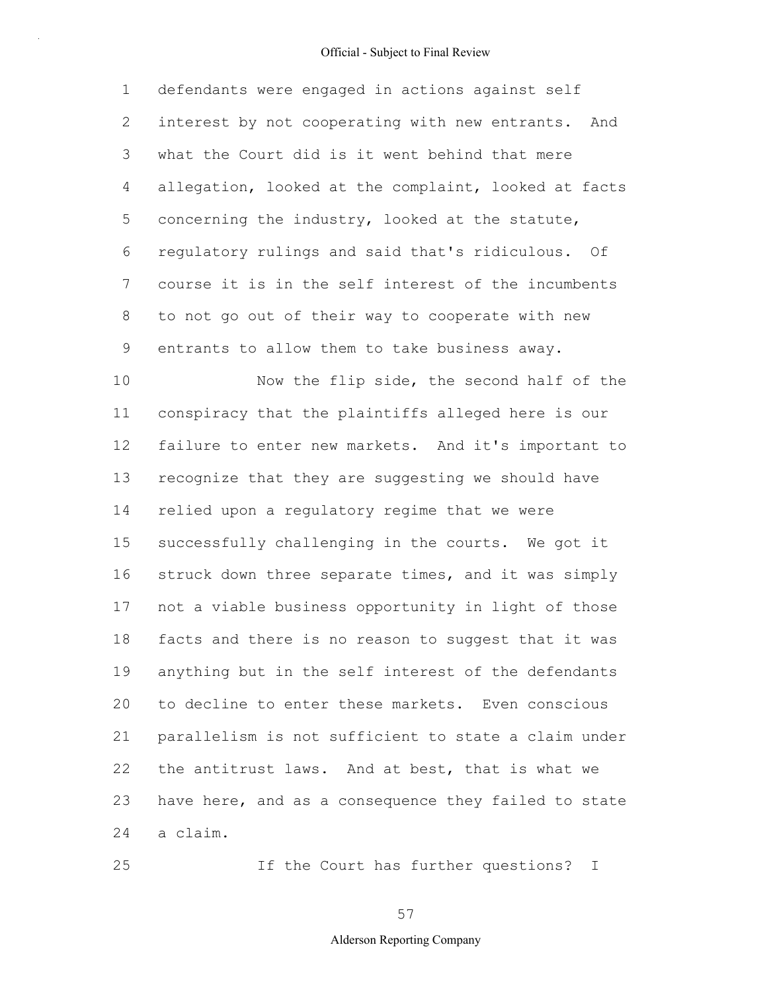1 2 3 4 5 6 7 8 9 10 defendants were engaged in actions against self interest by not cooperating with new entrants. And what the Court did is it went behind that mere allegation, looked at the complaint, looked at facts concerning the industry, looked at the statute, regulatory rulings and said that's ridiculous. Of course it is in the self interest of the incumbents to not go out of their way to cooperate with new entrants to allow them to take business away. Now the flip side, the second half of the

11 12 13 14 15 16 17 18 19 20 21 22 23 24 conspiracy that the plaintiffs alleged here is our failure to enter new markets. And it's important to recognize that they are suggesting we should have relied upon a regulatory regime that we were successfully challenging in the courts. We got it struck down three separate times, and it was simply not a viable business opportunity in light of those facts and there is no reason to suggest that it was anything but in the self interest of the defendants to decline to enter these markets. Even conscious parallelism is not sufficient to state a claim under the antitrust laws. And at best, that is what we have here, and as a consequence they failed to state a claim.

If the Court has further questions? I

25

57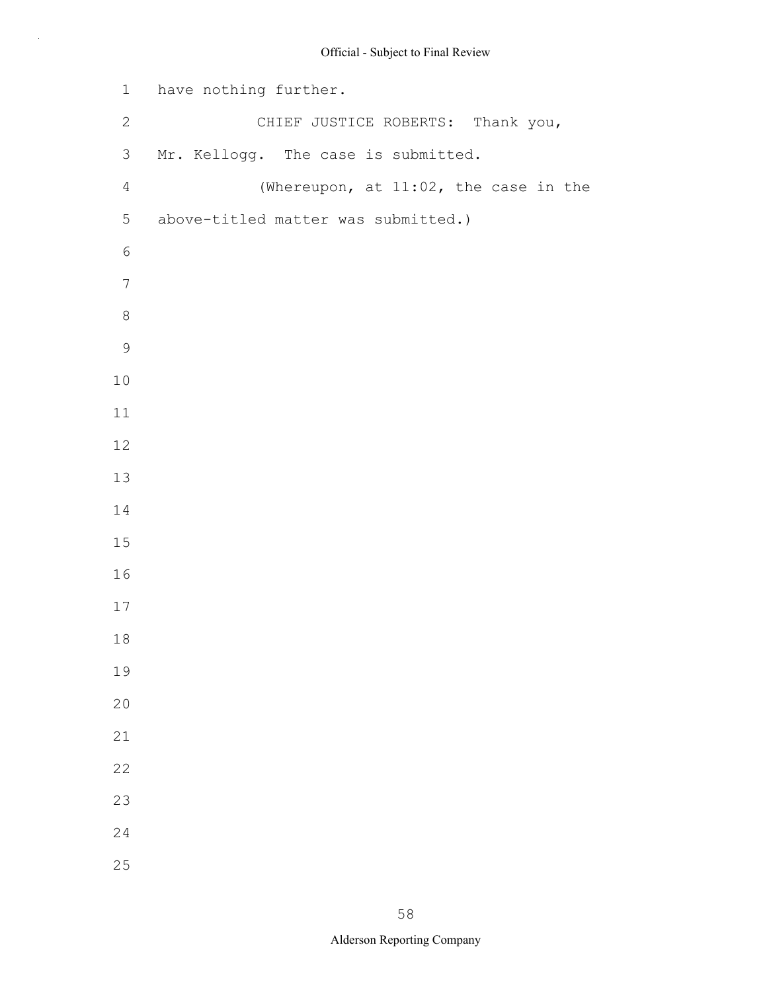```
1
 2
 3
 4
 5
 6
 7
 8
 9
10
11
12
13
14
15
16
17
18
19
20
21
22
23
24
25
    have nothing further.
                 CHIEF JUSTICE ROBERTS: Thank you, 
    Mr. Kellogg. The case is submitted.
                  (Whereupon, at 11:02, the case in the 
     above-titled matter was submitted.)
```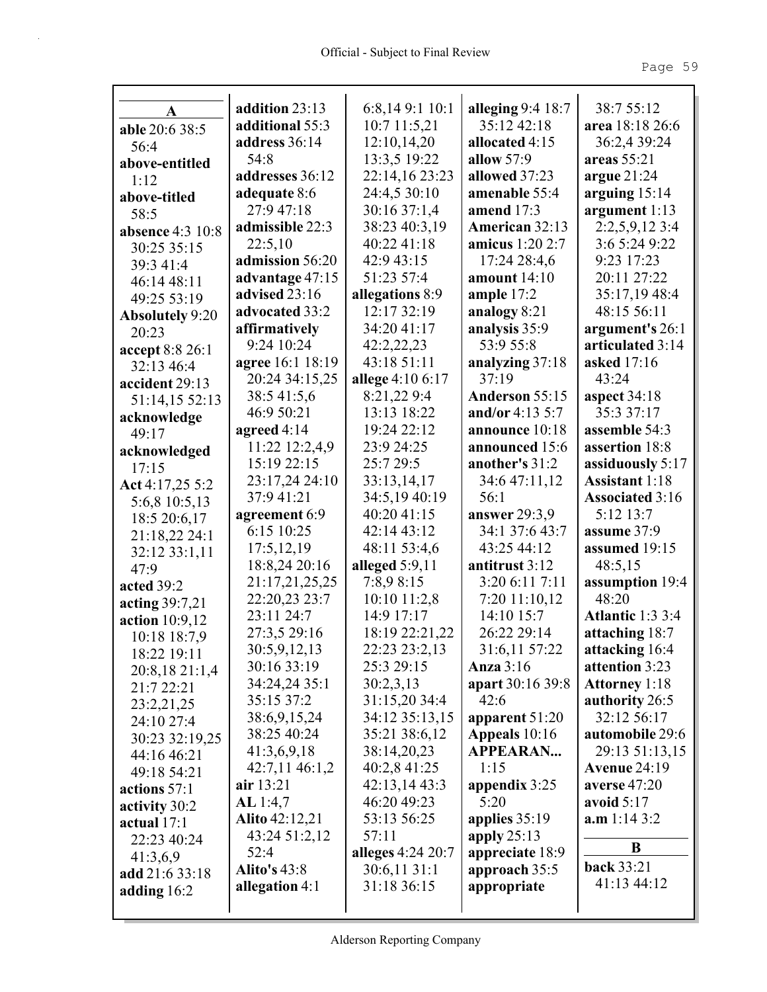| A                       | addition 23:13        | 6:8,149:1 10:1    | alleging 9:4 18:7 | 38:7 55:12              |
|-------------------------|-----------------------|-------------------|-------------------|-------------------------|
| able 20:6 38:5          | additional 55:3       | 10:7 11:5,21      | 35:12 42:18       | area 18:18 26:6         |
| 56:4                    | address 36:14         | 12:10,14,20       | allocated 4:15    | 36:2,4 39:24            |
| above-entitled          | 54:8                  | 13:3,5 19:22      | allow $57:9$      | areas 55:21             |
| 1:12                    | addresses 36:12       | 22:14,16 23:23    | allowed 37:23     | argue $21:24$           |
| above-titled            | adequate 8:6          | 24:4,5 30:10      | amenable 55:4     | arguing $15:14$         |
| 58:5                    | 27:9 47:18            | 30:16 37:1,4      | amend $17:3$      | argument 1:13           |
| <b>absence</b> 4:3 10:8 | admissible 22:3       | 38:23 40:3,19     | American 32:13    | 2:2,5,9,12 3:4          |
| 30:25 35:15             | 22:5,10               | 40:22 41:18       | amicus 1:20 2:7   | 3:6 5:24 9:22           |
| 39:3 41:4               | admission 56:20       | 42:9 43:15        | 17:24 28:4,6      | 9:23 17:23              |
| 46:14 48:11             | advantage 47:15       | 51:23 57:4        | amount 14:10      | 20:11 27:22             |
| 49:25 53:19             | advised 23:16         | allegations 8:9   | ample $17:2$      | 35:17,19 48:4           |
| <b>Absolutely 9:20</b>  | advocated 33:2        | 12:17 32:19       | analogy 8:21      | 48:15 56:11             |
| 20:23                   | affirmatively         | 34:20 41:17       | analysis 35:9     | argument's 26:1         |
| accept 8:8 26:1         | 9:24 10:24            | 42:2,22,23        | 53:9 55:8         | articulated 3:14        |
| 32:13 46:4              | agree 16:1 18:19      | 43:18 51:11       | analyzing 37:18   | <b>asked</b> 17:16      |
| accident 29:13          | 20:24 34:15,25        | allege 4:10 6:17  | 37:19             | 43:24                   |
| 51:14,15 52:13          | 38:5 41:5,6           | 8:21,229:4        | Anderson 55:15    | aspect $34:18$          |
| acknowledge             | 46:9 50:21            | 13:13 18:22       | and/or 4:13 5:7   | 35:3 37:17              |
| 49:17                   | agreed 4:14           | 19:24 22:12       | announce 10:18    | assemble 54:3           |
| acknowledged            | 11:22 12:2,4,9        | 23:9 24:25        | announced 15:6    | assertion 18:8          |
| 17:15                   | 15:19 22:15           | 25:7 29:5         | another's 31:2    | assiduously 5:17        |
| Act 4:17,25 5:2         | 23:17,24 24:10        | 33:13,14,17       | 34:6 47:11,12     | <b>Assistant</b> 1:18   |
| 5:6,8 10:5,13           | 37:9 41:21            | 34:5,19 40:19     | 56:1              | <b>Associated 3:16</b>  |
| 18:5 20:6,17            | agreement 6:9         | 40:20 41:15       | answer $29:3,9$   | 5:12 13:7               |
| 21:18,22 24:1           | 6:15 10:25            | 42:14 43:12       | 34:1 37:6 43:7    | assume 37:9             |
| 32:12 33:1,11           | 17:5,12,19            | 48:11 53:4,6      | 43:25 44:12       | assumed 19:15           |
| 47:9                    | 18:8,24 20:16         | alleged $5:9,11$  | antitrust 3:12    | 48:5,15                 |
| acted 39:2              | 21:17,21,25,25        | 7:8,9 8:15        | 3:20 6:11 7:11    | assumption 19:4         |
| acting 39:7,21          | 22:20,23 23:7         | 10:10 11:2,8      | 7:20 11:10,12     | 48:20                   |
| action 10:9,12          | 23:11 24:7            | 14:9 17:17        | 14:10 15:7        | <b>Atlantic 1:3 3:4</b> |
| 10:18 18:7,9            | 27:3,5 29:16          | 18:19 22:21,22    | 26:22 29:14       | attaching 18:7          |
| 18:22 19:11             | 30:5,9,12,13          | 22:23 23:2,13     | 31:6,11 57:22     | attacking 16:4          |
| 20:8,18 21:1,4          | 30:16 33:19           | 25:3 29:15        | Anza $3:16$       | attention 3:23          |
| 21:7 22:21              | 34:24,24 35:1         | 30:2,3,13         | apart 30:16 39:8  | <b>Attorney 1:18</b>    |
| 23:2,21,25              | 35:15 37:2            | 31:15,20 34:4     | 42:6              | authority 26:5          |
| 24:10 27:4              | 38:6,9,15,24          | 34:12 35:13,15    | apparent 51:20    | 32:12 56:17             |
| 30:23 32:19,25          | 38:25 40:24           | 35:21 38:6,12     | Appeals 10:16     | automobile 29:6         |
| 44:16 46:21             | 41:3,6,9,18           | 38:14,20,23       | <b>APPEARAN</b>   | 29:13 51:13,15          |
| 49:18 54:21             | 42:7,11 46:1,2        | 40:2,8 41:25      | 1:15              | <b>Avenue 24:19</b>     |
| actions 57:1            | air $13:21$           | 42:13,14 43:3     | appendix 3:25     | averse 47:20            |
| activity 30:2           | AL 1:4,7              | 46:20 49:23       | 5:20              | avoid $5:17$            |
| actual $17:1$           | <b>Alito</b> 42:12,21 | 53:13 56:25       | applies $35:19$   | a.m 1:14 3:2            |
| 22:23 40:24             | 43:24 51:2,12         | 57:11             | apply $25:13$     |                         |
| 41:3,6,9                | 52:4                  | alleges 4:24 20:7 | appreciate 18:9   | B                       |
| add 21:6 33:18          | <b>Alito's 43:8</b>   | 30:6,1131:1       | approach 35:5     | <b>back</b> 33:21       |
| adding $16:2$           | allegation 4:1        | 31:18 36:15       | appropriate       | 41:13 44:12             |
|                         |                       |                   |                   |                         |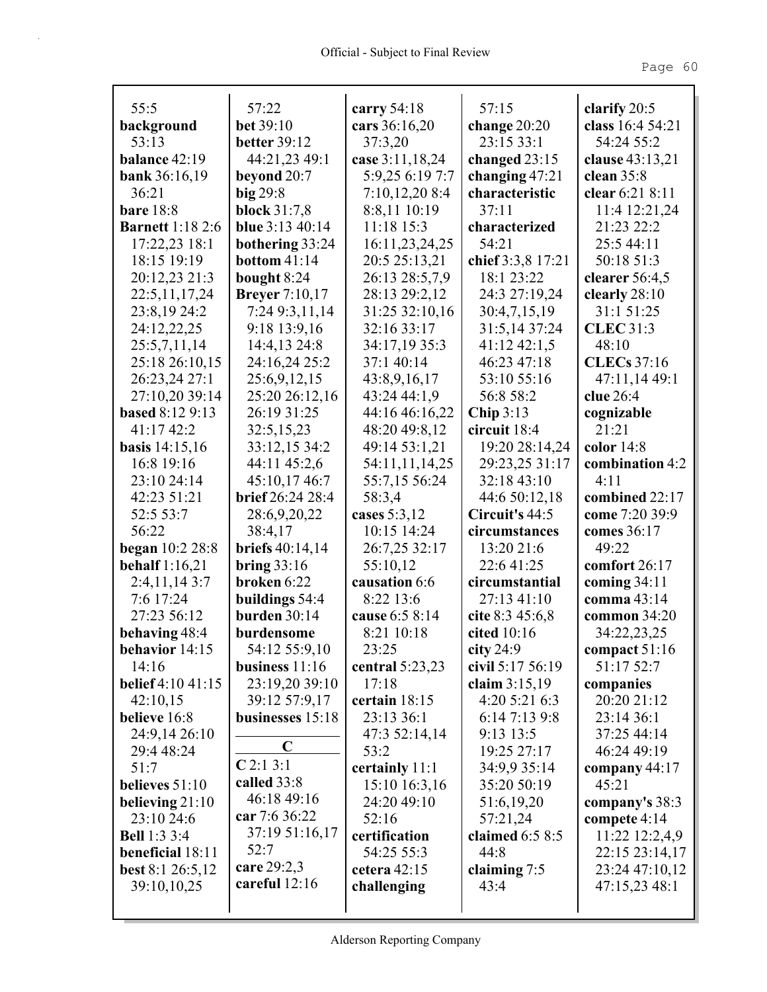| 55:5                     | 57:22                        | carry $54:18$                 | 57:15                           | clarify $20:5$                   |
|--------------------------|------------------------------|-------------------------------|---------------------------------|----------------------------------|
| background               | <b>bet</b> 39:10             | cars 36:16,20                 | change $20:20$                  | class 16:4 54:21                 |
| 53:13                    | <b>better</b> 39:12          | 37:3,20                       | 23:15 33:1                      | 54:24 55:2                       |
| balance $42:19$          | 44:21,23 49:1                | case 3:11,18,24               | changed $23:15$                 | clause 43:13,21                  |
| <b>bank</b> 36:16,19     | beyond 20:7                  | 5:9,25 6:19 7:7               | changing $47:21$                | clean $35:8$                     |
| 36:21                    | $big$ 29:8                   | 7:10,12,208:4                 | characteristic                  | clear 6:21 8:11                  |
| <b>bare</b> 18:8         | block $31:7,8$               | 8:8,11 10:19                  | 37:11                           | 11:4 12:21,24                    |
| <b>Barnett</b> 1:18 2:6  | <b>blue</b> $3:13\,40:14$    | 11:18 15:3                    | characterized                   | 21:23 22:2                       |
| $17:22,23$ 18:1          | bothering 33:24              | 16:11,23,24,25                | 54:21                           | 25:5 44:11                       |
| 18:15 19:19              | <b>bottom</b> 41:14          | 20:5 25:13,21                 | chief 3:3,8 17:21               | 50:18 51:3                       |
| 20:12,23 21:3            | bought 8:24                  | 26:13 28:5,7,9                | 18:1 23:22                      | clearer $56:4,5$                 |
| 22:5, 11, 17, 24         | <b>Breyer</b> 7:10,17        | 28:13 29:2,12                 | 24:3 27:19,24                   | clearly $28:10$                  |
| 23:8,19 24:2             | 7:24 9:3,11,14               | 31:25 32:10,16                | 30:4,7,15,19                    | 31:1 51:25                       |
| 24:12,22,25              | 9:18 13:9,16                 | 32:16 33:17                   | 31:5,14 37:24                   | <b>CLEC</b> 31:3                 |
| 25:5,7,11,14             | 14:4,13 24:8                 | 34:17,19 35:3                 | $41:12\,42:1,5$                 | 48:10                            |
| 25:18 26:10,15           | 24:16,24 25:2                | 37:1 40:14                    | 46:23 47:18                     | <b>CLECs</b> 37:16               |
| 26:23,24 27:1            | 25:6,9,12,15                 | 43:8,9,16,17                  | 53:10 55:16                     | 47:11,14 49:1                    |
| 27:10,20 39:14           | 25:20 26:12,16               | 43:24 44:1,9                  | 56:8 58:2                       | clue 26:4                        |
| <b>based 8:12 9:13</b>   | 26:19 31:25                  | 44:16 46:16,22                | Chip $3:13$                     | cognizable                       |
| 41:17 42:2               | 32:5,15,23                   | 48:20 49:8,12                 | circuit 18:4                    | 21:21                            |
| <b>basis</b> $14:15,16$  | 33:12,15 34:2                | 49:14 53:1,21                 | 19:20 28:14,24                  | color $14:8$                     |
| 16:8 19:16               | 44:11 45:2,6                 | 54:11,11,14,25                | 29:23,25 31:17                  | combination 4:2                  |
| 23:10 24:14              | 45:10,17 46:7                | 55:7,15 56:24                 | 32:18 43:10                     | 4:11                             |
| 42:23 51:21              | brief 26:24 28:4             | 58:3,4                        | 44:6 50:12,18                   | combined 22:17<br>come 7:20 39:9 |
| 52:5 53:7<br>56:22       | 28:6,9,20,22<br>38:4,17      | cases $5:3,12$<br>10:15 14:24 | Circuit's 44:5<br>circumstances | comes 36:17                      |
| began 10:2 28:8          | briefs 40:14,14              | 26:7,25 32:17                 | 13:20 21:6                      | 49:22                            |
| behalf $1:16,21$         | bring $33:16$                | 55:10,12                      | 22:6 41:25                      | comfort 26:17                    |
| 2:4,11,143:7             | broken 6:22                  | causation 6:6                 | circumstantial                  | coming $34:11$                   |
| 7:6 17:24                | buildings 54:4               | 8:22 13:6                     | 27:13 41:10                     | <b>comma</b> 43:14               |
| 27:23 56:12              | burden 30:14                 | cause 6:5 8:14                | cite $8:3,45:6,8$               | common $34:20$                   |
| behaving 48:4            | burdensome                   | 8:21 10:18                    | cited 10:16                     | 34:22,23,25                      |
| behavior 14:15           | 54:12 55:9,10                | 23:25                         | city $24:9$                     | compact 51:16                    |
| 14:16                    | business $11:16$             | central $5:23,23$             | civil 5:17 56:19                | 51:17 52:7                       |
| <b>belief</b> 4:10 41:15 | 23:19,20 39:10               | 17:18                         | claim $3:15,19$                 | companies                        |
| 42:10,15                 | 39:12 57:9,17                | certain 18:15                 | 4:205:216:3                     | 20:20 21:12                      |
| believe 16:8             | businesses 15:18             | 23:13 36:1                    | 6:14 7:13 9:8                   | 23:14 36:1                       |
| 24:9,14 26:10            |                              | 47:3 52:14,14                 | 9:13 13:5                       | 37:25 44:14                      |
| 29:4 48:24               | $\mathbf C$                  | 53:2                          | 19:25 27:17                     | 46:24 49:19                      |
| 51:7                     | C2:13:1                      | certainly 11:1                | 34:9,9 35:14                    | company $44:17$                  |
| believes 51:10           | called 33:8                  | 15:10 16:3,16                 | 35:20 50:19                     | 45:21                            |
| believing $21:10$        | 46:18 49:16                  | 24:20 49:10                   | 51:6,19,20                      | company's 38:3                   |
| 23:10 24:6               | car 7:6 36:22                | 52:16                         | 57:21,24                        | compete $4:14$                   |
| <b>Bell</b> 1:3 3:4      | 37:19 51:16,17               | certification                 | claimed $6:58:5$                | 11:22 12:2,4,9                   |
| <b>beneficial</b> 18:11  | 52:7                         | 54:25 55:3                    | 44:8                            | 22:15 23:14,17                   |
| <b>best</b> 8:1 26:5,12  | care 29:2,3<br>careful 12:16 | cetera 42:15                  | claiming $7:5$                  | 23:24 47:10,12                   |
| 39:10,10,25              |                              | challenging                   | 43:4                            | 47:15,2348:1                     |
|                          |                              |                               |                                 |                                  |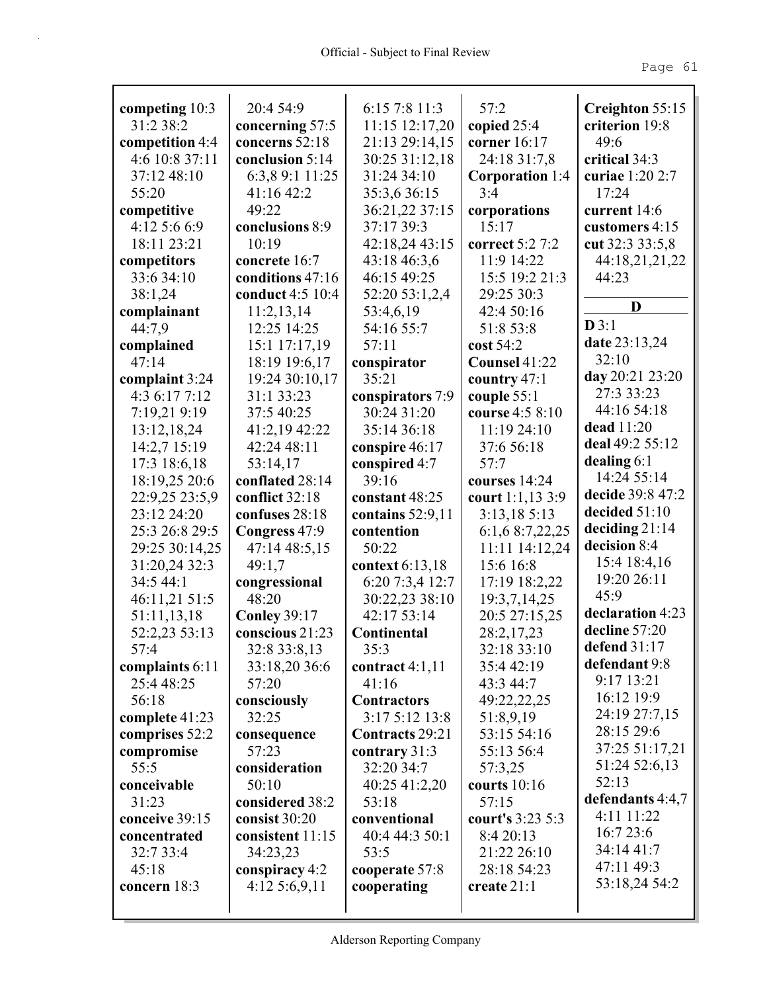| competing 10:3  | 20:4 54:9           | 6:15 7:8 11:3      | 57:2                   | Creighton 55:15      |
|-----------------|---------------------|--------------------|------------------------|----------------------|
| 31:2 38:2       | concerning 57:5     | $11:15$ $12:17,20$ | copied $25:4$          | criterion 19:8       |
| competition 4:4 | concerns 52:18      | 21:13 29:14,15     | corner 16:17           | 49:6                 |
| 4:6 10:8 37:11  | conclusion 5:14     | 30:25 31:12,18     | 24:18 31:7,8           | critical 34:3        |
| 37:12 48:10     | 6:3,8 9:1 11:25     | 31:24 34:10        | <b>Corporation</b> 1:4 | curiae 1:20 2:7      |
| 55:20           | 41:1642:2           | 35:3,6 36:15       | 3:4                    | 17:24                |
| competitive     | 49:22               | 36:21,22 37:15     | corporations           | current $14:6$       |
| 4:12 5:6 6:9    | conclusions 8:9     | 37:17 39:3         | 15:17                  | customers 4:15       |
| 18:11 23:21     | 10:19               | 42:18,24 43:15     | correct 5:2 7:2        | cut 32:3 33:5,8      |
| competitors     | concrete 16:7       | 43:18 46:3,6       | 11:9 14:22             | 44:18,21,21,22       |
| 33:6 34:10      | conditions 47:16    | 46:15 49:25        | 15:5 19:2 21:3         | 44:23                |
| 38:1,24         | conduct 4:5 10:4    | 52:20 53:1,2,4     | 29:25 30:3             |                      |
| complainant     | 11:2,13,14          | 53:4,6,19          | 42:4 50:16             | D                    |
| 44:7,9          | 12:25 14:25         | 54:16 55:7         | 51:8 53:8              | $\mathbf{D} 3:1$     |
| complained      | 15:1 17:17,19       | 57:11              | cost 54:2              | <b>date</b> 23:13,24 |
| 47:14           | 18:19 19:6,17       | conspirator        | Counsel 41:22          | 32:10                |
| complaint 3:24  | 19:24 30:10,17      | 35:21              | country 47:1           | day 20:21 23:20      |
| 4:36:177:12     | 31:1 33:23          | conspirators 7:9   | couple 55:1            | 27:3 33:23           |
| 7:19,21 9:19    | 37:5 40:25          | 30:24 31:20        | course 4:5 8:10        | 44:16 54:18          |
| 13:12,18,24     | 41:2,19 42:22       | 35:14 36:18        | 11:19 24:10            | dead 11:20           |
| 14:2,7 15:19    | 42:24 48:11         | conspire 46:17     | 37:6 56:18             | deal 49:2 55:12      |
| 17:3 18:6,18    | 53:14,17            | conspired 4:7      | 57:7                   | dealing $6:1$        |
| 18:19,25 20:6   | conflated 28:14     | 39:16              | courses 14:24          | 14:24 55:14          |
| 22:9,25 23:5,9  | conflict 32:18      | constant 48:25     | court 1:1,13 3:9       | decide 39:8 47:2     |
| 23:12 24:20     | confuses 28:18      | contains $52:9,11$ | 3:13,185:13            | decided $51:10$      |
| 25:3 26:8 29:5  | Congress 47:9       | contention         | 6:1,6 8:7,22,25        | deciding $21:14$     |
| 29:25 30:14,25  | 47:14 48:5,15       | 50:22              | 11:11 14:12,24         | decision 8:4         |
| 31:20,24 32:3   | 49:1,7              | context 6:13,18    | 15:6 16:8              | 15:4 18:4,16         |
| 34:5 44:1       | congressional       | 6:20 7:3,4 12:7    | 17:19 18:2,22          | 19:20 26:11          |
| 46:11,21 51:5   | 48:20               | 30:22,23 38:10     | 19:3,7,14,25           | 45:9                 |
| 51:11,13,18     | <b>Conley 39:17</b> | 42:17 53:14        | 20:5 27:15,25          | declaration 4:23     |
| 52:2,23 53:13   | conscious 21:23     | Continental        | 28:2,17,23             | decline 57:20        |
| 57:4            | 32:8 33:8,13        | 35:3               | 32:18 33:10            | defend $31:17$       |
| complaints 6:11 | 33:18,20 36:6       | contract $4:1,11$  | 35:4 42:19             | defendant 9:8        |
| 25:4 48:25      | 57:20               | 41:16              | 43:3 44:7              | 9:17 13:21           |
| 56:18           | consciously         | <b>Contractors</b> | 49:22,22,25            | 16:12 19:9           |
| complete 41:23  | 32:25               | 3:17 5:12 13:8     | 51:8,9,19              | 24:19 27:7,15        |
| comprises 52:2  | consequence         | Contracts 29:21    | 53:15 54:16            | 28:15 29:6           |
| compromise      | 57:23               | contrary 31:3      | 55:13 56:4             | 37:25 51:17,21       |
| 55:5            | consideration       | 32:20 34:7         | 57:3,25                | 51:24 52:6,13        |
| conceivable     | 50:10               | 40:25 41:2,20      | courts $10:16$         | 52:13                |
| 31:23           | considered 38:2     | 53:18              | 57:15                  | defendants 4:4,7     |
| conceive 39:15  | consist 30:20       | conventional       | court's 3:23 5:3       | 4:11 11:22           |
| concentrated    | consistent 11:15    | 40:4 44:3 50:1     | 8:4 20:13              | 16:723:6             |
| 32:7 33:4       | 34:23,23            | 53:5               | 21:22 26:10            | 34:14 41:7           |
| 45:18           | conspiracy 4:2      | cooperate 57:8     | 28:18 54:23            | 47:11 49:3           |
| concern 18:3    | $4:12\,5:6,9,11$    | cooperating        | create $21:1$          | 53:18,24 54:2        |
|                 |                     |                    |                        |                      |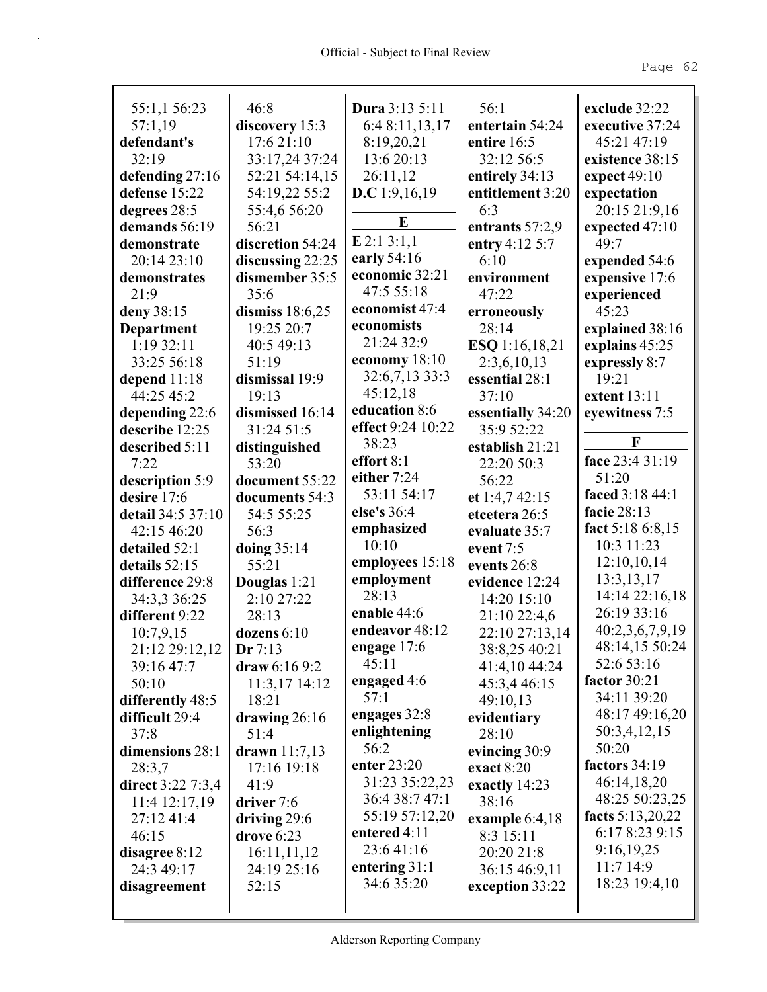| 55:1,1 56:23      | 46:8                  | Dura 3:13 5:11            | 56:1                    | exclude 32:22     |
|-------------------|-----------------------|---------------------------|-------------------------|-------------------|
| 57:1,19           | discovery 15:3        | 6:4 8:11,13,17            | entertain 54:24         | executive 37:24   |
| defendant's       | 17:6 21:10            | 8:19,20,21                | entire 16:5             | 45:21 47:19       |
| 32:19             | 33:17,24 37:24        | 13:6 20:13                | 32:12 56:5              | existence 38:15   |
|                   | 52:21 54:14,15        |                           |                         |                   |
| defending 27:16   |                       | 26:11,12                  | entirely 34:13          | expect $49:10$    |
| defense 15:22     | 54:19,22 55:2         | <b>D.C</b> 1:9,16,19      | entitlement 3:20<br>6:3 | expectation       |
| degrees 28:5      | 55:4,6 56:20<br>56:21 | E                         |                         | 20:15 21:9,16     |
| demands 56:19     |                       | $E$ 2:1 3:1,1             | entrants 57:2,9         | expected 47:10    |
| demonstrate       | discretion 54:24      | early 54:16               | entry 4:12 5:7          | 49:7              |
| 20:14 23:10       | discussing 22:25      | economic 32:21            | 6:10                    | expended 54:6     |
| demonstrates      | dismember 35:5        | 47:5 55:18                | environment             | expensive 17:6    |
| 21:9              | 35:6                  | economist 47:4            | 47:22                   | experienced       |
| deny 38:15        | dismiss 18:6,25       | economists                | erroneously             | 45:23             |
| <b>Department</b> | 19:25 20:7            | 21:24 32:9                | 28:14                   | explained 38:16   |
| 1:19 32:11        | 40:5 49:13            | economy $18:10$           | ESQ 1:16,18,21          | explains 45:25    |
| 33:25 56:18       | 51:19                 | 32:6,7,13 33:3            | 2:3,6,10,13             | expressly 8:7     |
| depend $11:18$    | dismissal 19:9        |                           | essential 28:1          | 19:21             |
| 44:25 45:2        | 19:13                 | 45:12,18<br>education 8:6 | 37:10                   | extent 13:11      |
| depending 22:6    | dismissed 16:14       | effect 9:24 10:22         | essentially 34:20       | eyewitness 7:5    |
| describe 12:25    | 31:24 51:5            | 38:23                     | 35:9 52:22              | F                 |
| described 5:11    | distinguished         |                           | establish 21:21         | face 23:4 31:19   |
| 7:22              | 53:20                 | effort 8:1                | 22:20 50:3              |                   |
| description 5:9   | document 55:22        | either 7:24               | 56:22                   | 51:20             |
| desire 17:6       | documents 54:3        | 53:11 54:17               | et 1:4,7 42:15          | faced 3:18 44:1   |
| detail 34:5 37:10 | 54:5 55:25            | else's 36:4               | etcetera 26:5           | facie 28:13       |
| 42:15 46:20       | 56:3                  | emphasized                | evaluate 35:7           | fact $5:186:.815$ |
| detailed 52:1     | doing $35:14$         | 10:10                     | event 7:5               | 10:3 11:23        |
| details $52:15$   | 55:21                 | employees 15:18           | events 26:8             | 12:10,10,14       |
| difference 29:8   | Douglas 1:21          | employment                | evidence 12:24          | 13:3,13,17        |
| 34:3,3 36:25      | 2:10 27:22            | 28:13                     | 14:20 15:10             | 14:14 22:16,18    |
| different 9:22    | 28:13                 | enable 44:6               | 21:10 22:4,6            | 26:19 33:16       |
| 10:7,9,15         | dozens 6:10           | endeavor 48:12            | 22:10 27:13,14          | 40:2,3,6,7,9,19   |
| 21:12 29:12,12    | Dr 7:13               | engage 17:6               | 38:8,25 40:21           | 48:14,15 50:24    |
| 39:16 47:7        | draw $6:169:2$        | 45:11                     | 41:4,10 44:24           | 52:6 53:16        |
| 50:10             | 11:3,17 14:12         | engaged 4:6               | 45:3,4 46:15            | factor 30:21      |
| differently 48:5  | 18:21                 | 57:1                      | 49:10,13                | 34:11 39:20       |
| difficult 29:4    | drawing $26:16$       | engages 32:8              | evidentiary             | 48:17 49:16,20    |
| 37:8              | 51:4                  | enlightening              | 28:10                   | 50:3,4,12,15      |
| dimensions 28:1   | drawn 11:7,13         | 56:2                      | evincing 30:9           | 50:20             |
| 28:3,7            | 17:16 19:18           | enter 23:20               | exact $8:20$            | factors 34:19     |
| direct 3:22 7:3,4 | 41:9                  | 31:23 35:22,23            | exactly 14:23           | 46:14,18,20       |
| 11:4 12:17,19     | driver 7:6            | 36:4 38:7 47:1            | 38:16                   | 48:25 50:23,25    |
| 27:12 41:4        | driving $29:6$        | 55:19 57:12,20            | example $6:4,18$        | facts 5:13,20,22  |
| 46:15             | drove $6:23$          | entered 4:11              | 8:3 15:11               | 6:17 8:23 9:15    |
| disagree 8:12     | 16:11,11,12           | 23:641:16                 | 20:20 21:8              | 9:16,19,25        |
| 24:3 49:17        | 24:19 25:16           | entering $31:1$           | 36:15 46:9,11           | 11:714:9          |
| disagreement      | 52:15                 | 34:6 35:20                | exception 33:22         | 18:23 19:4,10     |
|                   |                       |                           |                         |                   |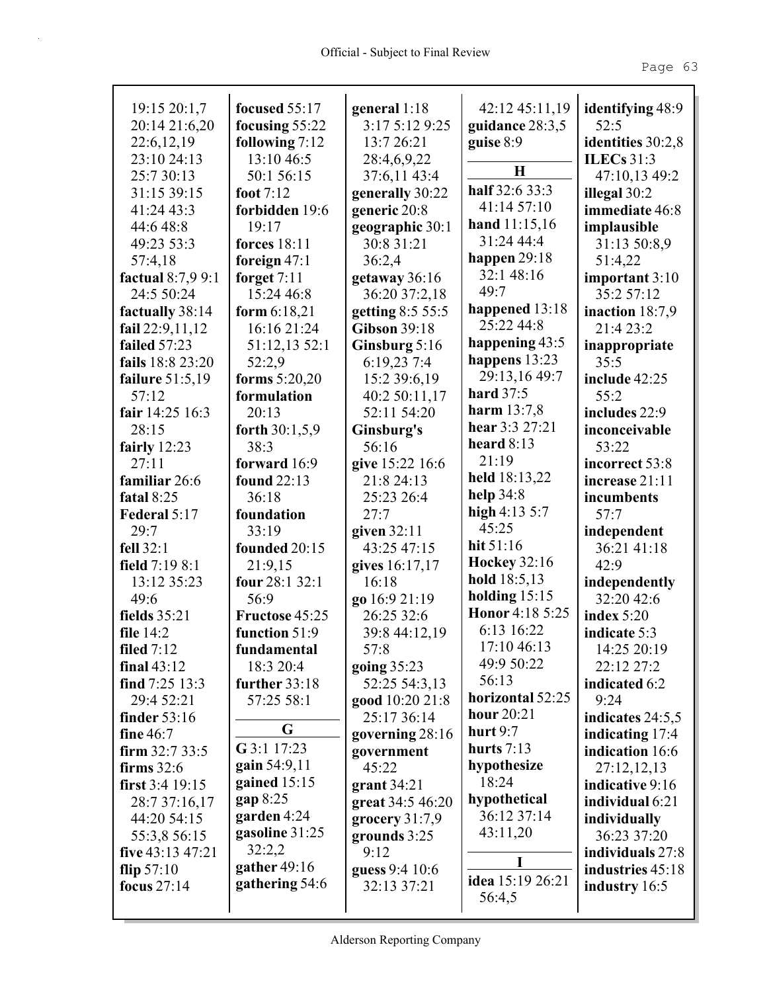| 19:15 20:1,7        | focused $55:17$     | general $1:18$      | 42:12 45:11,19                | identifying 48:9  |
|---------------------|---------------------|---------------------|-------------------------------|-------------------|
| 20:14 21:6,20       | focusing $55:22$    | 3:17 5:12 9:25      | guidance 28:3,5               | 52:5              |
| 22:6, 12, 19        | following 7:12      | 13:7 26:21          | guise 8:9                     | identities 30:2,8 |
| 23:10 24:13         | 13:10 46:5          | 28:4,6,9,22         | $\bf H$                       | ILECs $31:3$      |
| 25:7 30:13          | 50:1 56:15          | 37:6,11 43:4        | half 32:6 33:3                | 47:10,13 49:2     |
| 31:15 39:15         | foot $7:12$         | generally 30:22     | 41:14 57:10                   | illegal 30:2      |
| 41:24 43:3          | forbidden 19:6      | generic 20:8        |                               | immediate 46:8    |
| 44:6 48:8           | 19:17               | geographic 30:1     | hand $11:15,16$<br>31:24 44:4 | implausible       |
| 49:23 53:3          | <b>forces</b> 18:11 | 30:8 31:21          |                               | 31:13 50:8,9      |
| 57:4,18             | foreign $47:1$      | 36:2,4              | happen $29:18$                | 51:4,22           |
| factual $8:7,99:1$  | forget $7:11$       | getaway 36:16       | 32:1 48:16                    | important 3:10    |
| 24:5 50:24          | 15:24 46:8          | 36:20 37:2,18       | 49:7                          | 35:2 57:12        |
| factually 38:14     | form $6:18,21$      | getting 8:5 55:5    | happened $13:18$              | inaction $18:7,9$ |
| fail $22:9,11,12$   | 16:16 21:24         | <b>Gibson 39:18</b> | 25:22 44:8                    | 21:4 23:2         |
| failed 57:23        | 51:12,13 52:1       | Ginsburg 5:16       | happening $43:5$              | inappropriate     |
| fails 18:8 23:20    | 52:2,9              | 6:19,23 7:4         | happens $13:23$               | 35:5              |
| failure $51:5,19$   | forms $5:20,20$     | 15:2 39:6,19        | 29:13,16 49:7                 | include 42:25     |
| 57:12               | formulation         | 40:2 50:11,17       | <b>hard</b> 37:5              | 55:2              |
| fair 14:25 16:3     | 20:13               | 52:11 54:20         | <b>harm</b> $13:7,8$          | includes 22:9     |
| 28:15               | forth 30:1,5,9      | Ginsburg's          | hear 3:3 27:21                | inconceivable     |
| fairly $12:23$      | 38:3                | 56:16               | heard $8:13$                  | 53:22             |
| 27:11               | forward 16:9        | give 15:22 16:6     | 21:19                         | incorrect 53:8    |
| familiar 26:6       | found 22:13         | 21:8 24:13          | held $18:13,22$               | increase 21:11    |
| fatal $8:25$        | 36:18               | 25:23 26:4          | help $34:8$                   | incumbents        |
| Federal 5:17        | foundation          | 27:7                | high $4:13\,5:7$              | 57:7              |
| 29:7                | 33:19               | given 32:11         | 45:25                         | independent       |
| fell $32:1$         | founded 20:15       | 43:25 47:15         | hit $51:16$                   | 36:21 41:18       |
| field 7:19 8:1      | 21:9,15             | gives 16:17,17      | <b>Hockey 32:16</b>           | 42:9              |
| 13:12 35:23         | four 28:1 32:1      | 16:18               | hold 18:5,13                  | independently     |
| 49:6                | 56:9                | go 16:9 21:19       | holding $15:15$               | 32:20 42:6        |
| fields 35:21        | Fructose 45:25      | 26:25 32:6          | Honor 4:18 5:25               | index $5:20$      |
| file $14:2$         | function 51:9       | 39:8 44:12,19       | 6:13 16:22                    | indicate 5:3      |
| filed $7:12$        | fundamental         | 57:8                | 17:10 46:13                   | 14:25 20:19       |
| final $43:12$       | 18:3 20:4           | going 35:23         | 49:9 50:22                    | 22:12 27:2        |
| find $7:25$ 13:3    | further $33:18$     | 52:25 54:3,13       | 56:13                         | indicated 6:2     |
| 29:4 52:21          | 57:25 58:1          | good 10:20 21:8     | horizontal 52:25              | 9:24              |
| finder 53:16        |                     | 25:17 36:14         | hour 20:21                    | indicates 24:5,5  |
| fine $46:7$         | G                   | governing $28:16$   | hurt $9:7$                    | indicating 17:4   |
| firm $32:733:5$     | G 3:1 17:23         | government          | hurts $7:13$                  | indication 16:6   |
| firms $32:6$        | gain 54:9,11        | 45:22               | hypothesize                   | 27:12,12,13       |
| first $3:4$ 19:15   | gained $15:15$      | grant 34:21         | 18:24                         | indicative 9:16   |
| 28:7 37:16,17       | gap 8:25            | great 34:5 46:20    | hypothetical                  | individual 6:21   |
| 44:20 54:15         | garden 4:24         | grocery $31:7,9$    | 36:12 37:14                   | individually      |
| 55:3,8 56:15        | gasoline 31:25      | grounds 3:25        | 43:11,20                      | 36:23 37:20       |
| five $43:13\,47:21$ | 32:2,2              | 9:12                |                               | individuals 27:8  |
| flip $57:10$        | gather 49:16        | guess 9:4 10:6      | I                             | industries 45:18  |
| focus 27:14         | gathering 54:6      | 32:13 37:21         | idea 15:19 26:21              | industry 16:5     |
|                     |                     |                     | 56:4,5                        |                   |
|                     |                     |                     |                               |                   |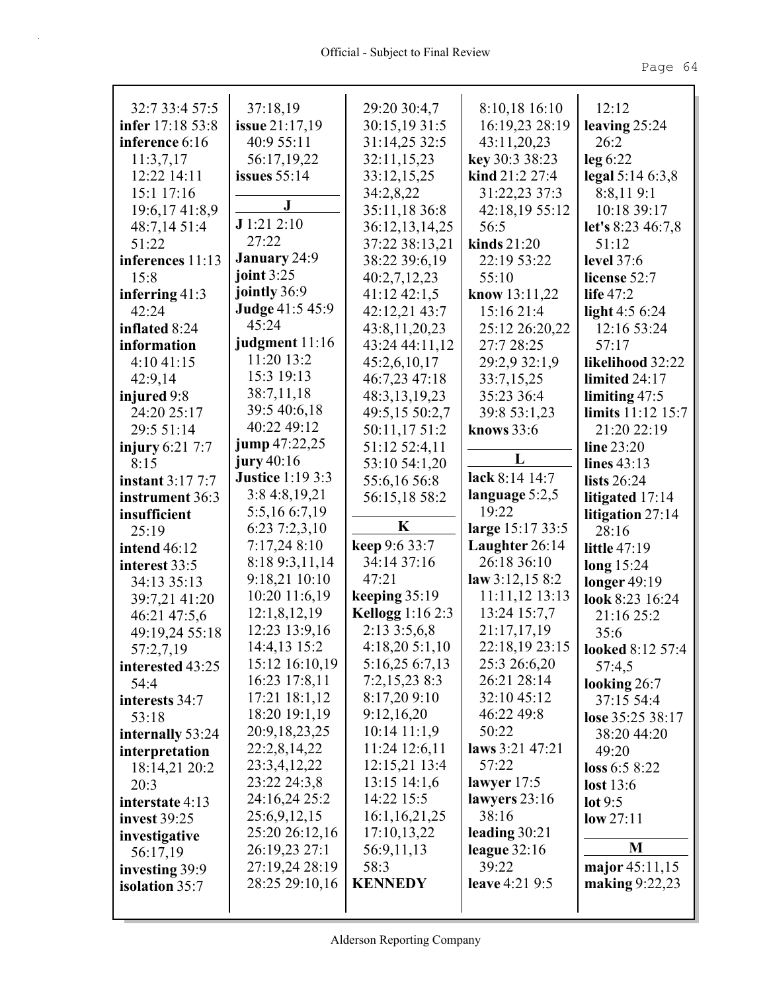| 32:7 33:4 57:5          | 37:18,19                | 29:20 30:4,7            | 8:10,18 16:10    | 12:12                   |
|-------------------------|-------------------------|-------------------------|------------------|-------------------------|
| infer 17:18 53:8        | <b>issue</b> 21:17,19   | 30:15,1931:5            | 16:19,23 28:19   | leaving $25:24$         |
| inference 6:16          | 40:9 55:11              | 31:14,25 32:5           | 43:11,20,23      | 26:2                    |
| 11:3,7,17               | 56:17,19,22             | 32:11,15,23             | key 30:3 38:23   | $leg\ 6:22$             |
| 12:22 14:11             | issues $55:14$          | 33:12,15,25             | kind 21:2 27:4   | legal $5:146:3,8$       |
| 15:1 17:16              | ${\bf J}$               | 34:2,8,22               | 31:22,23 37:3    | 8:8,119:1               |
| 19:6,17 41:8,9          |                         | 35:11,18 36:8           | 42:18,19 55:12   | 10:18 39:17             |
| 48:7,14 51:4            | J1:212:10               | 36:12,13,14,25          | 56:5             | let's $8:23\,46:7,8$    |
| 51:22                   | 27:22                   | 37:22 38:13,21          | kinds 21:20      | 51:12                   |
| inferences 11:13        | <b>January</b> 24:9     | 38:22 39:6,19           | 22:19 53:22      | <b>level</b> 37:6       |
| 15:8                    | joint $3:25$            | 40:2,7,12,23            | 55:10            | license 52:7            |
| inferring $41:3$        | jointly 36:9            | $41:12\,42:1,5$         | know 13:11,22    | life $47:2$             |
| 42:24                   | <b>Judge 41:5 45:9</b>  | 42:12,21 43:7           | 15:16 21:4       | light $4:56:24$         |
| inflated 8:24           | 45:24                   | 43:8,11,20,23           | 25:12 26:20,22   | 12:16 53:24             |
| information             | judgment 11:16          | 43:24 44:11,12          | 27:7 28:25       | 57:17                   |
| 4:1041:15               | 11:20 13:2              | 45:2,6,10,17            | 29:2,9 32:1,9    | likelihood 32:22        |
| 42:9,14                 | 15:3 19:13              | 46:7,23 47:18           | 33:7,15,25       | limited $24:17$         |
| injured 9:8             | 38:7,11,18              | 48:3,13,19,23           | 35:23 36:4       | limiting $47:5$         |
| 24:20 25:17             | 39:5 40:6,18            | 49:5,15 50:2,7          | 39:8 53:1,23     | limits $11:12$ 15:7     |
| 29:5 51:14              | 40:22 49:12             | 50:11,17 51:2           | knows $33:6$     | 21:20 22:19             |
| injury $6:21$ 7:7       | jump 47:22,25           | 51:12 52:4,11           |                  | line $23:20$            |
| 8:15                    | jury $40:16$            | 53:10 54:1,20           | L                | lines $43:13$           |
| <b>instant 3:17 7:7</b> | <b>Justice 1:19 3:3</b> | 55:6,16 56:8            | lack 8:14 14:7   | lists $26:24$           |
| instrument 36:3         | 3:84:8,19,21            | 56:15,18 58:2           | language 5:2,5   | litigated 17:14         |
| insufficient            | 5:5,16 6:7,19           |                         | 19:22            | litigation $27:14$      |
| 25:19                   | 6:237:2,3,10            | K                       | large 15:17 33:5 | 28:16                   |
| <b>intend</b> 46:12     | 7:17,24 8:10            | keep 9:6 33:7           | Laughter 26:14   | <b>little</b> 47:19     |
| interest 33:5           | 8:18 9:3,11,14          | 34:14 37:16             | 26:18 36:10      | long $15:24$            |
| 34:13 35:13             | 9:18,21 10:10           | 47:21                   | law $3:12,158:2$ | longer $49:19$          |
| 39:7,21 41:20           | $10:20$ 11:6,19         | keeping $35:19$         | $11:11,12$ 13:13 | look 8:23 16:24         |
| 46:21 47:5,6            | 12:1,8,12,19            | <b>Kellogg</b> 1:16 2:3 | 13:24 15:7,7     | 21:16 25:2              |
| 49:19,24 55:18          | 12:23 13:9,16           | 2:133:5,6,8             | 21:17,17,19      | 35:6                    |
| 57:2,7,19               | 14:4,13 15:2            | 4:18,205:1,10           | 22:18,19 23:15   | <b>looked 8:12 57:4</b> |
| interested 43:25        | 15:12 16:10,19          | 5:16,25 6:7,13          | 25:3 26:6,20     | 57:4,5                  |
| 54:4                    | 16:23 17:8,11           | 7:2,15,238:3            | 26:21 28:14      | looking $26:7$          |
| interests 34:7          | 17:21 18:1,12           | 8:17,209:10             | 32:10 45:12      | 37:15 54:4              |
| 53:18                   | 18:20 19:1,19           | 9:12,16,20              | 46:22 49:8       | lose 35:25 38:17        |
| internally 53:24        | 20:9, 18, 23, 25        | $10:14$ 11:1,9          | 50:22            | 38:20 44:20             |
| interpretation          | 22:2,8,14,22            | 11:24 12:6,11           | laws 3:21 47:21  | 49:20                   |
| 18:14,21 20:2           | 23:3,4,12,22            | 12:15,21 13:4           | 57:22            | loss 6:5 8:22           |
| 20:3                    | 23:22 24:3,8            | $13:15$ $14:1,6$        | lawyer $17:5$    | lost 13:6               |
| interstate 4:13         | 24:16,24 25:2           | 14:22 15:5              | lawyers $23:16$  | lot $9:5$               |
| <b>invest</b> 39:25     | 25:6,9,12,15            | 16:1, 16, 21, 25        | 38:16            | low 27:11               |
| investigative           | 25:20 26:12,16          | 17:10,13,22             | leading $30:21$  |                         |
| 56:17,19                | 26:19,23 27:1           | 56:9,11,13              | league $32:16$   | M                       |
| investing 39:9          | 27:19,24 28:19          | 58:3                    | 39:22            | major 45:11,15          |
| <b>isolation</b> 35:7   | 28:25 29:10,16          | <b>KENNEDY</b>          | leave 4:21 9:5   | making $9:22,23$        |
|                         |                         |                         |                  |                         |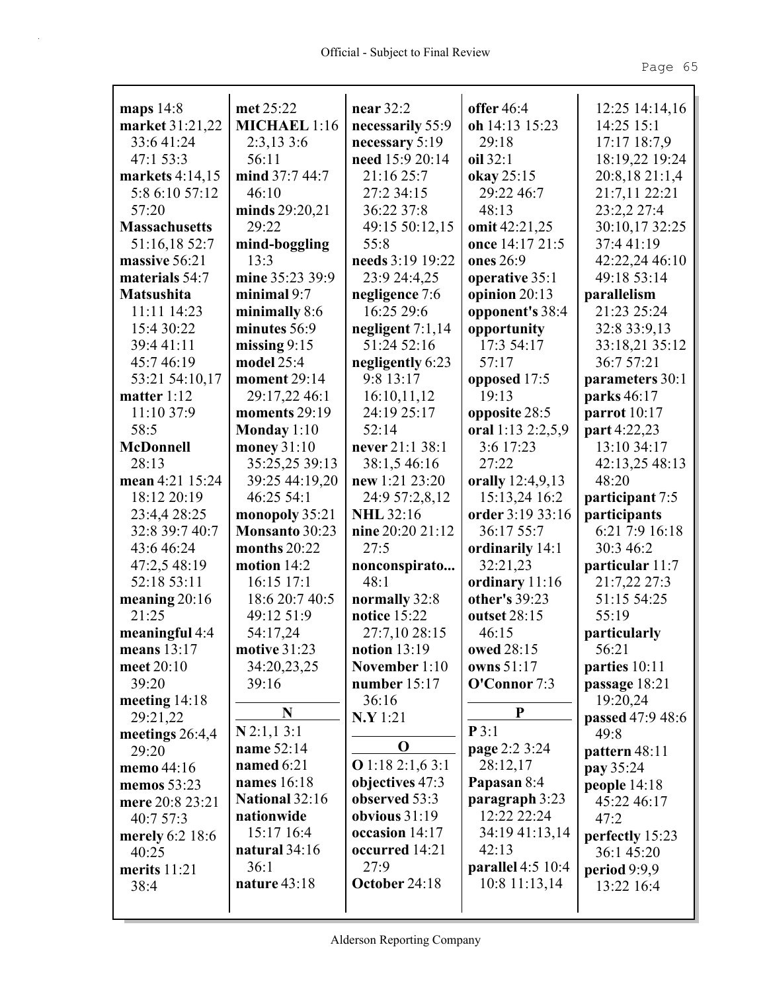| maps 14:8                   | met 25:22           | near 32:2                       | offer 46:4        | 12:25 14:14,16            |
|-----------------------------|---------------------|---------------------------------|-------------------|---------------------------|
| market 31:21,22             | <b>MICHAEL 1:16</b> | necessarily 55:9                | oh 14:13 15:23    | 14:25 15:1                |
| 33:6 41:24                  | 2:3,133:6           | necessary $5:19$                | 29:18             | 17:17 18:7,9              |
| 47:1 53:3                   | 56:11               | need 15:9 20:14                 | oil 32:1          | 18:19,22 19:24            |
| markets 4:14,15             | mind 37:7 44:7      | 21:16 25:7                      | okay 25:15        | 20:8,18 21:1,4            |
| 5:8 6:10 57:12              | 46:10               | 27:2 34:15                      | 29:22 46:7        | 21:7,11 22:21             |
| 57:20                       | minds 29:20,21      | 36:22 37:8                      | 48:13             | 23:2,2 27:4               |
| <b>Massachusetts</b>        | 29:22               | 49:15 50:12,15                  | omit $42:21,25$   | 30:10,17 32:25            |
| 51:16,18 52:7               | mind-boggling       | 55:8                            | once 14:17 21:5   | 37:441:19                 |
| massive 56:21               | 13:3                | needs 3:19 19:22                | ones 26:9         | 42:22,24 46:10            |
| materials 54:7              | mine 35:23 39:9     | 23:9 24:4,25                    | operative 35:1    | 49:18 53:14               |
| <b>Matsushita</b>           | minimal $9:7$       | negligence 7:6                  | opinion $20:13$   | parallelism               |
| 11:11 14:23                 | minimally 8:6       | 16:25 29:6                      | opponent's 38:4   | 21:23 25:24               |
| 15:4 30:22                  | minutes 56:9        | negligent $7:1,14$              | opportunity       | 32:8 33:9,13              |
| 39:4 41:11                  | missing $9:15$      | 51:24 52:16                     | 17:3 54:17        | 33:18,21 35:12            |
| 45:746:19                   | model 25:4          | negligently 6:23                | 57:17             | 36:7 57:21                |
| 53:21 54:10,17              | moment 29:14        | 9:8 13:17                       | opposed 17:5      | parameters 30:1           |
| matter 1:12                 | 29:17,22 46:1       | 16:10,11,12                     | 19:13             | parks 46:17               |
| 11:10 37:9                  | moments 29:19       | 24:19 25:17                     | opposite 28:5     | parrot $10:17$            |
| 58:5                        | Monday 1:10         | 52:14                           | oral 1:13 2:2,5,9 | part 4:22,23              |
| <b>McDonnell</b>            | money $31:10$       | never 21:1 38:1                 | 3:6 17:23         | 13:10 34:17               |
| 28:13                       | 35:25,25 39:13      | 38:1,5 46:16                    | 27:22             | 42:13,25 48:13            |
| mean 4:21 15:24             | 39:25 44:19,20      | new 1:21 23:20                  | orally 12:4,9,13  | 48:20                     |
| 18:12 20:19                 | 46:25 54:1          | 24:9 57:2,8,12                  | 15:13,24 16:2     | participant 7:5           |
| 23:4,4 28:25                | monopoly $35:21$    | <b>NHL 32:16</b>                | order 3:19 33:16  | participants              |
| 32:8 39:7 40:7              | Monsanto 30:23      | nine 20:20 21:12                | 36:17 55:7        | 6:21 7:9 16:18            |
| 43:6 46:24                  | months $20:22$      | 27:5                            | ordinarily 14:1   | 30:3 46:2                 |
| 47:2,5 48:19                | motion $14:2$       | nonconspirato                   | 32:21,23          | particular 11:7           |
| 52:18 53:11                 | $16:15$ 17:1        | 48:1                            | ordinary 11:16    | 21:7,22 27:3              |
| meaning $20:16$             | 18:6 20:7 40:5      | normally 32:8                   | other's 39:23     | 51:15 54:25               |
| 21:25                       | 49:12 51:9          | notice 15:22                    | outset 28:15      | 55:19                     |
| meaningful 4:4              | 54:17,24            | 27:7,10 28:15                   | 46:15             | particularly              |
| means $13:17$               | motive 31:23        | notion $13:19$                  | owed 28:15        | 56:21                     |
| meet 20:10<br>39:20         | 34:20,23,25         | November 1:10<br>number $15:17$ | owns 51:17        | parties 10:11             |
|                             | 39:16               | 36:16                           | O'Connor 7:3      | passage 18:21<br>19:20,24 |
| meeting $14:18$<br>29:21,22 | N                   | N.Y 1:21                        | P                 | passed 47:9 48:6          |
| meetings 26:4,4             | $N$ 2:1,1 3:1       |                                 | P3:1              | 49:8                      |
| 29:20                       | name 52:14          | $\mathbf 0$                     | page 2:2 3:24     | pattern 48:11             |
| memo 44:16                  | named 6:21          | Q 1:18 2:1,6 3:1                | 28:12,17          | pay 35:24                 |
| memos 53:23                 | names 16:18         | objectives 47:3                 | Papasan 8:4       | people 14:18              |
| mere 20:8 23:21             | National 32:16      | observed 53:3                   | paragraph 3:23    | 45:22 46:17               |
| 40:7 57:3                   | nationwide          | obvious $31:19$                 | 12:22 22:24       | 47:2                      |
| merely 6:2 18:6             | 15:17 16:4          | occasion 14:17                  | 34:19 41:13,14    | perfectly 15:23           |
| 40:25                       | natural $34:16$     | occurred 14:21                  | 42:13             | 36:1 45:20                |
| merits $11:21$              | 36:1                | 27:9                            | parallel 4:5 10:4 | period $9:9,9$            |
| 38:4                        | nature 43:18        | October 24:18                   | $10:8$ 11:13,14   | 13:22 16:4                |
|                             |                     |                                 |                   |                           |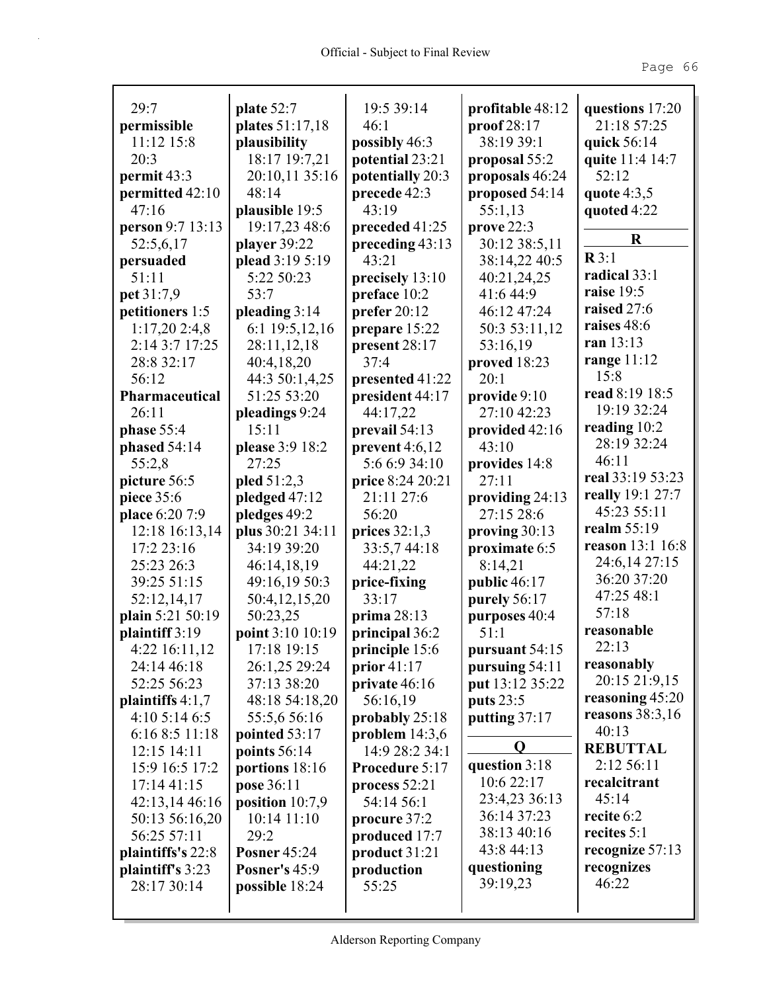| 29:7               | plate 52:7           | 19:5 39:14            | profitable 48:12  | questions 17:20   |
|--------------------|----------------------|-----------------------|-------------------|-------------------|
| permissible        | plates 51:17,18      | 46:1                  | proof 28:17       | 21:18 57:25       |
| 11:12 15:8         | plausibility         | possibly 46:3         | 38:19 39:1        | quick 56:14       |
| 20:3               | 18:17 19:7,21        | potential 23:21       | proposal 55:2     | quite 11:4 14:7   |
| permit 43:3        | 20:10,11 35:16       | potentially 20:3      | proposals 46:24   | 52:12             |
| permitted 42:10    | 48:14                | precede 42:3          | proposed 54:14    | quote $4:3,5$     |
| 47:16              | plausible 19:5       | 43:19                 | 55:1,13           | quoted 4:22       |
| person 9:7 13:13   | 19:17,23 48:6        | preceded 41:25        | prove 22:3        |                   |
| 52:5,6,17          | player 39:22         | preceding 43:13       | 30:12 38:5,11     | R                 |
| persuaded          | plead 3:19 5:19      | 43:21                 | 38:14,22 40:5     | $\mathbb{R}3:1$   |
| 51:11              | 5:22 50:23           | precisely 13:10       | 40:21,24,25       | radical 33:1      |
| pet 31:7,9         | 53:7                 | preface 10:2          | 41:6 44:9         | raise 19:5        |
| petitioners 1:5    | pleading 3:14        | prefer $20:12$        | 46:12 47:24       | raised 27:6       |
| 1:17,202:4,8       | 6:1 19:5,12,16       | prepare 15:22         | 50:3 53:11,12     | raises 48:6       |
| 2:14 3:7 17:25     | 28:11,12,18          | present 28:17         | 53:16,19          | ran 13:13         |
| 28:8 32:17         | 40:4,18,20           | 37:4                  | proved 18:23      | range $11:12$     |
| 56:12              | 44:3 50:1,4,25       | presented 41:22       | 20:1              | 15:8              |
| Pharmaceutical     | 51:25 53:20          | president 44:17       | provide $9:10$    | read 8:19 18:5    |
| 26:11              | pleadings 9:24       | 44:17,22              | 27:10 42:23       | 19:19 32:24       |
| phase 55:4         | 15:11                | prevail 54:13         | provided 42:16    | reading 10:2      |
| phased 54:14       | please 3:9 18:2      | prevent $4:6,12$      | 43:10             | 28:19 32:24       |
| 55:2,8             | 27:25                | 5:6 6:9 34:10         | provides 14:8     | 46:11             |
| picture 56:5       | pled $51:2,3$        | price 8:24 20:21      | 27:11             | real 33:19 53:23  |
| piece 35:6         | pledged 47:12        | 21:11 27:6            | providing $24:13$ | really 19:1 27:7  |
| place 6:20 7:9     | pledges 49:2         | 56:20                 | 27:15 28:6        | 45:23 55:11       |
| 12:18 16:13,14     | plus 30:21 34:11     | prices $32:1,3$       | proving 30:13     | realm 55:19       |
| 17:2 23:16         | 34:19 39:20          | 33:5,744:18           | proximate 6:5     | reason 13:1 16:8  |
| 25:23 26:3         | 46:14,18,19          | 44:21,22              | 8:14,21           | 24:6,14 27:15     |
| 39:25 51:15        | 49:16,19 50:3        | price-fixing          | public 46:17      | 36:20 37:20       |
| 52:12,14,17        | 50:4,12,15,20        | 33:17                 | purely 56:17      | 47:25 48:1        |
| plain 5:21 50:19   | 50:23,25             | prima $28:13$         | purposes 40:4     | 57:18             |
| plaintiff 3:19     | point 3:10 10:19     | principal 36:2        | 51:1              | reasonable        |
| 4:22 16:11,12      | 17:18 19:15          | <b>principle</b> 15:6 | pursuant 54:15    | 22:13             |
| 24:14 46:18        | 26:1,25 29:24        | prior $41:17$         | pursuing 54:11    | reasonably        |
| 52:25 56:23        | 37:13 38:20          | private 46:16         | put 13:12 35:22   | 20:15 21:9,15     |
| plaintiffs $4:1,7$ | 48:18 54:18,20       | 56:16,19              | puts 23:5         | reasoning 45:20   |
| 4:105:146:5        | 55:5,6 56:16         | probably 25:18        | putting 37:17     | reasons $38:3,16$ |
| 6:16 8:5 11:18     | pointed 53:17        | problem $14:3,6$      | Q                 | 40:13             |
| 12:15 14:11        | points 56:14         | 14:9 28:2 34:1        |                   | <b>REBUTTAL</b>   |
| 15:9 16:5 17:2     | portions 18:16       | Procedure 5:17        | question 3:18     | 2:12 56:11        |
| 17:1441:15         | pose 36:11           | process 52:21         | 10:6 22:17        | recalcitrant      |
| 42:13,14 46:16     | position $10:7,9$    | 54:14 56:1            | 23:4,23 36:13     | 45:14             |
| 50:13 56:16,20     | 10:14 11:10          | procure 37:2          | 36:14 37:23       | recite 6:2        |
| 56:25 57:11        | 29:2                 | produced 17:7         | 38:13 40:16       | recites 5:1       |
| plaintiffs's 22:8  | <b>Posner 45:24</b>  | product 31:21         | 43:8 44:13        | recognize 57:13   |
| plaintiff's 3:23   | <b>Posner's 45:9</b> | production            | questioning       | recognizes        |
| 28:17 30:14        | possible 18:24       | 55:25                 | 39:19,23          | 46:22             |
|                    |                      |                       |                   |                   |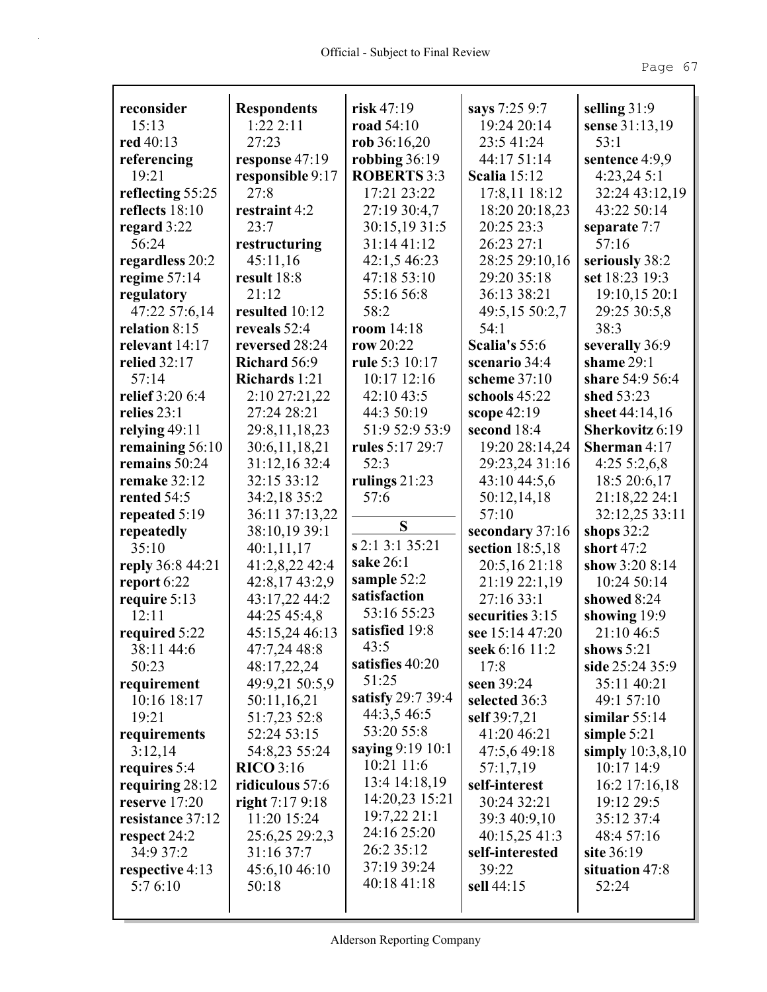| reconsider          | <b>Respondents</b>    | risk $47:19$       | says 7:25 9:7       | selling 31:9          |
|---------------------|-----------------------|--------------------|---------------------|-----------------------|
| 15:13               | 1:222:11              | road 54:10         | 19:24 20:14         | sense 31:13,19        |
| red 40:13           | 27:23                 | rob $36:16,20$     | 23:5 41:24          | 53:1                  |
| referencing         | response 47:19        | robbing $36:19$    | 44:17 51:14         | sentence 4:9,9        |
| 19:21               | responsible 9:17      | <b>ROBERTS 3:3</b> | <b>Scalia</b> 15:12 | 4:23,24 5:1           |
| reflecting 55:25    | 27:8                  | 17:21 23:22        | 17:8,11 18:12       | 32:24 43:12,19        |
| reflects 18:10      | restraint 4:2         | 27:19 30:4,7       | 18:20 20:18,23      | 43:22 50:14           |
| regard $3:22$       | 23:7                  | 30:15,1931:5       | 20:25 23:3          | separate 7:7          |
| 56:24               | restructuring         | 31:14 41:12        | 26:23 27:1          | 57:16                 |
| regardless 20:2     | 45:11,16              | 42:1,5 46:23       | 28:25 29:10,16      | seriously 38:2        |
| regime $57:14$      | result 18:8           | 47:18 53:10        | 29:20 35:18         | set 18:23 19:3        |
| regulatory          | 21:12                 | 55:16 56:8         | 36:13 38:21         | 19:10,15 20:1         |
| 47:22 57:6,14       | resulted 10:12        | 58:2               | 49:5,15 50:2,7      | 29:25 30:5,8          |
| relation 8:15       | reveals 52:4          | room $14:18$       | 54:1                | 38:3                  |
| relevant 14:17      | reversed 28:24        | row $20:22$        | Scalia's 55:6       | severally 36:9        |
| <b>relied</b> 32:17 | Richard 56:9          | rule 5:3 10:17     | scenario 34:4       | shame 29:1            |
| 57:14               | Richards 1:21         | 10:17 12:16        | scheme $37:10$      | share 54:9 56:4       |
| relief 3:20 6:4     | 2:10 27:21,22         | 42:10 43:5         | schools 45:22       | shed 53:23            |
| relies 23:1         | 27:24 28:21           | 44:3 50:19         | scope 42:19         | sheet 44:14,16        |
| relying $49:11$     | 29:8,11,18,23         | 51:9 52:9 53:9     | second 18:4         | Sherkovitz 6:19       |
| remaining 56:10     | 30:6,11,18,21         | rules 5:17 29:7    | 19:20 28:14,24      | <b>Sherman</b> $4:17$ |
| remains 50:24       | 31:12,16 32:4         | 52:3               | 29:23,24 31:16      | 4:255:2,6,8           |
| remake 32:12        | 32:15 33:12           | rulings $21:23$    | 43:10 44:5,6        | 18:5 20:6,17          |
| rented 54:5         | 34:2,18 35:2          | 57:6               | 50:12,14,18         | 21:18,22 24:1         |
| repeated 5:19       | 36:11 37:13,22        |                    | 57:10               | 32:12,25 33:11        |
| repeatedly          | 38:10,19 39:1         | S                  | secondary 37:16     | shops $32:2$          |
| 35:10               | 40:1,11,17            | s 2:1 3:1 35:21    | section 18:5,18     | short $47:2$          |
| reply 36:8 44:21    | 41:2,8,22 42:4        | sake 26:1          | 20:5,16 21:18       | show 3:20 8:14        |
| report $6:22$       | 42:8,17 43:2,9        | sample 52:2        | 21:19 22:1,19       | 10:24 50:14           |
| require 5:13        | 43:17,22 44:2         | satisfaction       | 27:16 33:1          | showed 8:24           |
| 12:11               | 44:25 45:4,8          | 53:16 55:23        | securities 3:15     | showing 19:9          |
| required 5:22       | 45:15,24 46:13        | satisfied 19:8     | see 15:14 47:20     | 21:10 46:5            |
| 38:11 44:6          | 47:7,24 48:8          | 43:5               | seek 6:16 11:2      | shows $5:21$          |
| 50:23               | 48:17,22,24           | satisfies 40:20    | 17:8                | side 25:24 35:9       |
| requirement         | 49:9,21 50:5,9        | 51:25              | seen 39:24          | 35:11 40:21           |
| 10:16 18:17         | 50:11,16,21           | satisfy 29:7 39:4  | selected 36:3       | 49:1 57:10            |
| 19:21               | 51:7,23 52:8          | 44:3,5 46:5        | self 39:7,21        | similar $55:14$       |
| requirements        | 52:24 53:15           | 53:20 55:8         | 41:20 46:21         | simple $5:21$         |
| 3:12,14             | 54:8,23 55:24         | saying 9:19 10:1   | 47:5,6 49:18        | simply $10:3,8,10$    |
| requires 5:4        | $\mathbf{R}$ ICO 3:16 | 10:21 11:6         | 57:1,7,19           | 10:17 14:9            |
| requiring 28:12     | ridiculous 57:6       | 13:4 14:18,19      | self-interest       | $16:2$ 17:16,18       |
| reserve 17:20       | right $7:179:18$      | 14:20,23 15:21     | 30:24 32:21         | 19:12 29:5            |
| resistance 37:12    | 11:20 15:24           | 19:7,2221:1        | 39:3 40:9,10        | 35:12 37:4            |
| respect 24:2        | 25:6,25 29:2,3        | 24:16 25:20        | 40:15,25 41:3       | 48:4 57:16            |
| 34:9 37:2           | 31:16 37:7            | 26:2 35:12         | self-interested     | site 36:19            |
| respective 4:13     | 45:6,10 46:10         | 37:19 39:24        | 39:22               | situation 47:8        |
| 5:76:10             | 50:18                 | 40:18 41:18        | sell 44:15          | 52:24                 |
|                     |                       |                    |                     |                       |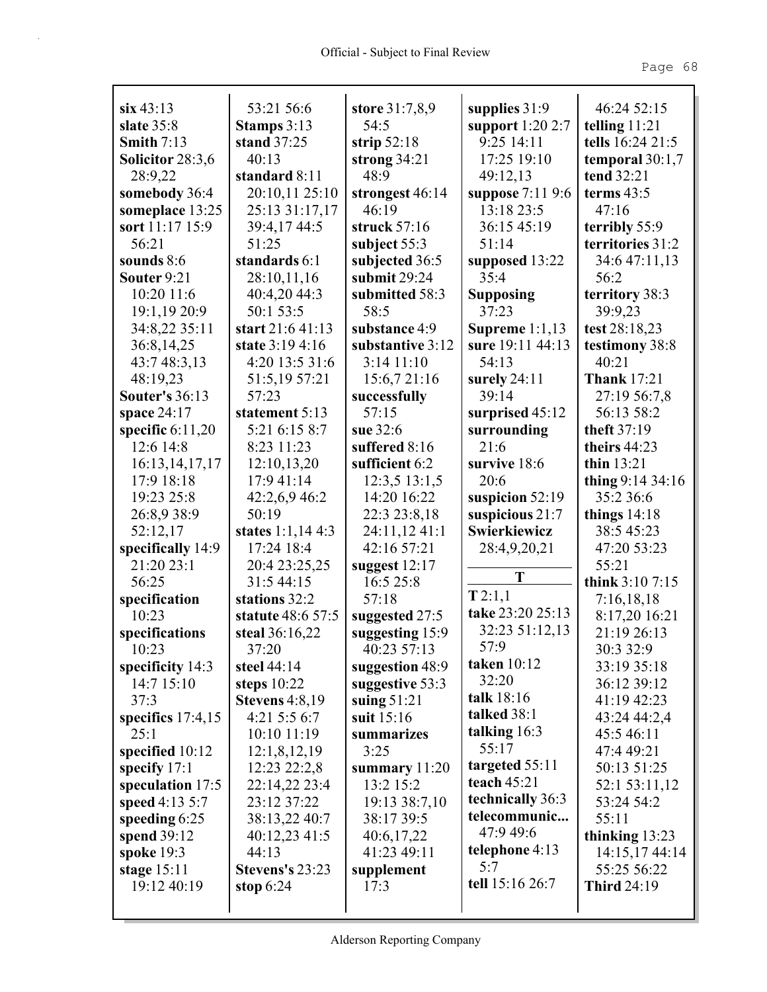| $\sin 43:13$                    | 53:21 56:6                      | store 31:7,8,9                     | supplies $31:9$                      | 46:24 52:15                      |
|---------------------------------|---------------------------------|------------------------------------|--------------------------------------|----------------------------------|
| slate $35:8$                    | Stamps $3:13$                   | 54:5                               | support $1:202:7$                    | telling $11:21$                  |
| Smith $7:13$                    | stand $37:25$                   | strip $52:18$                      | 9:25 14:11                           | tells 16:24 21:5                 |
| Solicitor 28:3,6                | 40:13                           | strong $34:21$                     | 17:25 19:10                          | temporal $30:1,7$                |
| 28:9,22                         | standard 8:11                   | 48:9                               | 49:12,13                             | tend 32:21                       |
| somebody 36:4                   | 20:10,11 25:10                  | strongest 46:14                    | suppose 7:11 9:6                     | terms $43:5$                     |
| someplace 13:25                 | 25:13 31:17,17                  | 46:19                              | 13:18 23:5                           | 47:16                            |
| sort 11:17 15:9                 | 39:4,17 44:5                    | struck 57:16                       | 36:15 45:19                          | terribly 55:9                    |
| 56:21                           | 51:25                           | subject $55:3$                     | 51:14                                | territories 31:2                 |
| sounds $8:6$                    | standards 6:1                   | subjected 36:5                     | supposed 13:22                       | 34:6 47:11,13                    |
| Souter 9:21                     | 28:10,11,16                     | submit $29:24$                     | 35:4                                 | 56:2                             |
| 10:20 11:6                      | 40:4,20 44:3                    | submitted 58:3                     | <b>Supposing</b>                     | territory 38:3                   |
| 19:1,19 20:9                    | 50:1 53:5                       | 58:5                               | 37:23                                | 39:9,23                          |
| 34:8,22 35:11                   | start 21:6 41:13                | substance 4:9                      | Supreme $1:1,13$                     | test 28:18,23                    |
| 36:8,14,25                      | state 3:19 4:16                 | substantive 3:12<br>$3:14$ $11:10$ | sure 19:11 44:13                     | testimony 38:8                   |
| 43:7 48:3,13                    | 4:20 13:5 31:6                  |                                    | 54:13                                | 40:21                            |
| 48:19,23                        | 51:5,19 57:21                   | 15:6,721:16                        | surely $24:11$                       | <b>Thank 17:21</b>               |
| <b>Souter's 36:13</b>           | 57:23                           | successfully                       | 39:14                                | 27:19 56:7,8                     |
| space $24:17$                   | statement 5:13<br>5:21 6:15 8:7 | 57:15<br>sue 32:6                  | surprised 45:12                      | 56:13 58:2<br>theft 37:19        |
| specific $6:11,20$<br>12:6 14:8 | 8:23 11:23                      | suffered 8:16                      | surrounding<br>21:6                  |                                  |
|                                 | 12:10,13,20                     | sufficient 6:2                     | survive 18:6                         | theirs $44:23$<br>thin $13:21$   |
| 16:13, 14, 17, 17<br>17:9 18:18 |                                 |                                    | 20:6                                 |                                  |
| 19:23 25:8                      | 17:9 41:14                      | 12:3,513:1,5<br>14:20 16:22        |                                      | thing $9:14\,34:16$<br>35:2 36:6 |
| 26:8,9 38:9                     | 42:2,6,9,46:2<br>50:19          | 22:3 23:8,18                       | suspicion $52:19$<br>suspicious 21:7 |                                  |
| 52:12,17                        | states $1:1,144:3$              | 24:11,12 41:1                      | Swierkiewicz                         | things $14:18$<br>38:5 45:23     |
| specifically 14:9               | 17:24 18:4                      | 42:16 57:21                        | 28:4,9,20,21                         | 47:20 53:23                      |
| 21:20 23:1                      | 20:4 23:25,25                   | suggest $12:17$                    |                                      | 55:21                            |
| 56:25                           | 31:5 44:15                      | 16:5 25:8                          | T                                    | think 3:10 7:15                  |
| specification                   | stations 32:2                   | 57:18                              | T2:1,1                               | 7:16,18,18                       |
| 10:23                           | statute 48:6 57:5               | suggested 27:5                     | take 23:20 25:13                     | 8:17,20 16:21                    |
| specifications                  | steal $36:16,22$                | suggesting 15:9                    | 32:23 51:12,13                       | 21:19 26:13                      |
| 10:23                           | 37:20                           | 40:23 57:13                        | 57:9                                 | 30:3 32:9                        |
| specificity 14:3                | steel $44:14$                   | suggestion 48:9                    | taken 10:12                          | 33:19 35:18                      |
| 14:7 15:10                      | steps $10:22$                   | suggestive 53:3                    | 32:20                                | 36:12 39:12                      |
| 37:3                            | Stevens $4:8,19$                | suing $51:21$                      | talk 18:16                           | 41:19 42:23                      |
| specifics $17:4,15$             | 4:21 5:5 6:7                    | suit $15:16$                       | talked 38:1                          | 43:24 44:2,4                     |
| 25:1                            | 10:10 11:19                     | summarizes                         | talking $16:3$                       | 45:5 46:11                       |
| specified $10:12$               | 12:1,8,12,19                    | 3:25                               | 55:17                                | 47:4 49:21                       |
| specify $17:1$                  | 12:23 22:2,8                    | summary $11:20$                    | targeted 55:11                       | 50:13 51:25                      |
| speculation 17:5                | 22:14,22 23:4                   | 13:2 15:2                          | teach $45:21$                        | 52:1 53:11,12                    |
| speed $4:13\,5:7$               | 23:12 37:22                     | 19:13 38:7,10                      | technically 36:3                     | 53:24 54:2                       |
| speeding 6:25                   | 38:13,22 40:7                   | 38:17 39:5                         | telecommunic                         | 55:11                            |
| spend 39:12                     | $40:12,23\;41:5$                | 40:6,17,22                         | 47:9 49:6                            | thinking $13:23$                 |
| spoke 19:3                      | 44:13                           | 41:23 49:11                        | telephone 4:13                       | 14:15,17 44:14                   |
| stage $15:11$                   | Stevens's 23:23                 | supplement                         | 5:7                                  | 55:25 56:22                      |
| 19:12 40:19                     | stop $6:24$                     | 17:3                               | tell 15:16 26:7                      | <b>Third 24:19</b>               |
|                                 |                                 |                                    |                                      |                                  |